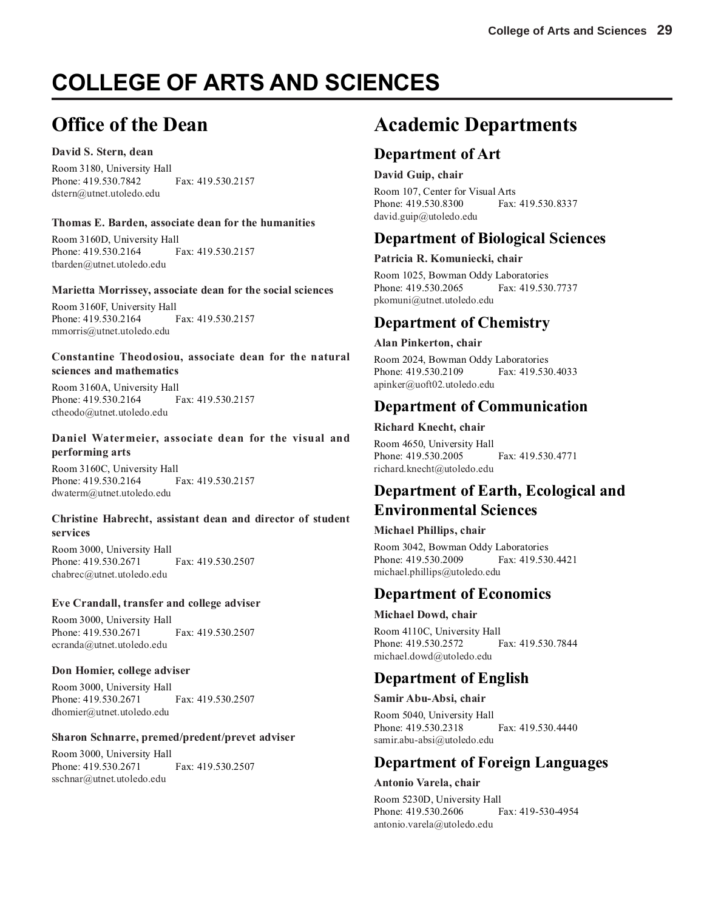# **COLLEGE OF ARTS AND SCIENCES**

## **Office of the Dean**

#### **David S. Stern, dean**

Room 3180, University Hall Phone: 419.530.7842 Fax: 419.530.2157 dstern@utnet.utoledo.edu

#### **Thomas E. Barden, associate dean for the humanities**

Room 3160D, University Hall Phone: 419.530.2164 Fax: 419.530.2157 tbarden@utnet.utoledo.edu

#### **Marietta Morrissey, associate dean for the social sciences**

Room 3160F, University Hall Phone: 419.530.2164 Fax: 419.530.2157 mmorris@utnet.utoledo.edu

#### **Constantine Theodosiou, associate dean for the natural sciences and mathematics**

Room 3160A, University Hall Phone: 419.530.2164 Fax: 419.530.2157 ctheodo@utnet.utoledo.edu

#### **Daniel Watermeier, associate dean for the visual and performing arts**

Room 3160C, University Hall Phone: 419.530.2164 Fax: 419.530.2157 dwaterm@utnet.utoledo.edu

#### **Christine Habrecht, assistant dean and director of student services**

Room 3000, University Hall Phone: 419.530.2671 Fax: 419.530.2507 chabrec@utnet.utoledo.edu

#### **Eve Crandall, transfer and college adviser**

Room 3000, University Hall Phone: 419.530.2671 Fax: 419.530.2507 ecranda@utnet.utoledo.edu

#### **Don Homier, college adviser**

Room 3000, University Hall Phone: 419.530.2671 Fax: 419.530.2507 dhomier@utnet.utoledo.edu

#### **Sharon Schnarre, premed/predent/prevet adviser**

Room 3000, University Hall Phone: 419.530.2671 Fax: 419.530.2507 sschnar@utnet.utoledo.edu

## **Academic Departments**

#### **Department of Art**

#### **David Guip, chair**

Room 107, Center for Visual Arts Phone: 419.530.8300 Fax: 419.530.8337 david.guip@utoledo.edu

#### **Department of Biological Sciences**

#### **Patricia R. Komuniecki, chair**

Room 1025, Bowman Oddy Laboratories Phone: 419.530.2065 Fax: 419.530.7737 pkomuni@utnet.utoledo.edu

#### **Department of Chemistry**

#### **Alan Pinkerton, chair**

Room 2024, Bowman Oddy Laboratories Phone: 419.530.2109 Fax: 419.530.4033 apinker@uoft02.utoledo.edu

#### **Department of Communication**

#### **Richard Knecht, chair**

Room 4650, University Hall Phone: 419.530.2005 Fax: 419.530.4771 richard.knecht@utoledo.edu

### **Department of Earth, Ecological and Environmental Sciences**

#### **Michael Phillips, chair**

Room 3042, Bowman Oddy Laboratories Phone: 419.530.2009 Fax: 419.530.4421 michael.phillips@utoledo.edu

#### **Department of Economics**

#### **Michael Dowd, chair**

Room 4110C, University Hall Phone: 419.530.2572 Fax: 419.530.7844 michael.dowd@utoledo.edu

## **Department of English**

**Samir Abu-Absi, chair**

Room 5040, University Hall Phone: 419.530.2318 Fax: 419.530.4440 samir.abu-absi@utoledo.edu

#### **Department of Foreign Languages**

#### **Antonio Varela, chair**

Room 5230D, University Hall Phone: 419.530.2606 Fax: 419-530-4954 antonio.varela@utoledo.edu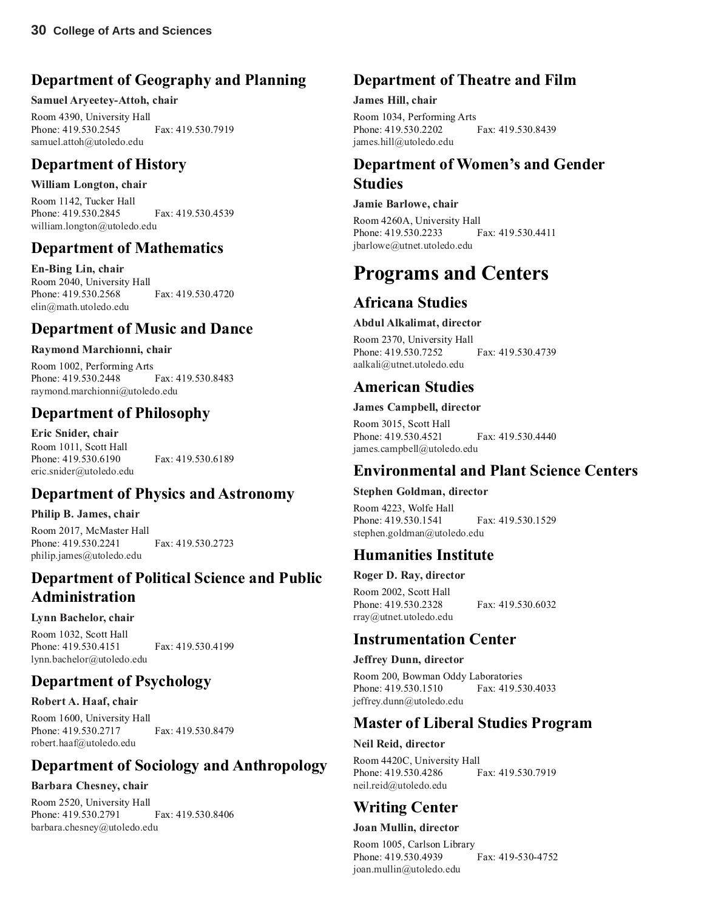## **Department of Geography and Planning**

#### **Samuel Aryeetey-Attoh, chair**

Room 4390, University Hall Phone: 419.530.2545 Fax: 419.530.7919 samuel.attoh@utoledo.edu

### **Department of History**

#### **William Longton, chair**

Room 1142, Tucker Hall Phone: 419.530.2845 Fax: 419.530.4539 william.longton@utoledo.edu

#### **Department of Mathematics**

**En-Bing Lin, chair** Room 2040, University Hall Phone: 419.530.2568 Fax: 419.530.4720 elin@math.utoledo.edu

### **Department of Music and Dance**

#### **Raymond Marchionni, chair**

Room 1002, Performing Arts Phone: 419.530.2448 Fax: 419.530.8483 raymond.marchionni@utoledo.edu

### **Department of Philosophy**

**Eric Snider, chair** Room 1011, Scott Hall Phone: 419.530.6190 Fax: 419.530.6189 eric.snider@utoledo.edu

#### **Department of Physics and Astronomy**

#### **Philip B. James, chair**

Room 2017, McMaster Hall Phone: 419.530.2241 Fax: 419.530.2723 philip.james@utoledo.edu

### **Department of Political Science and Public Administration**

#### **Lynn Bachelor, chair**

Room 1032, Scott Hall Phone: 419.530.4151 Fax: 419.530.4199 lynn.bachelor@utoledo.edu

#### **Department of Psychology**

#### **Robert A. Haaf, chair**

Room 1600, University Hall Phone: 419.530.2717 Fax: 419.530.8479 robert.haaf@utoledo.edu

#### **Department of Sociology and Anthropology**

#### **Barbara Chesney, chair**

Room 2520, University Hall Phone: 419.530.2791 Fax: 419.530.8406 barbara.chesney@utoledo.edu

### **Department of Theatre and Film**

#### **James Hill, chair**

Room 1034, Performing Arts<br>Phone: 419.530.2202 Fax: 419.530.8439 Phone: 419.530.2202 james.hill@utoledo.edu

### **Department of Women's and Gender Studies**

#### **Jamie Barlowe, chair**

Room 4260A, University Hall Phone: 419.530.2233 Fax: 419.530.4411 jbarlowe@utnet.utoledo.edu

## **Programs and Centers**

#### **Africana Studies**

#### **Abdul Alkalimat, director**

Room 2370, University Hall Phone: 419.530.7252 Fax: 419.530.4739 aalkali@utnet.utoledo.edu

### **American Studies**

#### **James Campbell, director**

Room 3015, Scott Hall Phone: 419.530.4521 Fax: 419.530.4440 james.campbell@utoledo.edu

#### **Environmental and Plant Science Centers**

#### **Stephen Goldman, director**

Room 4223, Wolfe Hall Phone: 419.530.1541 Fax: 419.530.1529 stephen.goldman@utoledo.edu

### **Humanities Institute**

#### **Roger D. Ray, director**

Room 2002, Scott Hall Phone: 419.530.2328 Fax: 419.530.6032 rray@utnet.utoledo.edu

#### **Instrumentation Center**

**Jeffrey Dunn, director**

Room 200, Bowman Oddy Laboratories Phone: 419.530.1510 Fax: 419.530.4033 jeffrey.dunn@utoledo.edu

#### **Master of Liberal Studies Program**

#### **Neil Reid, director**

Room 4420C, University Hall Phone: 419.530.4286 Fax: 419.530.7919 neil.reid@utoledo.edu

### **Writing Center**

**Joan Mullin, director**

Room 1005, Carlson Library Phone: 419.530.4939 Fax: 419-530-4752 joan.mullin@utoledo.edu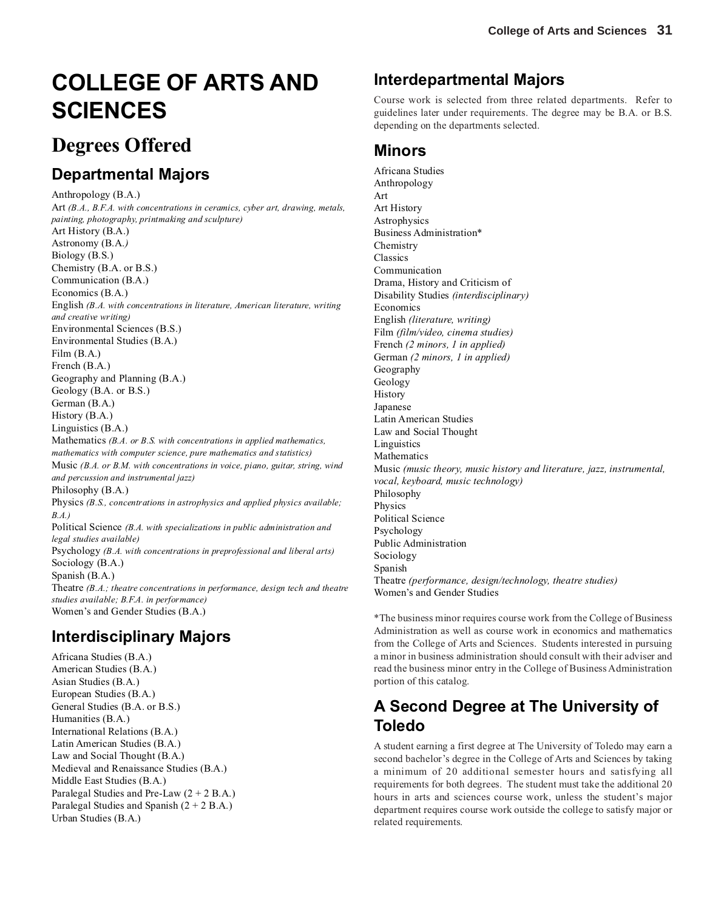# **COLLEGE OF ARTS AND SCIENCES**

## **Degrees Offered**

## **Departmental Majors**

Anthropology (B.A.) Art *(B.A., B.F.A. with concentrations in ceramics, cyber art, drawing, metals, painting, photography, printmaking and sculpture)* Art History (B.A.) Astronomy (B.A.*)* Biology (B.S.) Chemistry (B.A. or B.S.) Communication (B.A.) Economics (B.A.) English *(B.A. with concentrations in literature, American literature, writing and creative writing)* Environmental Sciences (B.S.) Environmental Studies (B.A.) Film (B.A.) French (B.A.) Geography and Planning (B.A.) Geology (B.A. or B.S.) German (B.A.) History (B.A.) Linguistics (B.A.) Mathematics *(B.A. or B.S. with concentrations in applied mathematics, mathematics with computer science, pure mathematics and statistics)* Music *(B.A. or B.M. with concentrations in voice, piano, guitar, string, wind and percussion and instrumental jazz)* Philosophy (B.A.) Physics *(B.S., concentrations in astrophysics and applied physics available; B.A.)* Political Science *(B.A. with specializations in public administration and legal studies available)* Psychology *(B.A. with concentrations in preprofessional and liberal arts)* Sociology (B.A.) Spanish (B.A.) Theatre *(B.A.; theatre concentrations in performance, design tech and theatre studies available; B.F.A. in performance)* Women's and Gender Studies (B.A.)

### **Interdisciplinary Majors**

Africana Studies (B.A.) American Studies (B.A.) Asian Studies (B.A.) European Studies (B.A.) General Studies (B.A. or B.S.) Humanities (B.A.) International Relations (B.A.) Latin American Studies (B.A.) Law and Social Thought (B.A.) Medieval and Renaissance Studies (B.A.) Middle East Studies (B.A.) Paralegal Studies and Pre-Law  $(2 + 2 B.A.)$ Paralegal Studies and Spanish  $(2 + 2 B.A.)$ Urban Studies (B.A.)

## **Interdepartmental Majors**

Course work is selected from three related departments. Refer to guidelines later under requirements. The degree may be B.A. or B.S. depending on the departments selected.

#### **Minors**

Africana Studies Anthropology Art Art History Astrophysics Business Administration\* **Chemistry** Classics Communication Drama, History and Criticism of Disability Studies *(interdisciplinary)* Economics English *(literature, writing)* Film *(film/video, cinema studies)* French *(2 minors, 1 in applied)* German *(2 minors, 1 in applied)* Geography Geology History Japanese Latin American Studies Law and Social Thought Linguistics Mathematics Music *(music theory, music history and literature, jazz, instrumental, vocal, keyboard, music technology)* Philosophy Physics Political Science Psychology Public Administration Sociology Spanish Theatre *(performance, design/technology, theatre studies)* Women's and Gender Studies

\*The business minor requires course work from the College of Business Administration as well as course work in economics and mathematics from the College of Arts and Sciences. Students interested in pursuing a minor in business administration should consult with their adviser and read the business minor entry in the College of Business Administration portion of this catalog.

## **A Second Degree at The University of Toledo**

A student earning a first degree at The University of Toledo may earn a second bachelor's degree in the College of Arts and Sciences by taking a minimum of 20 additional semester hours and satisfying all requirements for both degrees. The student must take the additional 20 hours in arts and sciences course work, unless the student's major department requires course work outside the college to satisfy major or related requirements.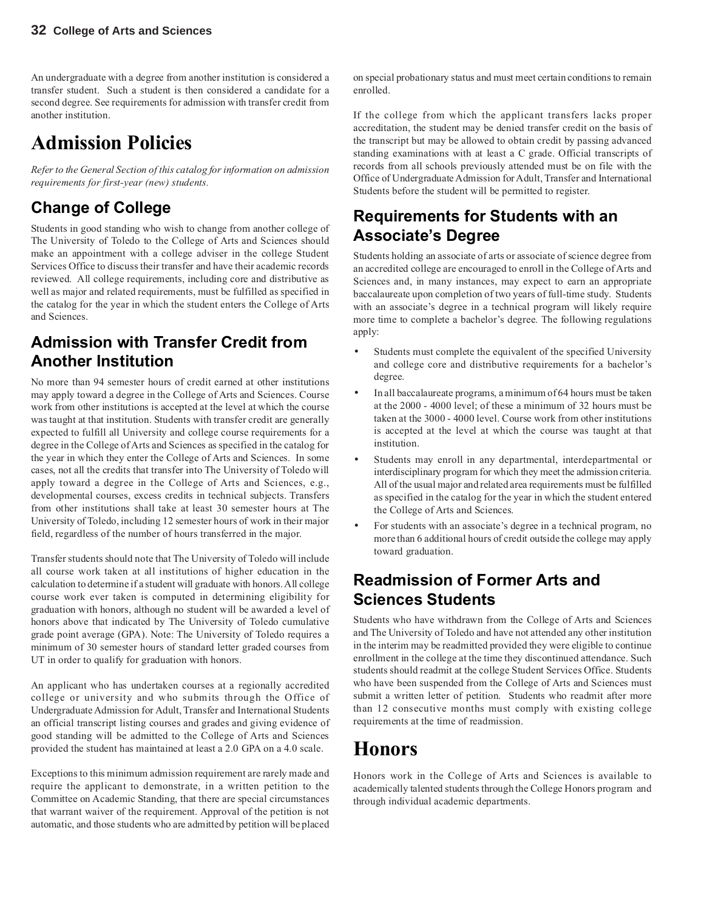An undergraduate with a degree from another institution is considered a transfer student. Such a student is then considered a candidate for a second degree. See requirements for admission with transfer credit from another institution.

## **Admission Policies**

*Refer to the General Section of this catalog for information on admission requirements for first-year (new) students.*

## **Change of College**

Students in good standing who wish to change from another college of The University of Toledo to the College of Arts and Sciences should make an appointment with a college adviser in the college Student Services Office to discuss their transfer and have their academic records reviewed. All college requirements, including core and distributive as well as major and related requirements, must be fulfilled as specified in the catalog for the year in which the student enters the College of Arts and Sciences.

## **Admission with Transfer Credit from Another Institution**

No more than 94 semester hours of credit earned at other institutions may apply toward a degree in the College of Arts and Sciences. Course work from other institutions is accepted at the level at which the course was taught at that institution. Students with transfer credit are generally expected to fulfill all University and college course requirements for a degree in the College of Arts and Sciences as specified in the catalog for the year in which they enter the College of Arts and Sciences. In some cases, not all the credits that transfer into The University of Toledo will apply toward a degree in the College of Arts and Sciences, e.g., developmental courses, excess credits in technical subjects. Transfers from other institutions shall take at least 30 semester hours at The University of Toledo, including 12 semester hours of work in their major field, regardless of the number of hours transferred in the major.

Transfer students should note that The University of Toledo will include all course work taken at all institutions of higher education in the calculation to determine if a student will graduate with honors. All college course work ever taken is computed in determining eligibility for graduation with honors, although no student will be awarded a level of honors above that indicated by The University of Toledo cumulative grade point average (GPA). Note: The University of Toledo requires a minimum of 30 semester hours of standard letter graded courses from UT in order to qualify for graduation with honors.

An applicant who has undertaken courses at a regionally accredited college or university and who submits through the Office of Undergraduate Admission for Adult, Transfer and International Students an official transcript listing courses and grades and giving evidence of good standing will be admitted to the College of Arts and Sciences provided the student has maintained at least a 2.0 GPA on a 4.0 scale.

Exceptions to this minimum admission requirement are rarely made and require the applicant to demonstrate, in a written petition to the Committee on Academic Standing, that there are special circumstances that warrant waiver of the requirement. Approval of the petition is not automatic, and those students who are admitted by petition will be placed

on special probationary status and must meet certain conditions to remain enrolled.

If the college from which the applicant transfers lacks proper accreditation, the student may be denied transfer credit on the basis of the transcript but may be allowed to obtain credit by passing advanced standing examinations with at least a C grade. Official transcripts of records from all schools previously attended must be on file with the Office of Undergraduate Admission for Adult, Transfer and International Students before the student will be permitted to register.

## **Requirements for Students with an Associate's Degree**

Students holding an associate of arts or associate of science degree from an accredited college are encouraged to enroll in the College of Arts and Sciences and, in many instances, may expect to earn an appropriate baccalaureate upon completion of two years of full-time study. Students with an associate's degree in a technical program will likely require more time to complete a bachelor's degree. The following regulations apply:

- Students must complete the equivalent of the specified University and college core and distributive requirements for a bachelor's degree.
- In all baccalaureate programs, a minimum of 64 hours must be taken at the 2000 - 4000 level; of these a minimum of 32 hours must be taken at the 3000 - 4000 level. Course work from other institutions is accepted at the level at which the course was taught at that institution.
- Students may enroll in any departmental, interdepartmental or interdisciplinary program for which they meet the admission criteria. All of the usual major and related area requirements must be fulfilled as specified in the catalog for the year in which the student entered the College of Arts and Sciences.
- For students with an associate's degree in a technical program, no more than 6 additional hours of credit outside the college may apply toward graduation.

## **Readmission of Former Arts and Sciences Students**

Students who have withdrawn from the College of Arts and Sciences and The University of Toledo and have not attended any other institution in the interim may be readmitted provided they were eligible to continue enrollment in the college at the time they discontinued attendance. Such students should readmit at the college Student Services Office. Students who have been suspended from the College of Arts and Sciences must submit a written letter of petition. Students who readmit after more than 12 consecutive months must comply with existing college requirements at the time of readmission.

## **Honors**

Honors work in the College of Arts and Sciences is available to academically talented students through the College Honors program and through individual academic departments.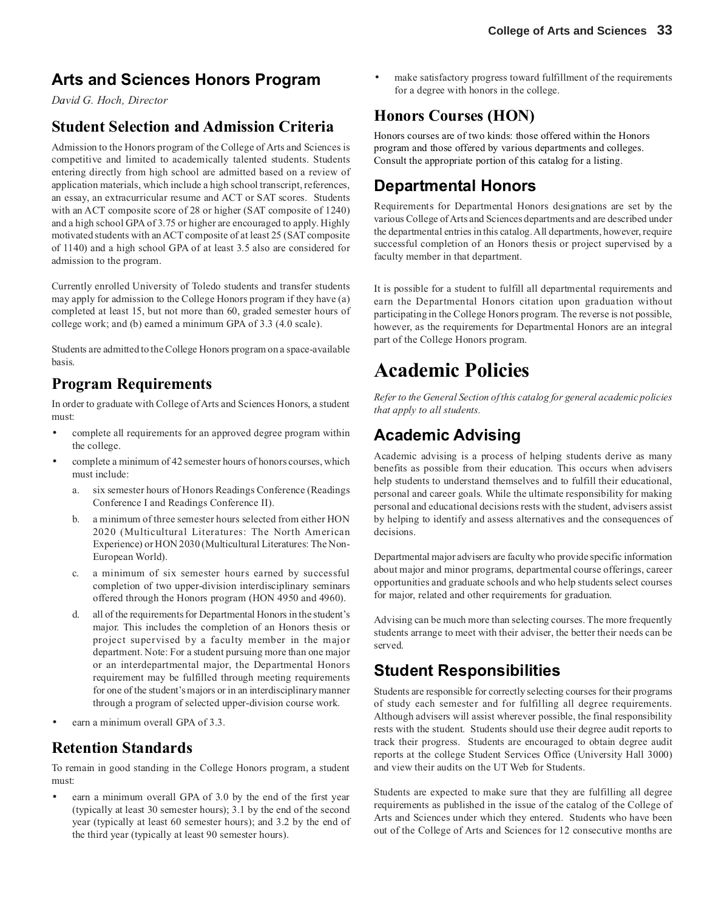## **Arts and Sciences Honors Program**

*David G. Hoch, Director*

#### **Student Selection and Admission Criteria**

Admission to the Honors program of the College of Arts and Sciences is competitive and limited to academically talented students. Students entering directly from high school are admitted based on a review of application materials, which include a high school transcript, references, an essay, an extracurricular resume and ACT or SAT scores. Students with an ACT composite score of 28 or higher (SAT composite of 1240) and a high school GPA of 3.75 or higher are encouraged to apply. Highly motivated students with an ACT composite of at least 25 (SAT composite of 1140) and a high school GPA of at least 3.5 also are considered for admission to the program.

Currently enrolled University of Toledo students and transfer students may apply for admission to the College Honors program if they have (a) completed at least 15, but not more than 60, graded semester hours of college work; and (b) earned a minimum GPA of 3.3 (4.0 scale).

Students are admitted to the College Honors program on a space-available basis.

#### **Program Requirements**

In order to graduate with College of Arts and Sciences Honors, a student must:

- complete all requirements for an approved degree program within the college.
- complete a minimum of 42 semester hours of honors courses, which must include:
	- a. six semester hours of Honors Readings Conference (Readings Conference I and Readings Conference II).
	- b. a minimum of three semester hours selected from either HON 2020 (Multicultural Literatures: The North American Experience) or HON 2030 (Multicultural Literatures: The Non-European World).
	- c. a minimum of six semester hours earned by successful completion of two upper-division interdisciplinary seminars offered through the Honors program (HON 4950 and 4960).
	- d. all of the requirements for Departmental Honors in the student's major. This includes the completion of an Honors thesis or project supervised by a faculty member in the major department. Note: For a student pursuing more than one major or an interdepartmental major, the Departmental Honors requirement may be fulfilled through meeting requirements for one of the student's majors or in an interdisciplinary manner through a program of selected upper-division course work.
- earn a minimum overall GPA of 3.3.

#### **Retention Standards**

To remain in good standing in the College Honors program, a student must:

earn a minimum overall GPA of 3.0 by the end of the first year (typically at least 30 semester hours); 3.1 by the end of the second year (typically at least 60 semester hours); and 3.2 by the end of the third year (typically at least 90 semester hours).

make satisfactory progress toward fulfillment of the requirements for a degree with honors in the college.

### **Honors Courses (HON)**

Honors courses are of two kinds: those offered within the Honors program and those offered by various departments and colleges. Consult the appropriate portion of this catalog for a listing.

### **Departmental Honors**

Requirements for Departmental Honors designations are set by the various College of Arts and Sciences departments and are described under the departmental entries in this catalog. All departments, however, require successful completion of an Honors thesis or project supervised by a faculty member in that department.

It is possible for a student to fulfill all departmental requirements and earn the Departmental Honors citation upon graduation without participating in the College Honors program. The reverse is not possible, however, as the requirements for Departmental Honors are an integral part of the College Honors program.

## **Academic Policies**

*Refer to the General Section of this catalog for general academic policies that apply to all students.*

## **Academic Advising**

Academic advising is a process of helping students derive as many benefits as possible from their education. This occurs when advisers help students to understand themselves and to fulfill their educational, personal and career goals. While the ultimate responsibility for making personal and educational decisions rests with the student, advisers assist by helping to identify and assess alternatives and the consequences of decisions.

Departmental major advisers are faculty who provide specific information about major and minor programs, departmental course offerings, career opportunities and graduate schools and who help students select courses for major, related and other requirements for graduation.

Advising can be much more than selecting courses. The more frequently students arrange to meet with their adviser, the better their needs can be served.

### **Student Responsibilities**

Students are responsible for correctly selecting courses for their programs of study each semester and for fulfilling all degree requirements. Although advisers will assist wherever possible, the final responsibility rests with the student. Students should use their degree audit reports to track their progress. Students are encouraged to obtain degree audit reports at the college Student Services Office (University Hall 3000) and view their audits on the UT Web for Students.

Students are expected to make sure that they are fulfilling all degree requirements as published in the issue of the catalog of the College of Arts and Sciences under which they entered. Students who have been out of the College of Arts and Sciences for 12 consecutive months are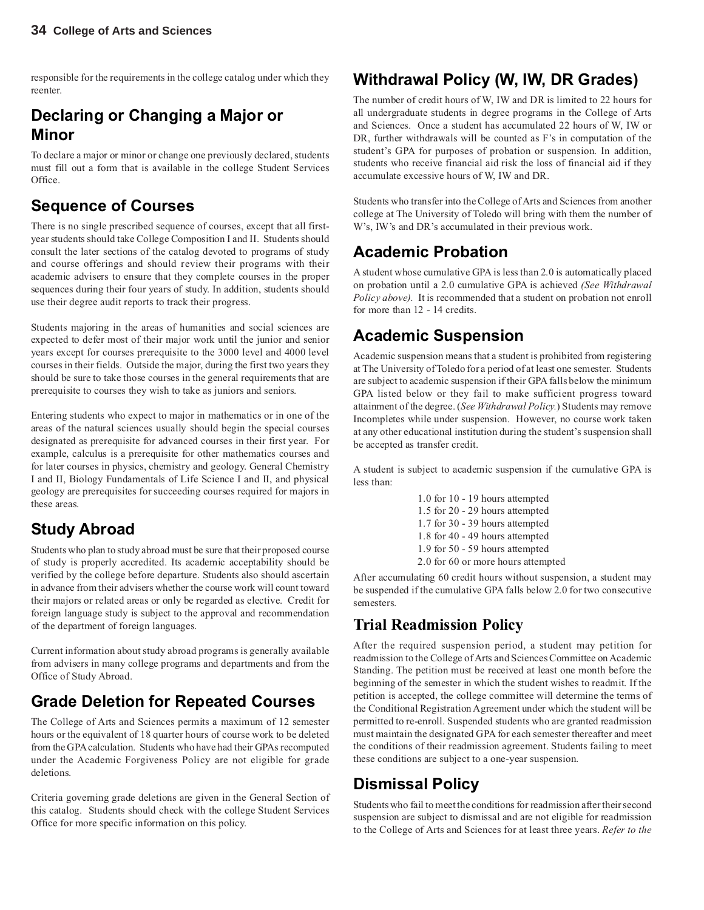responsible for the requirements in the college catalog under which they reenter.

## **Declaring or Changing a Major or Minor**

To declare a major or minor or change one previously declared, students must fill out a form that is available in the college Student Services Office.

## **Sequence of Courses**

There is no single prescribed sequence of courses, except that all firstyear students should take College Composition I and II. Students should consult the later sections of the catalog devoted to programs of study and course offerings and should review their programs with their academic advisers to ensure that they complete courses in the proper sequences during their four years of study. In addition, students should use their degree audit reports to track their progress.

Students majoring in the areas of humanities and social sciences are expected to defer most of their major work until the junior and senior years except for courses prerequisite to the 3000 level and 4000 level courses in their fields. Outside the major, during the first two years they should be sure to take those courses in the general requirements that are prerequisite to courses they wish to take as juniors and seniors.

Entering students who expect to major in mathematics or in one of the areas of the natural sciences usually should begin the special courses designated as prerequisite for advanced courses in their first year. For example, calculus is a prerequisite for other mathematics courses and for later courses in physics, chemistry and geology. General Chemistry I and II, Biology Fundamentals of Life Science I and II, and physical geology are prerequisites for succeeding courses required for majors in these areas.

## **Study Abroad**

Students who plan to study abroad must be sure that their proposed course of study is properly accredited. Its academic acceptability should be verified by the college before departure. Students also should ascertain in advance from their advisers whether the course work will count toward their majors or related areas or only be regarded as elective. Credit for foreign language study is subject to the approval and recommendation of the department of foreign languages.

Current information about study abroad programs is generally available from advisers in many college programs and departments and from the Office of Study Abroad.

## **Grade Deletion for Repeated Courses**

The College of Arts and Sciences permits a maximum of 12 semester hours or the equivalent of 18 quarter hours of course work to be deleted from the GPA calculation. Students who have had their GPAs recomputed under the Academic Forgiveness Policy are not eligible for grade deletions.

Criteria governing grade deletions are given in the General Section of this catalog. Students should check with the college Student Services Office for more specific information on this policy.

## **Withdrawal Policy (W, IW, DR Grades)**

The number of credit hours of W, IW and DR is limited to 22 hours for all undergraduate students in degree programs in the College of Arts and Sciences. Once a student has accumulated 22 hours of W, IW or DR, further withdrawals will be counted as F's in computation of the student's GPA for purposes of probation or suspension. In addition, students who receive financial aid risk the loss of financial aid if they accumulate excessive hours of W, IW and DR.

Students who transfer into the College of Arts and Sciences from another college at The University of Toledo will bring with them the number of W's, IW's and DR's accumulated in their previous work.

## **Academic Probation**

A student whose cumulative GPA is less than 2.0 is automatically placed on probation until a 2.0 cumulative GPA is achieved *(See Withdrawal Policy above).* It is recommended that a student on probation not enroll for more than 12 - 14 credits.

## **Academic Suspension**

Academic suspension means that a student is prohibited from registering at The University of Toledo for a period of at least one semester. Students are subject to academic suspension if their GPA falls below the minimum GPA listed below or they fail to make sufficient progress toward attainment of the degree. (*See Withdrawal Policy.*) Students may remove Incompletes while under suspension. However, no course work taken at any other educational institution during the student's suspension shall be accepted as transfer credit.

A student is subject to academic suspension if the cumulative GPA is less than:

> 1.0 for 10 - 19 hours attempted 1.5 for 20 - 29 hours attempted 1.7 for 30 - 39 hours attempted 1.8 for 40 - 49 hours attempted 1.9 for 50 - 59 hours attempted 2.0 for 60 or more hours attempted

After accumulating 60 credit hours without suspension, a student may be suspended if the cumulative GPA falls below 2.0 for two consecutive semesters.

### **Trial Readmission Policy**

After the required suspension period, a student may petition for readmission to the College of Arts and Sciences Committee on Academic Standing. The petition must be received at least one month before the beginning of the semester in which the student wishes to readmit. If the petition is accepted, the college committee will determine the terms of the Conditional Registration Agreement under which the student will be permitted to re-enroll. Suspended students who are granted readmission must maintain the designated GPA for each semester thereafter and meet the conditions of their readmission agreement. Students failing to meet these conditions are subject to a one-year suspension.

### **Dismissal Policy**

Students who fail to meet the conditions for readmission after their second suspension are subject to dismissal and are not eligible for readmission to the College of Arts and Sciences for at least three years. *Refer to the*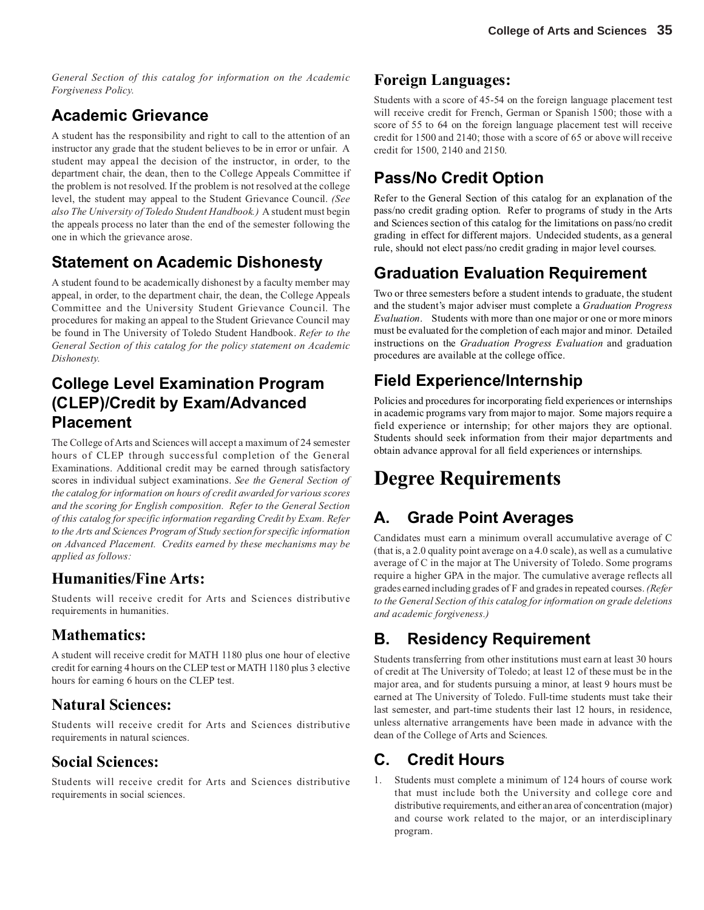*General Section of this catalog for information on the Academic Forgiveness Policy.*

## **Academic Grievance**

A student has the responsibility and right to call to the attention of an instructor any grade that the student believes to be in error or unfair. A student may appeal the decision of the instructor, in order, to the department chair, the dean, then to the College Appeals Committee if the problem is not resolved. If the problem is not resolved at the college level, the student may appeal to the Student Grievance Council. *(See also The University of Toledo Student Handbook.)* A student must begin the appeals process no later than the end of the semester following the one in which the grievance arose.

## **Statement on Academic Dishonesty**

A student found to be academically dishonest by a faculty member may appeal, in order, to the department chair, the dean, the College Appeals Committee and the University Student Grievance Council. The procedures for making an appeal to the Student Grievance Council may be found in The University of Toledo Student Handbook. *Refer to the General Section of this catalog for the policy statement on Academic Dishonesty.*

## **College Level Examination Program (CLEP)/Credit by Exam/Advanced Placement**

The College of Arts and Sciences will accept a maximum of 24 semester hours of CLEP through successful completion of the General Examinations. Additional credit may be earned through satisfactory scores in individual subject examinations. *See the General Section of the catalog for information on hours of credit awarded for various scores and the scoring for English composition. Refer to the General Section of this catalog for specific information regarding Credit by Exam. Refer to the Arts and Sciences Program of Study section for specific information on Advanced Placement. Credits earned by these mechanisms may be applied as follows:*

#### **Humanities/Fine Arts:**

Students will receive credit for Arts and Sciences distributive requirements in humanities.

#### **Mathematics:**

A student will receive credit for MATH 1180 plus one hour of elective credit for earning 4 hours on the CLEP test or MATH 1180 plus 3 elective hours for earning 6 hours on the CLEP test.

#### **Natural Sciences:**

Students will receive credit for Arts and Sciences distributive requirements in natural sciences.

#### **Social Sciences:**

Students will receive credit for Arts and Sciences distributive requirements in social sciences.

### **Foreign Languages:**

Students with a score of 45-54 on the foreign language placement test will receive credit for French, German or Spanish 1500; those with a score of 55 to 64 on the foreign language placement test will receive credit for 1500 and 2140; those with a score of 65 or above will receive credit for 1500, 2140 and 2150.

## **Pass/No Credit Option**

Refer to the General Section of this catalog for an explanation of the pass/no credit grading option. Refer to programs of study in the Arts and Sciences section of this catalog for the limitations on pass/no credit grading in effect for different majors. Undecided students, as a general rule, should not elect pass/no credit grading in major level courses.

## **Graduation Evaluation Requirement**

Two or three semesters before a student intends to graduate, the student and the student's major adviser must complete a *Graduation Progress Evaluation*. Students with more than one major or one or more minors must be evaluated for the completion of each major and minor. Detailed instructions on the *Graduation Progress Evaluation* and graduation procedures are available at the college office.

## **Field Experience/Internship**

Policies and procedures for incorporating field experiences or internships in academic programs vary from major to major. Some majors require a field experience or internship; for other majors they are optional. Students should seek information from their major departments and obtain advance approval for all field experiences or internships.

# **Degree Requirements**

## **A. Grade Point Averages**

Candidates must earn a minimum overall accumulative average of C (that is, a 2.0 quality point average on a 4.0 scale), as well as a cumulative average of C in the major at The University of Toledo. Some programs require a higher GPA in the major. The cumulative average reflects all grades earned including grades of F and grades in repeated courses. *(Refer to the General Section of this catalog for information on grade deletions and academic forgiveness.)*

## **B. Residency Requirement**

Students transferring from other institutions must earn at least 30 hours of credit at The University of Toledo; at least 12 of these must be in the major area, and for students pursuing a minor, at least 9 hours must be earned at The University of Toledo. Full-time students must take their last semester, and part-time students their last 12 hours, in residence, unless alternative arrangements have been made in advance with the dean of the College of Arts and Sciences.

## **C. Credit Hours**

1. Students must complete a minimum of 124 hours of course work that must include both the University and college core and distributive requirements, and either an area of concentration (major) and course work related to the major, or an interdisciplinary program.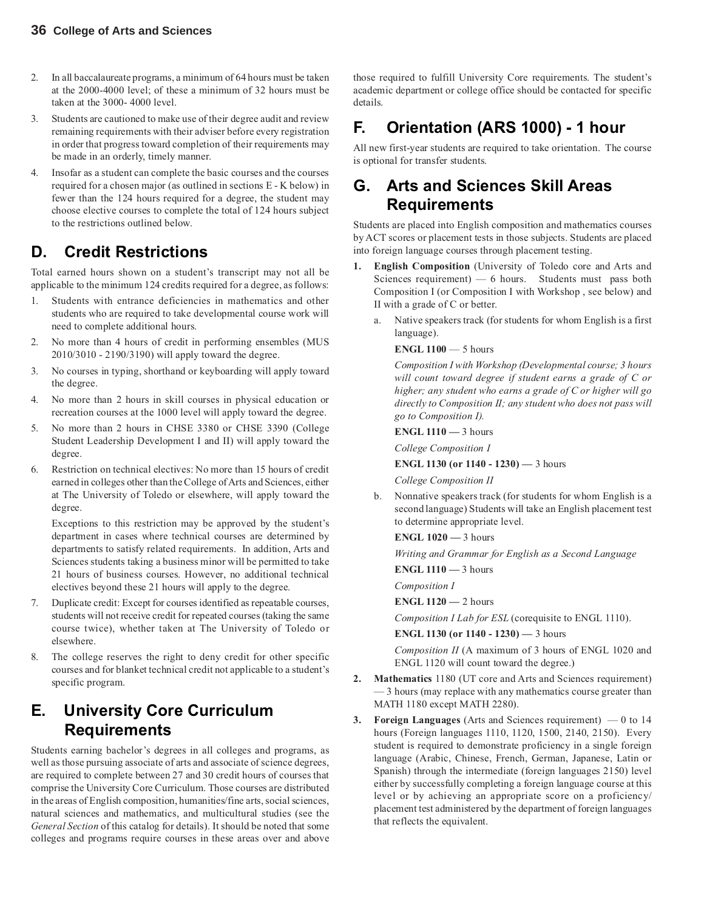- 2. In all baccalaureate programs, a minimum of 64 hours must be taken at the 2000-4000 level; of these a minimum of 32 hours must be taken at the 3000- 4000 level.
- 3. Students are cautioned to make use of their degree audit and review remaining requirements with their adviser before every registration in order that progress toward completion of their requirements may be made in an orderly, timely manner.
- 4. Insofar as a student can complete the basic courses and the courses required for a chosen major (as outlined in sections E - K below) in fewer than the 124 hours required for a degree, the student may choose elective courses to complete the total of 124 hours subject to the restrictions outlined below.

## **D. Credit Restrictions**

Total earned hours shown on a student's transcript may not all be applicable to the minimum 124 credits required for a degree, as follows:

- 1. Students with entrance deficiencies in mathematics and other students who are required to take developmental course work will need to complete additional hours.
- 2. No more than 4 hours of credit in performing ensembles (MUS 2010/3010 - 2190/3190) will apply toward the degree.
- 3. No courses in typing, shorthand or keyboarding will apply toward the degree.
- 4. No more than 2 hours in skill courses in physical education or recreation courses at the 1000 level will apply toward the degree.
- 5. No more than 2 hours in CHSE 3380 or CHSE 3390 (College Student Leadership Development I and II) will apply toward the degree.
- 6. Restriction on technical electives: No more than 15 hours of credit earned in colleges other than the College of Arts and Sciences, either at The University of Toledo or elsewhere, will apply toward the degree.

Exceptions to this restriction may be approved by the student's department in cases where technical courses are determined by departments to satisfy related requirements. In addition, Arts and Sciences students taking a business minor will be permitted to take 21 hours of business courses. However, no additional technical electives beyond these 21 hours will apply to the degree.

- 7. Duplicate credit: Except for courses identified as repeatable courses, students will not receive credit for repeated courses (taking the same course twice), whether taken at The University of Toledo or elsewhere.
- 8. The college reserves the right to deny credit for other specific courses and for blanket technical credit not applicable to a student's specific program.

## **E. University Core Curriculum Requirements**

Students earning bachelor's degrees in all colleges and programs, as well as those pursuing associate of arts and associate of science degrees, are required to complete between 27 and 30 credit hours of courses that comprise the University Core Curriculum. Those courses are distributed in the areas of English composition, humanities/fine arts, social sciences, natural sciences and mathematics, and multicultural studies (see the *General Section* of this catalog for details). It should be noted that some colleges and programs require courses in these areas over and above

those required to fulfill University Core requirements. The student's academic department or college office should be contacted for specific details.

## **F. Orientation (ARS 1000) - 1 hour**

All new first-year students are required to take orientation. The course is optional for transfer students.

### **G. Arts and Sciences Skill Areas Requirements**

Students are placed into English composition and mathematics courses by ACT scores or placement tests in those subjects. Students are placed into foreign language courses through placement testing.

- **1. English Composition** (University of Toledo core and Arts and Sciences requirement) — 6 hours. Students must pass both Composition I (or Composition I with Workshop , see below) and II with a grade of C or better.
	- a. Native speakers track (for students for whom English is a first language).

#### **ENGL 1100** — 5 hours

*Composition I with Workshop (Developmental course; 3 hours will count toward degree if student earns a grade of C or higher; any student who earns a grade of C or higher will go directly to Composition II; any student who does not pass will go to Composition I).*

**ENGL 1110 —** 3 hours

*College Composition I*

**ENGL 1130 (or 1140 - 1230) —** 3 hours

*College Composition II*

- b. Nonnative speakers track (for students for whom English is a second language) Students will take an English placement test to determine appropriate level.
	- **ENGL 1020** 3 hours

*Writing and Grammar for English as a Second Language*

**ENGL 1110 —** 3 hours

*Composition I*

**ENGL 1120 —** 2 hours

*Composition I Lab for ESL* (corequisite to ENGL 1110).

**ENGL 1130 (or 1140 - 1230) —** 3 hours

*Composition II* (A maximum of 3 hours of ENGL 1020 and ENGL 1120 will count toward the degree.)

- **2. Mathematics** 1180 (UT core and Arts and Sciences requirement) — 3 hours (may replace with any mathematics course greater than MATH 1180 except MATH 2280).
- **3. Foreign Languages** (Arts and Sciences requirement) 0 to 14 hours (Foreign languages 1110, 1120, 1500, 2140, 2150). Every student is required to demonstrate proficiency in a single foreign language (Arabic, Chinese, French, German, Japanese, Latin or Spanish) through the intermediate (foreign languages 2150) level either by successfully completing a foreign language course at this level or by achieving an appropriate score on a proficiency/ placement test administered by the department of foreign languages that reflects the equivalent.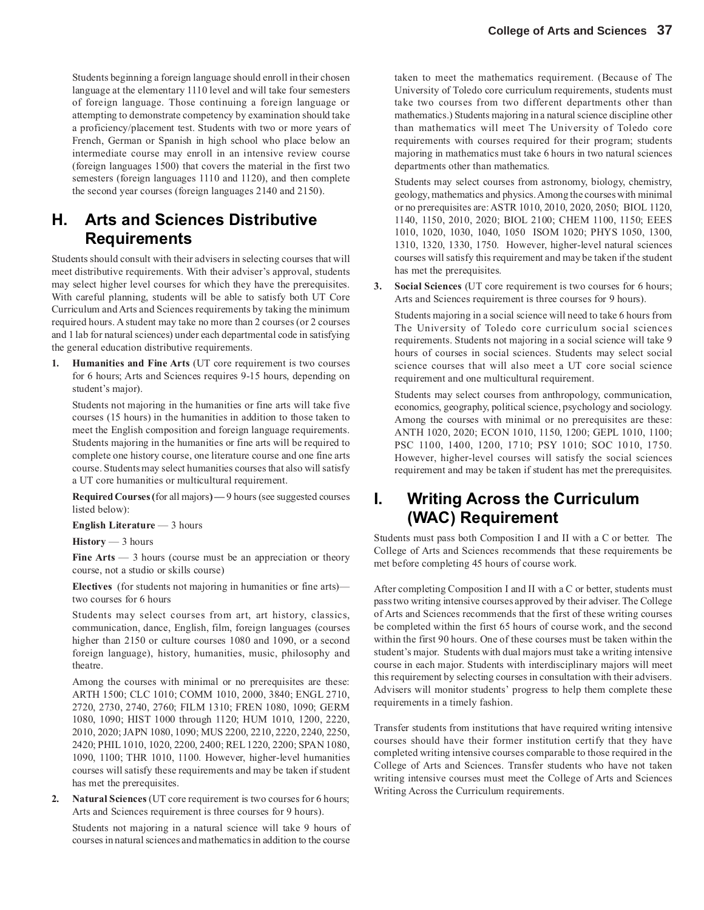Students beginning a foreign language should enroll in their chosen language at the elementary 1110 level and will take four semesters of foreign language. Those continuing a foreign language or attempting to demonstrate competency by examination should take a proficiency/placement test. Students with two or more years of French, German or Spanish in high school who place below an intermediate course may enroll in an intensive review course (foreign languages 1500) that covers the material in the first two semesters (foreign languages 1110 and 1120), and then complete the second year courses (foreign languages 2140 and 2150).

### **H. Arts and Sciences Distributive Requirements**

Students should consult with their advisers in selecting courses that will meet distributive requirements. With their adviser's approval, students may select higher level courses for which they have the prerequisites. With careful planning, students will be able to satisfy both UT Core Curriculum and Arts and Sciences requirements by taking the minimum required hours. A student may take no more than 2 courses (or 2 courses and 1 lab for natural sciences) under each departmental code in satisfying the general education distributive requirements.

**1. Humanities and Fine Arts** (UT core requirement is two courses for 6 hours; Arts and Sciences requires 9-15 hours, depending on student's major).

Students not majoring in the humanities or fine arts will take five courses (15 hours) in the humanities in addition to those taken to meet the English composition and foreign language requirements. Students majoring in the humanities or fine arts will be required to complete one history course, one literature course and one fine arts course. Students may select humanities courses that also will satisfy a UT core humanities or multicultural requirement.

**Required Courses (**for all majors**) —** 9 hours(see suggested courses listed below):

**English Literature** — 3 hours

#### **History** — 3 hours

**Fine Arts** — 3 hours (course must be an appreciation or theory course, not a studio or skills course)

**Electives** (for students not majoring in humanities or fine arts) two courses for 6 hours

Students may select courses from art, art history, classics, communication, dance, English, film, foreign languages (courses higher than 2150 or culture courses 1080 and 1090, or a second foreign language), history, humanities, music, philosophy and theatre.

Among the courses with minimal or no prerequisites are these: ARTH 1500; CLC 1010; COMM 1010, 2000, 3840; ENGL 2710, 2720, 2730, 2740, 2760; FILM 1310; FREN 1080, 1090; GERM 1080, 1090; HIST 1000 through 1120; HUM 1010, 1200, 2220, 2010, 2020; JAPN 1080, 1090; MUS 2200, 2210, 2220, 2240, 2250, 2420; PHIL 1010, 1020, 2200, 2400; REL 1220, 2200; SPAN 1080, 1090, 1100; THR 1010, 1100. However, higher-level humanities courses will satisfy these requirements and may be taken if student has met the prerequisites.

**2. Natural Sciences** (UT core requirement is two courses for 6 hours; Arts and Sciences requirement is three courses for 9 hours).

Students not majoring in a natural science will take 9 hours of courses in natural sciences and mathematics in addition to the course

taken to meet the mathematics requirement. (Because of The University of Toledo core curriculum requirements, students must take two courses from two different departments other than mathematics.) Students majoring in a natural science discipline other than mathematics will meet The University of Toledo core requirements with courses required for their program; students majoring in mathematics must take 6 hours in two natural sciences departments other than mathematics.

Students may select courses from astronomy, biology, chemistry, geology, mathematics and physics. Among the courses with minimal or no prerequisites are: ASTR 1010, 2010, 2020, 2050; BIOL 1120, 1140, 1150, 2010, 2020; BIOL 2100; CHEM 1100, 1150; EEES 1010, 1020, 1030, 1040, 1050 ISOM 1020; PHYS 1050, 1300, 1310, 1320, 1330, 1750. However, higher-level natural sciences courses will satisfy this requirement and may be taken if the student has met the prerequisites.

**3. Social Sciences** (UT core requirement is two courses for 6 hours; Arts and Sciences requirement is three courses for 9 hours).

Students majoring in a social science will need to take 6 hours from The University of Toledo core curriculum social sciences requirements. Students not majoring in a social science will take 9 hours of courses in social sciences. Students may select social science courses that will also meet a UT core social science requirement and one multicultural requirement.

Students may select courses from anthropology, communication, economics, geography, political science, psychology and sociology. Among the courses with minimal or no prerequisites are these: ANTH 1020, 2020; ECON 1010, 1150, 1200; GEPL 1010, 1100; PSC 1100, 1400, 1200, 1710; PSY 1010; SOC 1010, 1750. However, higher-level courses will satisfy the social sciences requirement and may be taken if student has met the prerequisites.

### **I. Writing Across the Curriculum (WAC) Requirement**

Students must pass both Composition I and II with a C or better. The College of Arts and Sciences recommends that these requirements be met before completing 45 hours of course work.

After completing Composition I and II with a C or better, students must pass two writing intensive courses approved by their adviser. The College of Arts and Sciences recommends that the first of these writing courses be completed within the first 65 hours of course work, and the second within the first 90 hours. One of these courses must be taken within the student's major. Students with dual majors must take a writing intensive course in each major. Students with interdisciplinary majors will meet this requirement by selecting courses in consultation with their advisers. Advisers will monitor students' progress to help them complete these requirements in a timely fashion.

Transfer students from institutions that have required writing intensive courses should have their former institution certify that they have completed writing intensive courses comparable to those required in the College of Arts and Sciences. Transfer students who have not taken writing intensive courses must meet the College of Arts and Sciences Writing Across the Curriculum requirements.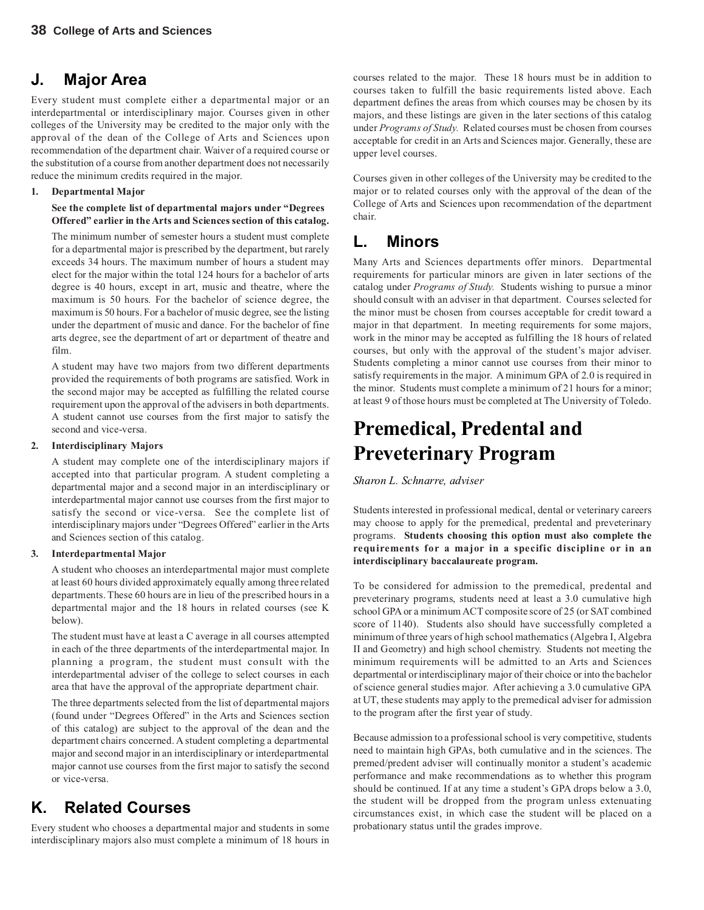### **J. Major Area**

Every student must complete either a departmental major or an interdepartmental or interdisciplinary major. Courses given in other colleges of the University may be credited to the major only with the approval of the dean of the College of Arts and Sciences upon recommendation of the department chair. Waiver of a required course or the substitution of a course from another department does not necessarily reduce the minimum credits required in the major.

#### **1. Departmental Major**

**See the complete list of departmental majors under "Degrees Offered" earlier in the Arts and Sciences section of this catalog.**

The minimum number of semester hours a student must complete for a departmental major is prescribed by the department, but rarely exceeds 34 hours. The maximum number of hours a student may elect for the major within the total 124 hours for a bachelor of arts degree is 40 hours, except in art, music and theatre, where the maximum is 50 hours. For the bachelor of science degree, the maximum is 50 hours. For a bachelor of music degree, see the listing under the department of music and dance. For the bachelor of fine arts degree, see the department of art or department of theatre and film.

A student may have two majors from two different departments provided the requirements of both programs are satisfied. Work in the second major may be accepted as fulfilling the related course requirement upon the approval of the advisers in both departments. A student cannot use courses from the first major to satisfy the second and vice-versa.

#### **2. Interdisciplinary Majors**

A student may complete one of the interdisciplinary majors if accepted into that particular program. A student completing a departmental major and a second major in an interdisciplinary or interdepartmental major cannot use courses from the first major to satisfy the second or vice-versa. See the complete list of interdisciplinary majors under "Degrees Offered" earlier in the Arts and Sciences section of this catalog.

#### **3. Interdepartmental Major**

A student who chooses an interdepartmental major must complete at least 60 hours divided approximately equally among three related departments. These 60 hours are in lieu of the prescribed hours in a departmental major and the 18 hours in related courses (see K below).

The student must have at least a C average in all courses attempted in each of the three departments of the interdepartmental major. In planning a program, the student must consult with the interdepartmental adviser of the college to select courses in each area that have the approval of the appropriate department chair.

The three departments selected from the list of departmental majors (found under "Degrees Offered" in the Arts and Sciences section of this catalog) are subject to the approval of the dean and the department chairs concerned. A student completing a departmental major and second major in an interdisciplinary or interdepartmental major cannot use courses from the first major to satisfy the second or vice-versa.

## **K. Related Courses**

Every student who chooses a departmental major and students in some interdisciplinary majors also must complete a minimum of 18 hours in

courses related to the major. These 18 hours must be in addition to courses taken to fulfill the basic requirements listed above. Each department defines the areas from which courses may be chosen by its majors, and these listings are given in the later sections of this catalog under *Programs of Study.* Related courses must be chosen from courses acceptable for credit in an Arts and Sciences major. Generally, these are upper level courses.

Courses given in other colleges of the University may be credited to the major or to related courses only with the approval of the dean of the College of Arts and Sciences upon recommendation of the department chair.

## **L. Minors**

Many Arts and Sciences departments offer minors. Departmental requirements for particular minors are given in later sections of the catalog under *Programs of Study.* Students wishing to pursue a minor should consult with an adviser in that department. Courses selected for the minor must be chosen from courses acceptable for credit toward a major in that department. In meeting requirements for some majors, work in the minor may be accepted as fulfilling the 18 hours of related courses, but only with the approval of the student's major adviser. Students completing a minor cannot use courses from their minor to satisfy requirements in the major. A minimum GPA of 2.0 is required in the minor. Students must complete a minimum of 21 hours for a minor; at least 9 of those hours must be completed at The University of Toledo.

## **Premedical, Predental and Preveterinary Program**

*Sharon L. Schnarre, adviser*

Students interested in professional medical, dental or veterinary careers may choose to apply for the premedical, predental and preveterinary programs. **Students choosing this option must also complete the requirements for a major in a specific discipline or in an interdisciplinary baccalaureate program.**

To be considered for admission to the premedical, predental and preveterinary programs, students need at least a 3.0 cumulative high school GPA or a minimum ACT composite score of 25 (or SAT combined score of 1140). Students also should have successfully completed a minimum of three years of high school mathematics (Algebra I, Algebra II and Geometry) and high school chemistry. Students not meeting the minimum requirements will be admitted to an Arts and Sciences departmental or interdisciplinary major of their choice or into the bachelor of science general studies major. After achieving a 3.0 cumulative GPA at UT, these students may apply to the premedical adviser for admission to the program after the first year of study.

Because admission to a professional school is very competitive, students need to maintain high GPAs, both cumulative and in the sciences. The premed/predent adviser will continually monitor a student's academic performance and make recommendations as to whether this program should be continued. If at any time a student's GPA drops below a 3.0, the student will be dropped from the program unless extenuating circumstances exist, in which case the student will be placed on a probationary status until the grades improve.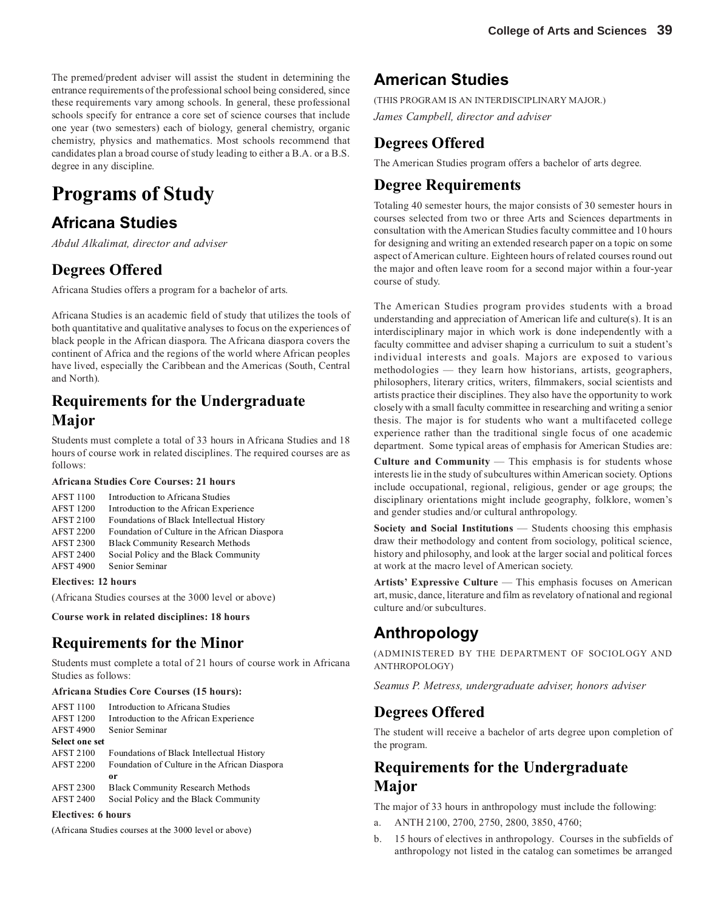The premed/predent adviser will assist the student in determining the entrance requirements of the professional school being considered, since these requirements vary among schools. In general, these professional schools specify for entrance a core set of science courses that include one year (two semesters) each of biology, general chemistry, organic chemistry, physics and mathematics. Most schools recommend that candidates plan a broad course of study leading to either a B.A. or a B.S. degree in any discipline.

## **Programs of Study**

## **Africana Studies**

*Abdul Alkalimat, director and adviser*

#### **Degrees Offered**

Africana Studies offers a program for a bachelor of arts.

Africana Studies is an academic field of study that utilizes the tools of both quantitative and qualitative analyses to focus on the experiences of black people in the African diaspora. The Africana diaspora covers the continent of Africa and the regions of the world where African peoples have lived, especially the Caribbean and the Americas (South, Central and North).

### **Requirements for the Undergraduate Major**

Students must complete a total of 33 hours in Africana Studies and 18 hours of course work in related disciplines. The required courses are as follows:

#### **Africana Studies Core Courses: 21 hours**

| <b>AFST 1100</b> | Introduction to Africana Studies              |
|------------------|-----------------------------------------------|
|                  |                                               |
| <b>AFST 1200</b> | Introduction to the African Experience        |
| <b>AFST 2100</b> | Foundations of Black Intellectual History     |
| <b>AFST 2200</b> | Foundation of Culture in the African Diaspora |
| <b>AFST 2300</b> | <b>Black Community Research Methods</b>       |
| <b>AFST 2400</b> | Social Policy and the Black Community         |
| <b>AFST 4900</b> | Senior Seminar                                |
|                  |                                               |

#### **Electives: 12 hours**

(Africana Studies courses at the 3000 level or above)

**Course work in related disciplines: 18 hours**

#### **Requirements for the Minor**

Students must complete a total of 21 hours of course work in Africana Studies as follows:

#### **Africana Studies Core Courses (15 hours):**

| <b>AFST 1100</b>      | Introduction to Africana Studies              |  |
|-----------------------|-----------------------------------------------|--|
| <b>AFST 1200</b>      | Introduction to the African Experience        |  |
| <b>AFST 4900</b>      | Senior Seminar                                |  |
| <b>Select one set</b> |                                               |  |
| <b>AFST 2100</b>      | Foundations of Black Intellectual History     |  |
| <b>AFST 2200</b>      | Foundation of Culture in the African Diaspora |  |
|                       | or                                            |  |
| <b>AFST 2300</b>      | <b>Black Community Research Methods</b>       |  |
| <b>AFST 2400</b>      | Social Policy and the Black Community         |  |

#### **Electives: 6 hours**

(Africana Studies courses at the 3000 level or above)

#### **American Studies**

(THIS PROGRAM IS AN INTERDISCIPLINARY MAJOR.) *James Campbell, director and adviser*

#### **Degrees Offered**

The American Studies program offers a bachelor of arts degree.

#### **Degree Requirements**

Totaling 40 semester hours, the major consists of 30 semester hours in courses selected from two or three Arts and Sciences departments in consultation with the American Studies faculty committee and 10 hours for designing and writing an extended research paper on a topic on some aspect of American culture. Eighteen hours of related courses round out the major and often leave room for a second major within a four-year course of study.

The American Studies program provides students with a broad understanding and appreciation of American life and culture(s). It is an interdisciplinary major in which work is done independently with a faculty committee and adviser shaping a curriculum to suit a student's individual interests and goals. Majors are exposed to various methodologies — they learn how historians, artists, geographers, philosophers, literary critics, writers, filmmakers, social scientists and artists practice their disciplines. They also have the opportunity to work closely with a small faculty committee in researching and writing a senior thesis. The major is for students who want a multifaceted college experience rather than the traditional single focus of one academic department. Some typical areas of emphasis for American Studies are:

**Culture and Community** — This emphasis is for students whose interests lie in the study of subcultures within American society. Options include occupational, regional, religious, gender or age groups; the disciplinary orientations might include geography, folklore, women's and gender studies and/or cultural anthropology.

**Society and Social Institutions** — Students choosing this emphasis draw their methodology and content from sociology, political science, history and philosophy, and look at the larger social and political forces at work at the macro level of American society.

**Artists' Expressive Culture** — This emphasis focuses on American art, music, dance, literature and film as revelatory of national and regional culture and/or subcultures.

## **Anthropology**

(ADMINISTERED BY THE DEPARTMENT OF SOCIOLOGY AND ANTHROPOLOGY)

*Seamus P. Metress, undergraduate adviser, honors adviser*

#### **Degrees Offered**

The student will receive a bachelor of arts degree upon completion of the program.

### **Requirements for the Undergraduate Major**

The major of 33 hours in anthropology must include the following:

- a. ANTH 2100, 2700, 2750, 2800, 3850, 4760;
- b. 15 hours of electives in anthropology. Courses in the subfields of anthropology not listed in the catalog can sometimes be arranged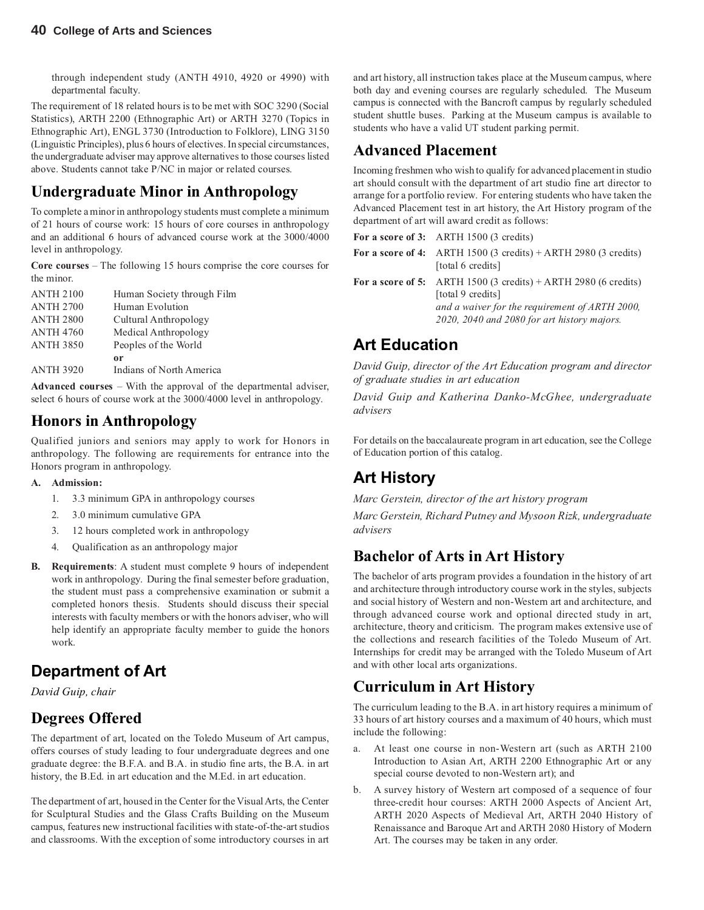through independent study (ANTH 4910, 4920 or 4990) with departmental faculty.

The requirement of 18 related hours is to be met with SOC 3290 (Social Statistics), ARTH 2200 (Ethnographic Art) or ARTH 3270 (Topics in Ethnographic Art), ENGL 3730 (Introduction to Folklore), LING 3150 (Linguistic Principles), plus 6 hours of electives. In special circumstances, the undergraduate adviser may approve alternatives to those courses listed above. Students cannot take P/NC in major or related courses.

## **Undergraduate Minor in Anthropology**

To complete a minor in anthropology students must complete a minimum of 21 hours of course work: 15 hours of core courses in anthropology and an additional 6 hours of advanced course work at the 3000/4000 level in anthropology.

**Core courses** – The following 15 hours comprise the core courses for the minor.

| ANTH 2100        | Human Society through Film |
|------------------|----------------------------|
| <b>ANTH 2700</b> | Human Evolution            |
| ANTH 2800        | Cultural Anthropology      |
| ANTH 4760        | Medical Anthropology       |
| ANTH 3850        | Peoples of the World       |
|                  | or                         |
| <b>ANTH 3920</b> | Indians of North America   |

**Advanced courses** – With the approval of the departmental adviser, select 6 hours of course work at the 3000/4000 level in anthropology.

### **Honors in Anthropology**

Qualified juniors and seniors may apply to work for Honors in anthropology. The following are requirements for entrance into the Honors program in anthropology.

#### **A. Admission:**

- 1. 3.3 minimum GPA in anthropology courses
- 2. 3.0 minimum cumulative GPA
- 3. 12 hours completed work in anthropology
- 4. Qualification as an anthropology major
- **B. Requirements**: A student must complete 9 hours of independent work in anthropology. During the final semester before graduation, the student must pass a comprehensive examination or submit a completed honors thesis. Students should discuss their special interests with faculty members or with the honors adviser, who will help identify an appropriate faculty member to guide the honors work.

## **Department of Art**

*David Guip, chair*

### **Degrees Offered**

The department of art, located on the Toledo Museum of Art campus, offers courses of study leading to four undergraduate degrees and one graduate degree: the B.F.A. and B.A. in studio fine arts, the B.A. in art history, the B.Ed. in art education and the M.Ed. in art education.

The department of art, housed in the Center for the Visual Arts, the Center for Sculptural Studies and the Glass Crafts Building on the Museum campus, features new instructional facilities with state-of-the-art studios and classrooms. With the exception of some introductory courses in art

and art history, all instruction takes place at the Museum campus, where both day and evening courses are regularly scheduled. The Museum campus is connected with the Bancroft campus by regularly scheduled student shuttle buses. Parking at the Museum campus is available to students who have a valid UT student parking permit.

#### **Advanced Placement**

Incoming freshmen who wish to qualify for advanced placement in studio art should consult with the department of art studio fine art director to arrange for a portfolio review. For entering students who have taken the Advanced Placement test in art history, the Art History program of the department of art will award credit as follows:

For a score of 3: ARTH 1500 (3 credits)

| For a score of 4: ARTH $1500$ (3 credits) + ARTH 2980 (3 credits)<br>[total 6 credits]                                                                                                                 |
|--------------------------------------------------------------------------------------------------------------------------------------------------------------------------------------------------------|
| For a score of 5: ARTH 1500 $(3 \text{ credits}) + \text{ARTH} 2980$ (6 credits)<br>[total 9 credits]<br>and a waiver for the requirement of ARTH 2000,<br>2020, 2040 and 2080 for art history majors. |

### **Art Education**

*David Guip, director of the Art Education program and director of graduate studies in art education*

*David Guip and Katherina Danko-McGhee, undergraduate advisers*

For details on the baccalaureate program in art education, see the College of Education portion of this catalog.

## **Art History**

*Marc Gerstein, director of the art history program*

*Marc Gerstein, Richard Putney and Mysoon Rizk, undergraduate advisers*

#### **Bachelor of Arts in Art History**

The bachelor of arts program provides a foundation in the history of art and architecture through introductory course work in the styles, subjects and social history of Western and non-Western art and architecture, and through advanced course work and optional directed study in art, architecture, theory and criticism. The program makes extensive use of the collections and research facilities of the Toledo Museum of Art. Internships for credit may be arranged with the Toledo Museum of Art and with other local arts organizations.

### **Curriculum in Art History**

The curriculum leading to the B.A. in art history requires a minimum of 33 hours of art history courses and a maximum of 40 hours, which must include the following:

- a. At least one course in non-Western art (such as ARTH 2100 Introduction to Asian Art, ARTH 2200 Ethnographic Art or any special course devoted to non-Western art); and
- b. A survey history of Western art composed of a sequence of four three-credit hour courses: ARTH 2000 Aspects of Ancient Art, ARTH 2020 Aspects of Medieval Art, ARTH 2040 History of Renaissance and Baroque Art and ARTH 2080 History of Modern Art. The courses may be taken in any order.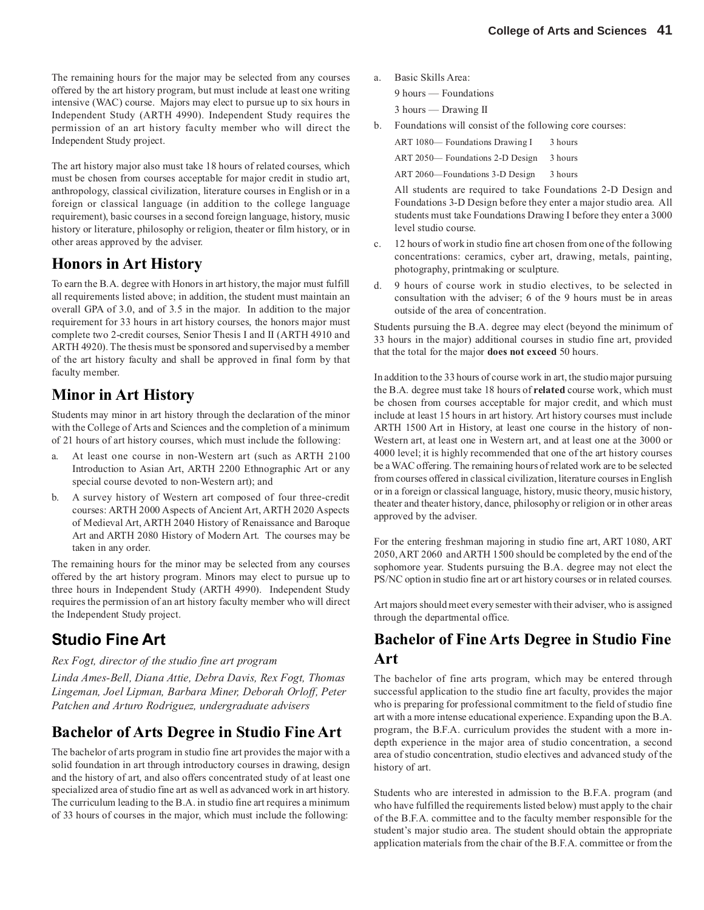The remaining hours for the major may be selected from any courses offered by the art history program, but must include at least one writing intensive (WAC) course. Majors may elect to pursue up to six hours in Independent Study (ARTH 4990). Independent Study requires the permission of an art history faculty member who will direct the Independent Study project.

The art history major also must take 18 hours of related courses, which must be chosen from courses acceptable for major credit in studio art, anthropology, classical civilization, literature courses in English or in a foreign or classical language (in addition to the college language requirement), basic courses in a second foreign language, history, music history or literature, philosophy or religion, theater or film history, or in other areas approved by the adviser.

### **Honors in Art History**

To earn the B.A. degree with Honors in art history, the major must fulfill all requirements listed above; in addition, the student must maintain an overall GPA of 3.0, and of 3.5 in the major. In addition to the major requirement for 33 hours in art history courses, the honors major must complete two 2-credit courses, Senior Thesis I and II (ARTH 4910 and ARTH 4920). The thesis must be sponsored and supervised by a member of the art history faculty and shall be approved in final form by that faculty member.

#### **Minor in Art History**

Students may minor in art history through the declaration of the minor with the College of Arts and Sciences and the completion of a minimum of 21 hours of art history courses, which must include the following:

- a. At least one course in non-Western art (such as ARTH 2100 Introduction to Asian Art, ARTH 2200 Ethnographic Art or any special course devoted to non-Western art); and
- b. A survey history of Western art composed of four three-credit courses: ARTH 2000 Aspects of Ancient Art, ARTH 2020 Aspects of Medieval Art, ARTH 2040 History of Renaissance and Baroque Art and ARTH 2080 History of Modern Art. The courses may be taken in any order.

The remaining hours for the minor may be selected from any courses offered by the art history program. Minors may elect to pursue up to three hours in Independent Study (ARTH 4990). Independent Study requires the permission of an art history faculty member who will direct the Independent Study project.

## **Studio Fine Art**

#### *Rex Fogt, director of the studio fine art program*

*Linda Ames-Bell, Diana Attie, Debra Davis, Rex Fogt, Thomas Lingeman, Joel Lipman, Barbara Miner, Deborah Orloff, Peter Patchen and Arturo Rodriguez, undergraduate advisers*

### **Bachelor of Arts Degree in Studio Fine Art**

The bachelor of arts program in studio fine art provides the major with a solid foundation in art through introductory courses in drawing, design and the history of art, and also offers concentrated study of at least one specialized area of studio fine art as well as advanced work in art history. The curriculum leading to the B.A. in studio fine art requires a minimum of 33 hours of courses in the major, which must include the following:

a. Basic Skills Area:

9 hours — Foundations

- 3 hours Drawing II
- b. Foundations will consist of the following core courses:
	- ART 1080— Foundations Drawing I 3 hours
	- ART 2050— Foundations 2-D Design 3 hours

ART 2060—Foundations 3-D Design 3 hours

All students are required to take Foundations 2-D Design and Foundations 3-D Design before they enter a major studio area. All students must take Foundations Drawing I before they enter a 3000 level studio course.

- c. 12 hours of work in studio fine art chosen from one of the following concentrations: ceramics, cyber art, drawing, metals, painting, photography, printmaking or sculpture.
- d. 9 hours of course work in studio electives, to be selected in consultation with the adviser; 6 of the 9 hours must be in areas outside of the area of concentration.

Students pursuing the B.A. degree may elect (beyond the minimum of 33 hours in the major) additional courses in studio fine art, provided that the total for the major **does not exceed** 50 hours.

In addition to the 33 hours of course work in art, the studio major pursuing the B.A. degree must take 18 hours of **related** course work, which must be chosen from courses acceptable for major credit, and which must include at least 15 hours in art history. Art history courses must include ARTH 1500 Art in History, at least one course in the history of non-Western art, at least one in Western art, and at least one at the 3000 or 4000 level; it is highly recommended that one of the art history courses be a WAC offering. The remaining hours of related work are to be selected from courses offered in classical civilization, literature courses in English or in a foreign or classical language, history, music theory, music history, theater and theater history, dance, philosophy or religion or in other areas approved by the adviser.

For the entering freshman majoring in studio fine art, ART 1080, ART 2050, ART 2060 and ARTH 1500 should be completed by the end of the sophomore year. Students pursuing the B.A. degree may not elect the PS/NC option in studio fine art or art history courses or in related courses.

Art majors should meet every semester with their adviser, who is assigned through the departmental office.

#### **Bachelor of Fine Arts Degree in Studio Fine Art**

The bachelor of fine arts program, which may be entered through successful application to the studio fine art faculty, provides the major who is preparing for professional commitment to the field of studio fine art with a more intense educational experience. Expanding upon the B.A. program, the B.F.A. curriculum provides the student with a more indepth experience in the major area of studio concentration, a second area of studio concentration, studio electives and advanced study of the history of art.

Students who are interested in admission to the B.F.A. program (and who have fulfilled the requirements listed below) must apply to the chair of the B.F.A. committee and to the faculty member responsible for the student's major studio area. The student should obtain the appropriate application materials from the chair of the B.F.A. committee or from the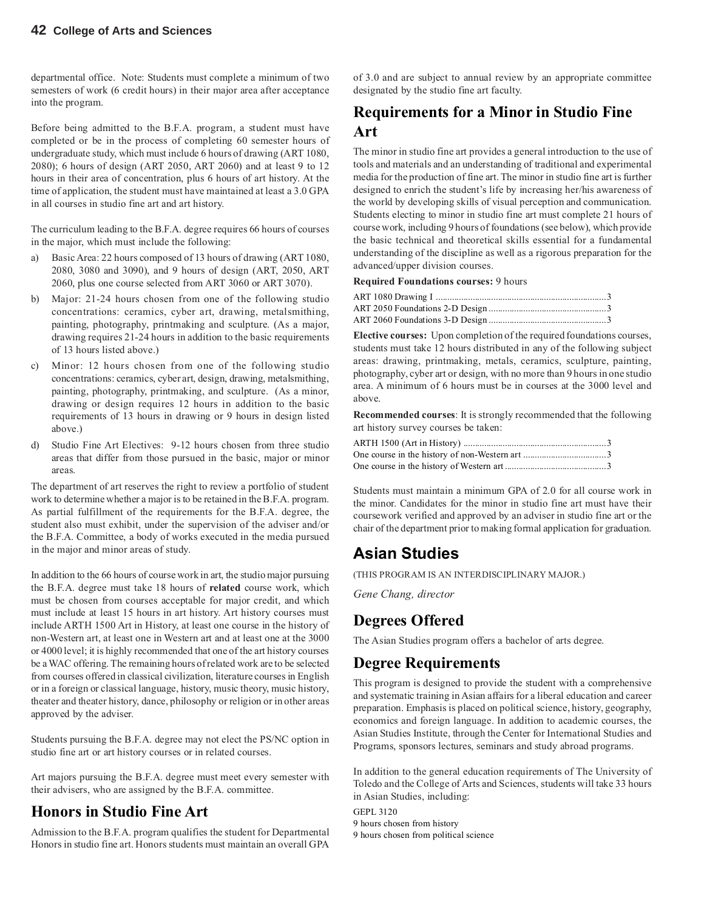departmental office. Note: Students must complete a minimum of two semesters of work (6 credit hours) in their major area after acceptance into the program.

Before being admitted to the B.F.A. program, a student must have completed or be in the process of completing 60 semester hours of undergraduate study, which must include 6 hours of drawing (ART 1080, 2080); 6 hours of design (ART 2050, ART 2060) and at least 9 to 12 hours in their area of concentration, plus 6 hours of art history. At the time of application, the student must have maintained at least a 3.0 GPA in all courses in studio fine art and art history.

The curriculum leading to the B.F.A. degree requires 66 hours of courses in the major, which must include the following:

- a) Basic Area: 22 hours composed of 13 hours of drawing (ART 1080, 2080, 3080 and 3090), and 9 hours of design (ART, 2050, ART 2060, plus one course selected from ART 3060 or ART 3070).
- b) Major: 21-24 hours chosen from one of the following studio concentrations: ceramics, cyber art, drawing, metalsmithing, painting, photography, printmaking and sculpture. (As a major, drawing requires 21-24 hours in addition to the basic requirements of 13 hours listed above.)
- c) Minor: 12 hours chosen from one of the following studio concentrations: ceramics, cyber art, design, drawing, metalsmithing, painting, photography, printmaking, and sculpture. (As a minor, drawing or design requires 12 hours in addition to the basic requirements of 13 hours in drawing or 9 hours in design listed above.)
- d) Studio Fine Art Electives: 9-12 hours chosen from three studio areas that differ from those pursued in the basic, major or minor areas.

The department of art reserves the right to review a portfolio of student work to determine whether a major is to be retained in the B.F.A. program. As partial fulfillment of the requirements for the B.F.A. degree, the student also must exhibit, under the supervision of the adviser and/or the B.F.A. Committee, a body of works executed in the media pursued in the major and minor areas of study.

In addition to the 66 hours of course work in art, the studio major pursuing the B.F.A. degree must take 18 hours of **related** course work, which must be chosen from courses acceptable for major credit, and which must include at least 15 hours in art history. Art history courses must include ARTH 1500 Art in History, at least one course in the history of non-Western art, at least one in Western art and at least one at the 3000 or 4000 level; it is highly recommended that one of the art history courses be a WAC offering. The remaining hours of related work are to be selected from courses offered in classical civilization, literature courses in English or in a foreign or classical language, history, music theory, music history, theater and theater history, dance, philosophy or religion or in other areas approved by the adviser.

Students pursuing the B.F.A. degree may not elect the PS/NC option in studio fine art or art history courses or in related courses.

Art majors pursuing the B.F.A. degree must meet every semester with their advisers, who are assigned by the B.F.A. committee.

#### **Honors in Studio Fine Art**

Admission to the B.F.A. program qualifies the student for Departmental Honors in studio fine art. Honors students must maintain an overall GPA

of 3.0 and are subject to annual review by an appropriate committee designated by the studio fine art faculty.

### **Requirements for a Minor in Studio Fine Art**

The minor in studio fine art provides a general introduction to the use of tools and materials and an understanding of traditional and experimental media for the production of fine art. The minor in studio fine art is further designed to enrich the student's life by increasing her/his awareness of the world by developing skills of visual perception and communication. Students electing to minor in studio fine art must complete 21 hours of course work, including 9 hours of foundations (see below), which provide the basic technical and theoretical skills essential for a fundamental understanding of the discipline as well as a rigorous preparation for the advanced/upper division courses.

**Required Foundations courses:** 9 hours

**Elective courses:** Upon completion of the required foundations courses, students must take 12 hours distributed in any of the following subject areas: drawing, printmaking, metals, ceramics, sculpture, painting, photography, cyber art or design, with no more than 9 hours in one studio area. A minimum of 6 hours must be in courses at the 3000 level and above.

**Recommended courses**: It is strongly recommended that the following art history survey courses be taken:

Students must maintain a minimum GPA of 2.0 for all course work in the minor. Candidates for the minor in studio fine art must have their coursework verified and approved by an adviser in studio fine art or the chair of the department prior to making formal application for graduation.

## **Asian Studies**

(THIS PROGRAM IS AN INTERDISCIPLINARY MAJOR.)

*Gene Chang, director*

#### **Degrees Offered**

The Asian Studies program offers a bachelor of arts degree.

#### **Degree Requirements**

This program is designed to provide the student with a comprehensive and systematic training in Asian affairs for a liberal education and career preparation. Emphasis is placed on political science, history, geography, economics and foreign language. In addition to academic courses, the Asian Studies Institute, through the Center for International Studies and Programs, sponsors lectures, seminars and study abroad programs.

In addition to the general education requirements of The University of Toledo and the College of Arts and Sciences, students will take 33 hours in Asian Studies, including:

GEPL 3120 9 hours chosen from history 9 hours chosen from political science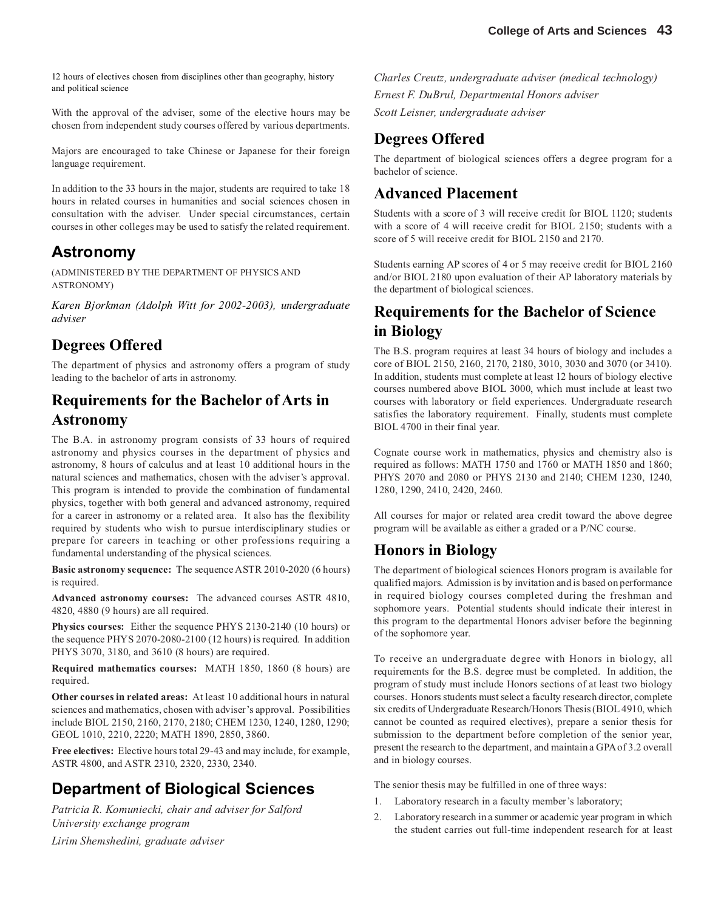12 hours of electives chosen from disciplines other than geography, history and political science

With the approval of the adviser, some of the elective hours may be chosen from independent study courses offered by various departments.

Majors are encouraged to take Chinese or Japanese for their foreign language requirement.

In addition to the 33 hours in the major, students are required to take 18 hours in related courses in humanities and social sciences chosen in consultation with the adviser. Under special circumstances, certain courses in other colleges may be used to satisfy the related requirement.

### **Astronomy**

(ADMINISTERED BY THE DEPARTMENT OF PHYSICS AND ASTRONOMY)

*Karen Bjorkman (Adolph Witt for 2002-2003), undergraduate adviser*

#### **Degrees Offered**

The department of physics and astronomy offers a program of study leading to the bachelor of arts in astronomy.

### **Requirements for the Bachelor of Arts in Astronomy**

The B.A. in astronomy program consists of 33 hours of required astronomy and physics courses in the department of physics and astronomy, 8 hours of calculus and at least 10 additional hours in the natural sciences and mathematics, chosen with the adviser's approval. This program is intended to provide the combination of fundamental physics, together with both general and advanced astronomy, required for a career in astronomy or a related area. It also has the flexibility required by students who wish to pursue interdisciplinary studies or prepare for careers in teaching or other professions requiring a fundamental understanding of the physical sciences.

**Basic astronomy sequence:**The sequence ASTR 2010-2020 (6 hours) is required.

**Advanced astronomy courses:**The advanced courses ASTR 4810, 4820, 4880 (9 hours) are all required.

**Physics courses:**Either the sequence PHYS 2130-2140 (10 hours) or the sequence PHYS 2070-2080-2100 (12 hours) is required. In addition PHYS 3070, 3180, and 3610 (8 hours) are required.

**Required mathematics courses:**MATH 1850, 1860 (8 hours) are required.

**Other courses in related areas:**At least 10 additional hours in natural sciences and mathematics, chosen with adviser's approval. Possibilities include BIOL 2150, 2160, 2170, 2180; CHEM 1230, 1240, 1280, 1290; GEOL 1010, 2210, 2220; MATH 1890, 2850, 3860.

**Free electives:** Elective hours total 29-43 and may include, for example, ASTR 4800, and ASTR 2310, 2320, 2330, 2340.

## **Department of Biological Sciences**

*Patricia R. Komuniecki, chair and adviser for Salford University exchange program Lirim Shemshedini, graduate adviser*

*Charles Creutz, undergraduate adviser (medical technology) Ernest F. DuBrul, Departmental Honors adviser Scott Leisner, undergraduate adviser*

#### **Degrees Offered**

The department of biological sciences offers a degree program for a bachelor of science.

#### **Advanced Placement**

Students with a score of 3 will receive credit for BIOL 1120; students with a score of 4 will receive credit for BIOL 2150; students with a score of 5 will receive credit for BIOL 2150 and 2170.

Students earning AP scores of 4 or 5 may receive credit for BIOL 2160 and/or BIOL 2180 upon evaluation of their AP laboratory materials by the department of biological sciences.

### **Requirements for the Bachelor of Science in Biology**

The B.S. program requires at least 34 hours of biology and includes a core of BIOL 2150, 2160, 2170, 2180, 3010, 3030 and 3070 (or 3410). In addition, students must complete at least 12 hours of biology elective courses numbered above BIOL 3000, which must include at least two courses with laboratory or field experiences. Undergraduate research satisfies the laboratory requirement. Finally, students must complete BIOL 4700 in their final year.

Cognate course work in mathematics, physics and chemistry also is required as follows: MATH 1750 and 1760 or MATH 1850 and 1860; PHYS 2070 and 2080 or PHYS 2130 and 2140; CHEM 1230, 1240, 1280, 1290, 2410, 2420, 2460.

All courses for major or related area credit toward the above degree program will be available as either a graded or a P/NC course.

#### **Honors in Biology**

The department of biological sciences Honors program is available for qualified majors. Admission is by invitation and is based on performance in required biology courses completed during the freshman and sophomore years. Potential students should indicate their interest in this program to the departmental Honors adviser before the beginning of the sophomore year.

To receive an undergraduate degree with Honors in biology, all requirements for the B.S. degree must be completed. In addition, the program of study must include Honors sections of at least two biology courses. Honors students must select a faculty research director, complete six credits of Undergraduate Research/Honors Thesis (BIOL 4910, which cannot be counted as required electives), prepare a senior thesis for submission to the department before completion of the senior year, present the research to the department, and maintain a GPA of 3.2 overall and in biology courses.

The senior thesis may be fulfilled in one of three ways:

- 1. Laboratory research in a faculty member's laboratory;
- 2. Laboratory research in a summer or academic year program in which the student carries out full-time independent research for at least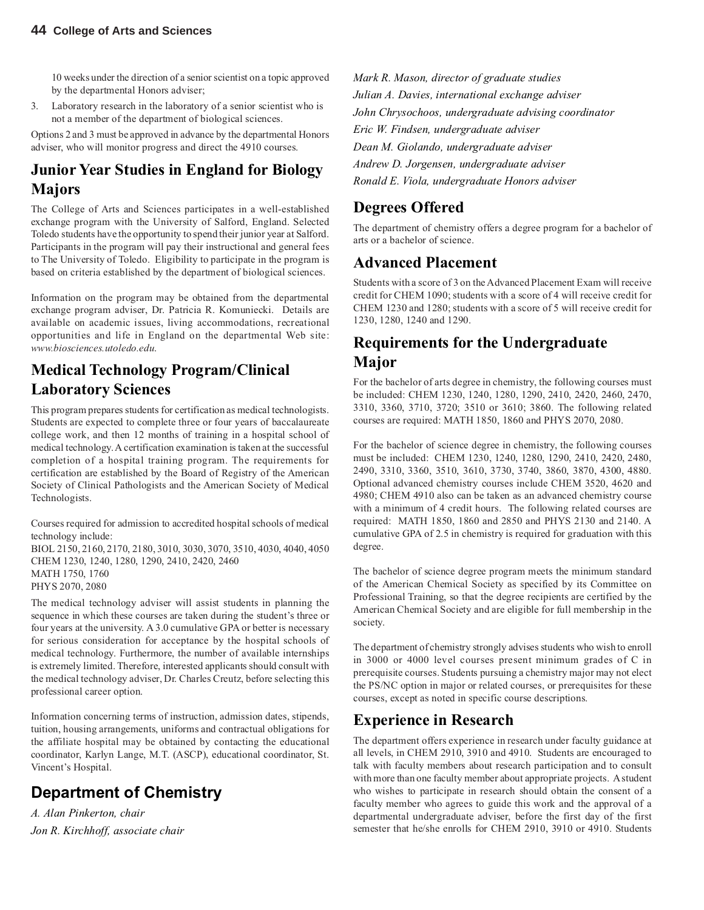10 weeks under the direction of a senior scientist on a topic approved by the departmental Honors adviser;

3. Laboratory research in the laboratory of a senior scientist who is not a member of the department of biological sciences.

Options 2 and 3 must be approved in advance by the departmental Honors adviser, who will monitor progress and direct the 4910 courses.

### **Junior Year Studies in England for Biology Majors**

The College of Arts and Sciences participates in a well-established exchange program with the University of Salford, England. Selected Toledo students have the opportunity to spend their junior year at Salford. Participants in the program will pay their instructional and general fees to The University of Toledo. Eligibility to participate in the program is based on criteria established by the department of biological sciences.

Information on the program may be obtained from the departmental exchange program adviser, Dr. Patricia R. Komuniecki. Details are available on academic issues, living accommodations, recreational opportunities and life in England on the departmental Web site: *www.biosciences.utoledo.edu*.

### **Medical Technology Program/Clinical Laboratory Sciences**

This program prepares students for certification as medical technologists. Students are expected to complete three or four years of baccalaureate college work, and then 12 months of training in a hospital school of medical technology. A certification examination is taken at the successful completion of a hospital training program. The requirements for certification are established by the Board of Registry of the American Society of Clinical Pathologists and the American Society of Medical Technologists.

Courses required for admission to accredited hospital schools of medical technology include:

BIOL 2150, 2160, 2170, 2180, 3010, 3030, 3070, 3510, 4030, 4040, 4050 CHEM 1230, 1240, 1280, 1290, 2410, 2420, 2460 MATH 1750, 1760 PHYS 2070, 2080

The medical technology adviser will assist students in planning the sequence in which these courses are taken during the student's three or four years at the university. A 3.0 cumulative GPA or better is necessary for serious consideration for acceptance by the hospital schools of medical technology. Furthermore, the number of available internships is extremely limited. Therefore, interested applicants should consult with the medical technology adviser, Dr. Charles Creutz, before selecting this professional career option.

Information concerning terms of instruction, admission dates, stipends, tuition, housing arrangements, uniforms and contractual obligations for the affiliate hospital may be obtained by contacting the educational coordinator, Karlyn Lange, M.T. (ASCP), educational coordinator, St. Vincent's Hospital.

## **Department of Chemistry**

*A. Alan Pinkerton, chair Jon R. Kirchhoff, associate chair* *Mark R. Mason, director of graduate studies Julian A. Davies, international exchange adviser John Chrysochoos, undergraduate advising coordinator Eric W. Findsen, undergraduate adviser Dean M. Giolando, undergraduate adviser Andrew D. Jorgensen, undergraduate adviser Ronald E. Viola, undergraduate Honors adviser*

## **Degrees Offered**

The department of chemistry offers a degree program for a bachelor of arts or a bachelor of science.

### **Advanced Placement**

Students with a score of 3 on the Advanced Placement Exam will receive credit for CHEM 1090; students with a score of 4 will receive credit for CHEM 1230 and 1280; students with a score of 5 will receive credit for 1230, 1280, 1240 and 1290.

## **Requirements for the Undergraduate Major**

For the bachelor of arts degree in chemistry, the following courses must be included: CHEM 1230, 1240, 1280, 1290, 2410, 2420, 2460, 2470, 3310, 3360, 3710, 3720; 3510 or 3610; 3860. The following related courses are required: MATH 1850, 1860 and PHYS 2070, 2080.

For the bachelor of science degree in chemistry, the following courses must be included: CHEM 1230, 1240, 1280, 1290, 2410, 2420, 2480, 2490, 3310, 3360, 3510, 3610, 3730, 3740, 3860, 3870, 4300, 4880. Optional advanced chemistry courses include CHEM 3520, 4620 and 4980; CHEM 4910 also can be taken as an advanced chemistry course with a minimum of 4 credit hours. The following related courses are required: MATH 1850, 1860 and 2850 and PHYS 2130 and 2140. A cumulative GPA of 2.5 in chemistry is required for graduation with this degree.

The bachelor of science degree program meets the minimum standard of the American Chemical Society as specified by its Committee on Professional Training, so that the degree recipients are certified by the American Chemical Society and are eligible for full membership in the society.

The department of chemistry strongly advises students who wish to enroll in 3000 or 4000 level courses present minimum grades of C in prerequisite courses. Students pursuing a chemistry major may not elect the PS/NC option in major or related courses, or prerequisites for these courses, except as noted in specific course descriptions.

### **Experience in Research**

The department offers experience in research under faculty guidance at all levels, in CHEM 2910, 3910 and 4910. Students are encouraged to talk with faculty members about research participation and to consult with more than one faculty member about appropriate projects. A student who wishes to participate in research should obtain the consent of a faculty member who agrees to guide this work and the approval of a departmental undergraduate adviser, before the first day of the first semester that he/she enrolls for CHEM 2910, 3910 or 4910. Students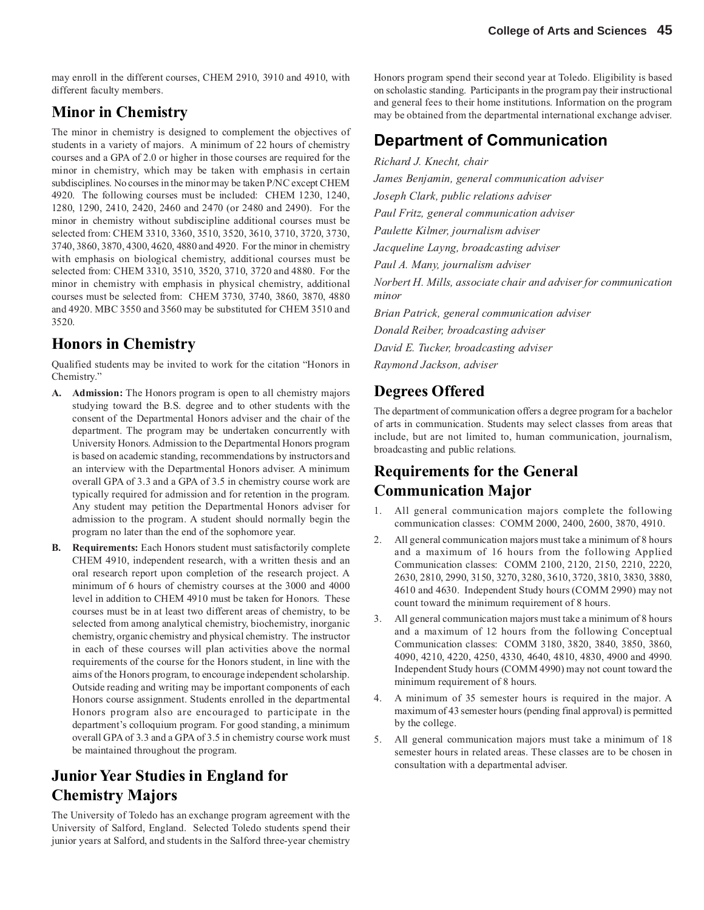may enroll in the different courses, CHEM 2910, 3910 and 4910, with different faculty members.

### **Minor in Chemistry**

The minor in chemistry is designed to complement the objectives of students in a variety of majors. A minimum of 22 hours of chemistry courses and a GPA of 2.0 or higher in those courses are required for the minor in chemistry, which may be taken with emphasis in certain subdisciplines. No courses in the minor may be taken P/NC except CHEM 4920. The following courses must be included: CHEM 1230, 1240, 1280, 1290, 2410, 2420, 2460 and 2470 (or 2480 and 2490). For the minor in chemistry without subdiscipline additional courses must be selected from: CHEM 3310, 3360, 3510, 3520, 3610, 3710, 3720, 3730, 3740, 3860, 3870, 4300, 4620, 4880 and 4920. For the minor in chemistry with emphasis on biological chemistry, additional courses must be selected from: CHEM 3310, 3510, 3520, 3710, 3720 and 4880. For the minor in chemistry with emphasis in physical chemistry, additional courses must be selected from: CHEM 3730, 3740, 3860, 3870, 4880 and 4920. MBC 3550 and 3560 may be substituted for CHEM 3510 and 3520.

### **Honors in Chemistry**

Qualified students may be invited to work for the citation "Honors in Chemistry."

- **A. Admission:** The Honors program is open to all chemistry majors studying toward the B.S. degree and to other students with the consent of the Departmental Honors adviser and the chair of the department. The program may be undertaken concurrently with University Honors. Admission to the Departmental Honors program is based on academic standing, recommendations by instructors and an interview with the Departmental Honors adviser. A minimum overall GPA of 3.3 and a GPA of 3.5 in chemistry course work are typically required for admission and for retention in the program. Any student may petition the Departmental Honors adviser for admission to the program. A student should normally begin the program no later than the end of the sophomore year.
- **B. Requirements:** Each Honors student must satisfactorily complete CHEM 4910, independent research, with a written thesis and an oral research report upon completion of the research project. A minimum of 6 hours of chemistry courses at the 3000 and 4000 level in addition to CHEM 4910 must be taken for Honors. These courses must be in at least two different areas of chemistry, to be selected from among analytical chemistry, biochemistry, inorganic chemistry, organic chemistry and physical chemistry. The instructor in each of these courses will plan activities above the normal requirements of the course for the Honors student, in line with the aims of the Honors program, to encourage independent scholarship. Outside reading and writing may be important components of each Honors course assignment. Students enrolled in the departmental Honors program also are encouraged to participate in the department's colloquium program. For good standing, a minimum overall GPA of 3.3 and a GPA of 3.5 in chemistry course work must be maintained throughout the program.

## **Junior Year Studies in England for Chemistry Majors**

The University of Toledo has an exchange program agreement with the University of Salford, England. Selected Toledo students spend their junior years at Salford, and students in the Salford three-year chemistry Honors program spend their second year at Toledo. Eligibility is based on scholastic standing. Participants in the program pay their instructional and general fees to their home institutions. Information on the program may be obtained from the departmental international exchange adviser.

## **Department of Communication**

*Richard J. Knecht, chair James Benjamin, general communication adviser Joseph Clark, public relations adviser Paul Fritz, general communication adviser Paulette Kilmer, journalism adviser Jacqueline Layng, broadcasting adviser Paul A. Many, journalism adviser Norbert H. Mills, associate chair and adviser for communication minor Brian Patrick, general communication adviser Donald Reiber, broadcasting adviser David E. Tucker, broadcasting adviser Raymond Jackson, adviser*

#### **Degrees Offered**

The department of communication offers a degree program for a bachelor of arts in communication. Students may select classes from areas that include, but are not limited to, human communication, journalism, broadcasting and public relations.

### **Requirements for the General Communication Major**

- 1. All general communication majors complete the following communication classes: COMM 2000, 2400, 2600, 3870, 4910.
- 2. All general communication majors must take a minimum of 8 hours and a maximum of 16 hours from the following Applied Communication classes: COMM 2100, 2120, 2150, 2210, 2220, 2630, 2810, 2990, 3150, 3270, 3280, 3610, 3720, 3810, 3830, 3880, 4610 and 4630. Independent Study hours (COMM 2990) may not count toward the minimum requirement of 8 hours.
- 3. All general communication majors must take a minimum of 8 hours and a maximum of 12 hours from the following Conceptual Communication classes: COMM 3180, 3820, 3840, 3850, 3860, 4090, 4210, 4220, 4250, 4330, 4640, 4810, 4830, 4900 and 4990. Independent Study hours (COMM 4990) may not count toward the minimum requirement of 8 hours.
- 4. A minimum of 35 semester hours is required in the major. A maximum of 43 semester hours (pending final approval) is permitted by the college.
- 5. All general communication majors must take a minimum of 18 semester hours in related areas. These classes are to be chosen in consultation with a departmental adviser.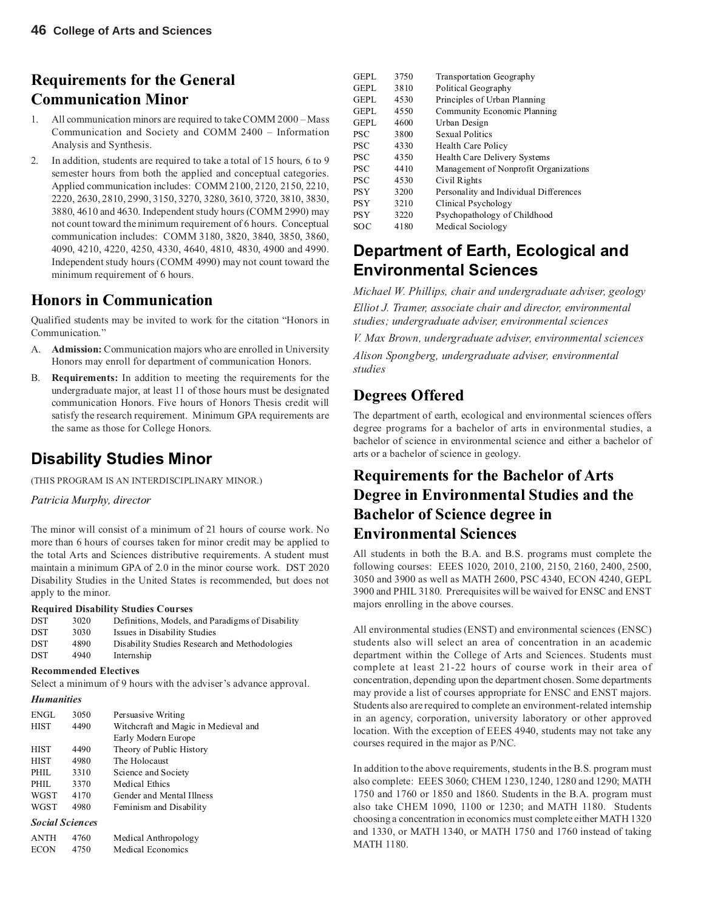## **Requirements for the General Communication Minor**

- 1. All communication minors are required to take COMM 2000 Mass Communication and Society and COMM 2400 – Information Analysis and Synthesis.
- 2. In addition, students are required to take a total of 15 hours, 6 to 9 semester hours from both the applied and conceptual categories. Applied communication includes: COMM 2100, 2120, 2150, 2210, 2220, 2630, 2810, 2990, 3150, 3270, 3280, 3610, 3720, 3810, 3830, 3880, 4610 and 4630. Independent study hours (COMM 2990) may not count toward the minimum requirement of 6 hours. Conceptual communication includes: COMM 3180, 3820, 3840, 3850, 3860, 4090, 4210, 4220, 4250, 4330, 4640, 4810, 4830, 4900 and 4990. Independent study hours (COMM 4990) may not count toward the minimum requirement of 6 hours.

### **Honors in Communication**

Qualified students may be invited to work for the citation "Honors in Communication."

- A. **Admission:** Communication majors who are enrolled in University Honors may enroll for department of communication Honors.
- B. **Requirements:** In addition to meeting the requirements for the undergraduate major, at least 11 of those hours must be designated communication Honors. Five hours of Honors Thesis credit will satisfy the research requirement. Minimum GPA requirements are the same as those for College Honors.

## **Disability Studies Minor**

(THIS PROGRAM IS AN INTERDISCIPLINARY MINOR.)

#### *Patricia Murphy, director*

The minor will consist of a minimum of 21 hours of course work. No more than 6 hours of courses taken for minor credit may be applied to the total Arts and Sciences distributive requirements. A student must maintain a minimum GPA of 2.0 in the minor course work. DST 2020 Disability Studies in the United States is recommended, but does not apply to the minor.

#### **Required Disability Studies Courses**

ECON 4750 Medical Economics

| <b>DST</b> | 3020 | Definitions, Models, and Paradigms of Disability |
|------------|------|--------------------------------------------------|
| <b>DST</b> | 3030 | Issues in Disability Studies                     |
| <b>DST</b> | 4890 | Disability Studies Research and Methodologies    |
| <b>DST</b> | 4940 | Internship                                       |

#### **Recommended Electives**

Select a minimum of 9 hours with the adviser's advance approval.

#### *Humanities*

| ENGL                   | 3050 | Persuasive Writing                   |
|------------------------|------|--------------------------------------|
| <b>HIST</b>            | 4490 | Witchcraft and Magic in Medieval and |
|                        |      | Early Modern Europe                  |
| <b>HIST</b>            | 4490 | Theory of Public History             |
| <b>HIST</b>            | 4980 | The Holocaust                        |
| PHIL                   | 3310 | Science and Society                  |
| PHIL.                  | 3370 | Medical Ethics                       |
| WGST                   | 4170 | Gender and Mental Illness            |
| WGST                   | 4980 | Feminism and Disability              |
| <b>Social Sciences</b> |      |                                      |
| ANTH                   | 4760 | Medical Anthropology                 |

| GEPL        | 3750 | <b>Transportation Geography</b>        |
|-------------|------|----------------------------------------|
| <b>GEPL</b> | 3810 | Political Geography                    |
| GEPL        | 4530 | Principles of Urban Planning           |
| GEPL        | 4550 | Community Economic Planning            |
| <b>GEPL</b> | 4600 | Urban Design                           |
| <b>PSC</b>  | 3800 | <b>Sexual Politics</b>                 |
| <b>PSC</b>  | 4330 | <b>Health Care Policy</b>              |
| PSC         | 4350 | <b>Health Care Delivery Systems</b>    |
| <b>PSC</b>  | 4410 | Management of Nonprofit Organizations  |
| <b>PSC</b>  | 4530 | Civil Rights                           |
| PSY         | 3200 | Personality and Individual Differences |
| <b>PSY</b>  | 3210 | Clinical Psychology                    |
| <b>PSY</b>  | 3220 | Psychopathology of Childhood           |
| <b>SOC</b>  | 4180 | Medical Sociology                      |

### **Department of Earth, Ecological and Environmental Sciences**

*Michael W. Phillips, chair and undergraduate adviser, geology Elliot J. Tramer, associate chair and director, environmental studies; undergraduate adviser, environmental sciences*

*V. Max Brown, undergraduate adviser, environmental sciences*

*Alison Spongberg, undergraduate adviser, environmental studies*

#### **Degrees Offered**

The department of earth, ecological and environmental sciences offers degree programs for a bachelor of arts in environmental studies, a bachelor of science in environmental science and either a bachelor of arts or a bachelor of science in geology.

### **Requirements for the Bachelor of Arts Degree in Environmental Studies and the Bachelor of Science degree in Environmental Sciences**

All students in both the B.A. and B.S. programs must complete the following courses: EEES 1020, 2010, 2100, 2150, 2160, 2400, 2500, 3050 and 3900 as well as MATH 2600, PSC 4340, ECON 4240, GEPL 3900 and PHIL 3180. Prerequisites will be waived for ENSC and ENST majors enrolling in the above courses.

All environmental studies (ENST) and environmental sciences (ENSC) students also will select an area of concentration in an academic department within the College of Arts and Sciences. Students must complete at least 21-22 hours of course work in their area of concentration, depending upon the department chosen. Some departments may provide a list of courses appropriate for ENSC and ENST majors. Students also are required to complete an environment-related internship in an agency, corporation, university laboratory or other approved location. With the exception of EEES 4940, students may not take any courses required in the major as P/NC.

In addition to the above requirements, students in the B.S. program must also complete: EEES 3060; CHEM 1230, 1240, 1280 and 1290; MATH 1750 and 1760 or 1850 and 1860. Students in the B.A. program must also take CHEM 1090, 1100 or 1230; and MATH 1180. Students choosing a concentration in economics must complete either MATH 1320 and 1330, or MATH 1340, or MATH 1750 and 1760 instead of taking MATH 1180.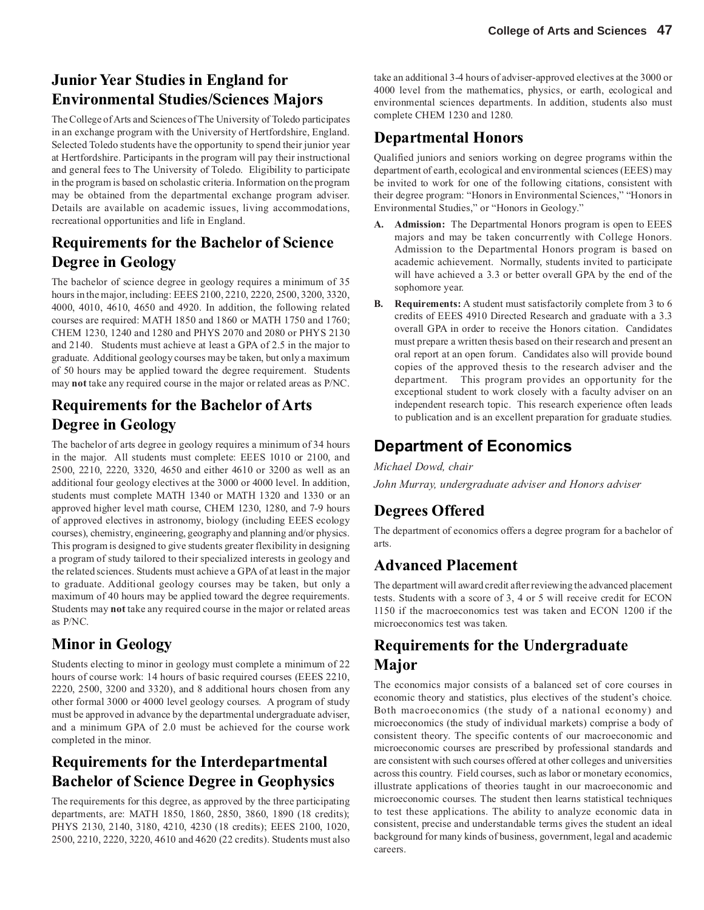## **Junior Year Studies in England for Environmental Studies/Sciences Majors**

The College of Arts and Sciences of The University of Toledo participates in an exchange program with the University of Hertfordshire, England. Selected Toledo students have the opportunity to spend their junior year at Hertfordshire. Participants in the program will pay their instructional and general fees to The University of Toledo. Eligibility to participate in the program is based on scholastic criteria. Information on the program may be obtained from the departmental exchange program adviser. Details are available on academic issues, living accommodations, recreational opportunities and life in England.

### **Requirements for the Bachelor of Science Degree in Geology**

The bachelor of science degree in geology requires a minimum of 35 hours in the major, including: EEES 2100, 2210, 2220, 2500, 3200, 3320, 4000, 4010, 4610, 4650 and 4920. In addition, the following related courses are required: MATH 1850 and 1860 or MATH 1750 and 1760; CHEM 1230, 1240 and 1280 and PHYS 2070 and 2080 or PHYS 2130 and 2140. Students must achieve at least a GPA of 2.5 in the major to graduate. Additional geology courses may be taken, but only a maximum of 50 hours may be applied toward the degree requirement. Students may **not** take any required course in the major or related areas as P/NC.

## **Requirements for the Bachelor of Arts Degree in Geology**

The bachelor of arts degree in geology requires a minimum of 34 hours in the major. All students must complete: EEES 1010 or 2100, and 2500, 2210, 2220, 3320, 4650 and either 4610 or 3200 as well as an additional four geology electives at the 3000 or 4000 level. In addition, students must complete MATH 1340 or MATH 1320 and 1330 or an approved higher level math course, CHEM 1230, 1280, and 7-9 hours of approved electives in astronomy, biology (including EEES ecology courses), chemistry, engineering, geography and planning and/or physics. This program is designed to give students greater flexibility in designing a program of study tailored to their specialized interests in geology and the related sciences. Students must achieve a GPA of at least in the major to graduate. Additional geology courses may be taken, but only a maximum of 40 hours may be applied toward the degree requirements. Students may **not** take any required course in the major or related areas as P/NC.

## **Minor in Geology**

Students electing to minor in geology must complete a minimum of 22 hours of course work: 14 hours of basic required courses (EEES 2210, 2220, 2500, 3200 and 3320), and 8 additional hours chosen from any other formal 3000 or 4000 level geology courses. A program of study must be approved in advance by the departmental undergraduate adviser, and a minimum GPA of 2.0 must be achieved for the course work completed in the minor.

## **Requirements for the Interdepartmental Bachelor of Science Degree in Geophysics**

The requirements for this degree, as approved by the three participating departments, are: MATH 1850, 1860, 2850, 3860, 1890 (18 credits); PHYS 2130, 2140, 3180, 4210, 4230 (18 credits); EEES 2100, 1020, 2500, 2210, 2220, 3220, 4610 and 4620 (22 credits). Students must also take an additional 3-4 hours of adviser-approved electives at the 3000 or 4000 level from the mathematics, physics, or earth, ecological and environmental sciences departments. In addition, students also must complete CHEM 1230 and 1280.

## **Departmental Honors**

Qualified juniors and seniors working on degree programs within the department of earth, ecological and environmental sciences (EEES) may be invited to work for one of the following citations, consistent with their degree program: "Honors in Environmental Sciences," "Honors in Environmental Studies," or "Honors in Geology."

- **A. Admission:** The Departmental Honors program is open to EEES majors and may be taken concurrently with College Honors. Admission to the Departmental Honors program is based on academic achievement. Normally, students invited to participate will have achieved a 3.3 or better overall GPA by the end of the sophomore year.
- **B. Requirements:** A student must satisfactorily complete from 3 to 6 credits of EEES 4910 Directed Research and graduate with a 3.3 overall GPA in order to receive the Honors citation. Candidates must prepare a written thesis based on their research and present an oral report at an open forum. Candidates also will provide bound copies of the approved thesis to the research adviser and the department. This program provides an opportunity for the exceptional student to work closely with a faculty adviser on an independent research topic. This research experience often leads to publication and is an excellent preparation for graduate studies.

## **Department of Economics**

*Michael Dowd, chair John Murray, undergraduate adviser and Honors adviser*

## **Degrees Offered**

The department of economics offers a degree program for a bachelor of arts.

### **Advanced Placement**

The department will award credit after reviewing the advanced placement tests. Students with a score of 3, 4 or 5 will receive credit for ECON 1150 if the macroeconomics test was taken and ECON 1200 if the microeconomics test was taken.

## **Requirements for the Undergraduate Major**

The economics major consists of a balanced set of core courses in economic theory and statistics, plus electives of the student's choice. Both macroeconomics (the study of a national economy) and microeconomics (the study of individual markets) comprise a body of consistent theory. The specific contents of our macroeconomic and microeconomic courses are prescribed by professional standards and are consistent with such courses offered at other colleges and universities across this country. Field courses, such as labor or monetary economics, illustrate applications of theories taught in our macroeconomic and microeconomic courses. The student then learns statistical techniques to test these applications. The ability to analyze economic data in consistent, precise and understandable terms gives the student an ideal background for many kinds of business, government, legal and academic careers.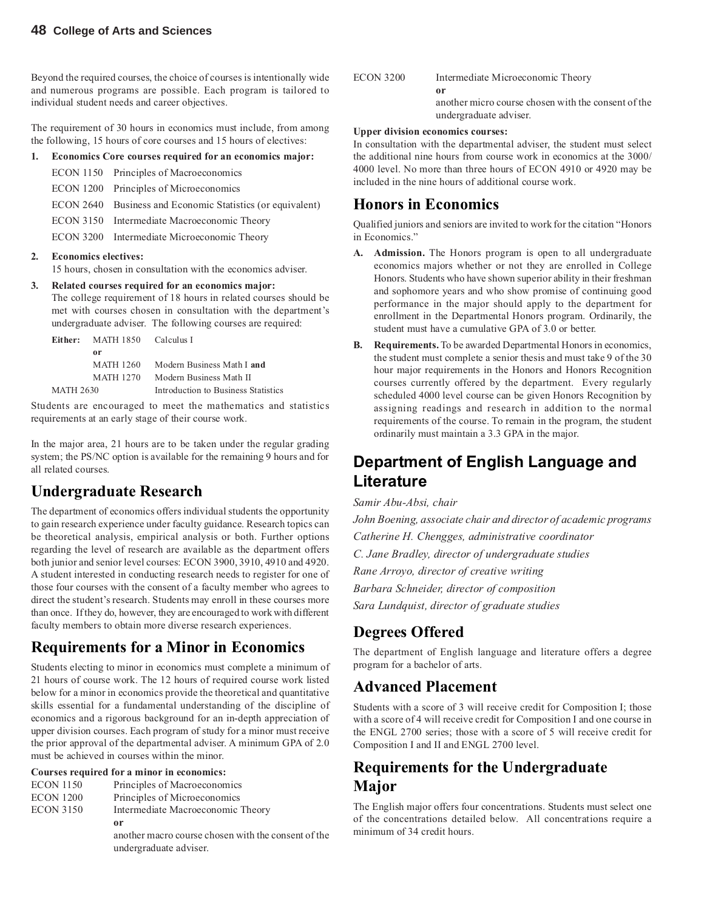Beyond the required courses, the choice of courses is intentionally wide and numerous programs are possible. Each program is tailored to individual student needs and career objectives.

The requirement of 30 hours in economics must include, from among the following, 15 hours of core courses and 15 hours of electives:

#### **1. Economics Core courses required for an economics major:**

|  | ECON 1150 Principles of Macroeconomics                     |
|--|------------------------------------------------------------|
|  | ECON 1200 Principles of Microeconomics                     |
|  | ECON 2640 Business and Economic Statistics (or equivalent) |
|  | ECON 3150 Intermediate Macroeconomic Theory                |
|  | ECON 3200 Intermediate Microeconomic Theory                |

#### **2. Economics electives:**

15 hours, chosen in consultation with the economics adviser.

#### **3. Related courses required for an economics major:**

The college requirement of 18 hours in related courses should be met with courses chosen in consultation with the department's undergraduate adviser. The following courses are required:

|           | Either: MATH 1850 Calculus I |                                     |
|-----------|------------------------------|-------------------------------------|
|           | or                           |                                     |
|           | MATH 1260                    | Modern Business Math I and          |
|           | MATH 1270                    | Modern Business Math II             |
| MATH 2630 |                              | Introduction to Business Statistics |

Students are encouraged to meet the mathematics and statistics requirements at an early stage of their course work.

In the major area, 21 hours are to be taken under the regular grading system; the PS/NC option is available for the remaining 9 hours and for all related courses.

#### **Undergraduate Research**

The department of economics offers individual students the opportunity to gain research experience under faculty guidance. Research topics can be theoretical analysis, empirical analysis or both. Further options regarding the level of research are available as the department offers both junior and senior level courses: ECON 3900, 3910, 4910 and 4920. A student interested in conducting research needs to register for one of those four courses with the consent of a faculty member who agrees to direct the student's research. Students may enroll in these courses more than once. If they do, however, they are encouraged to work with different faculty members to obtain more diverse research experiences.

#### **Requirements for a Minor in Economics**

Students electing to minor in economics must complete a minimum of 21 hours of course work. The 12 hours of required course work listed below for a minor in economics provide the theoretical and quantitative skills essential for a fundamental understanding of the discipline of economics and a rigorous background for an in-depth appreciation of upper division courses. Each program of study for a minor must receive the prior approval of the departmental adviser. A minimum GPA of 2.0 must be achieved in courses within the minor.

#### **Courses required for a minor in economics:**

| <b>ECON 1150</b> | Principles of Macroeconomics                        |
|------------------|-----------------------------------------------------|
| <b>ECON 1200</b> | Principles of Microeconomics                        |
| <b>ECON 3150</b> | Intermediate Macroeconomic Theory                   |
|                  | 0r                                                  |
|                  | another macro course chosen with the consent of the |
|                  | undergraduate adviser.                              |

| <b>ECON 3200</b> | Intermediate Microeconomic Theory                   |
|------------------|-----------------------------------------------------|
|                  | or                                                  |
|                  | another micro course chosen with the consent of the |
|                  | undergraduate adviser.                              |

#### **Upper division economics courses:**

In consultation with the departmental adviser, the student must select the additional nine hours from course work in economics at the 3000/ 4000 level. No more than three hours of ECON 4910 or 4920 may be included in the nine hours of additional course work.

#### **Honors in Economics**

Qualified juniors and seniors are invited to work for the citation "Honors in Economics."

- **A. Admission.** The Honors program is open to all undergraduate economics majors whether or not they are enrolled in College Honors. Students who have shown superior ability in their freshman and sophomore years and who show promise of continuing good performance in the major should apply to the department for enrollment in the Departmental Honors program. Ordinarily, the student must have a cumulative GPA of 3.0 or better.
- **B. Requirements.** To be awarded Departmental Honors in economics, the student must complete a senior thesis and must take 9 of the 30 hour major requirements in the Honors and Honors Recognition courses currently offered by the department. Every regularly scheduled 4000 level course can be given Honors Recognition by assigning readings and research in addition to the normal requirements of the course. To remain in the program, the student ordinarily must maintain a 3.3 GPA in the major.

### **Department of English Language and Literature**

#### *Samir Abu-Absi, chair*

*John Boening, associate chair and director of academic programs Catherine H. Chengges, administrative coordinator C. Jane Bradley, director of undergraduate studies Rane Arroyo, director of creative writing Barbara Schneider, director of composition Sara Lundquist, director of graduate studies*

#### **Degrees Offered**

The department of English language and literature offers a degree program for a bachelor of arts.

#### **Advanced Placement**

Students with a score of 3 will receive credit for Composition I; those with a score of 4 will receive credit for Composition I and one course in the ENGL 2700 series; those with a score of 5 will receive credit for Composition I and II and ENGL 2700 level.

### **Requirements for the Undergraduate Major**

The English major offers four concentrations. Students must select one of the concentrations detailed below. All concentrations require a minimum of 34 credit hours.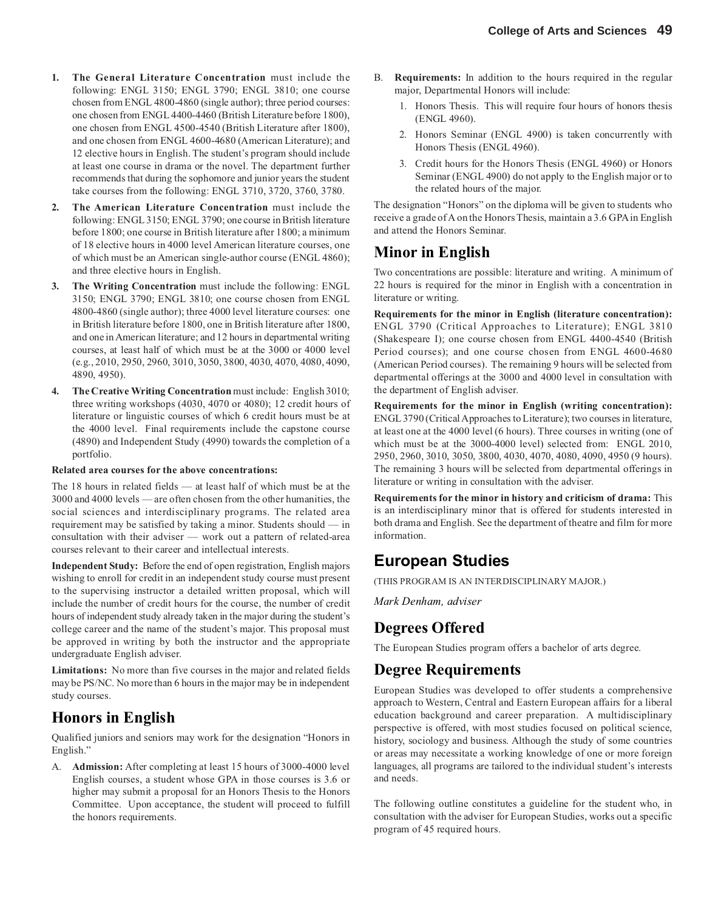- **1. The General Literature Concentration** must include the following: ENGL 3150; ENGL 3790; ENGL 3810; one course chosen from ENGL 4800-4860 (single author); three period courses: one chosen from ENGL 4400-4460 (British Literature before 1800), one chosen from ENGL 4500-4540 (British Literature after 1800), and one chosen from ENGL 4600-4680 (American Literature); and 12 elective hours in English. The student's program should include at least one course in drama or the novel. The department further recommends that during the sophomore and junior years the student take courses from the following: ENGL 3710, 3720, 3760, 3780.
- **2. The American Literature Concentration** must include the following: ENGL 3150; ENGL 3790; one course in British literature before 1800; one course in British literature after 1800; a minimum of 18 elective hours in 4000 level American literature courses, one of which must be an American single-author course (ENGL 4860); and three elective hours in English.
- **3. The Writing Concentration** must include the following: ENGL 3150; ENGL 3790; ENGL 3810; one course chosen from ENGL 4800-4860 (single author); three 4000 level literature courses: one in British literature before 1800, one in British literature after 1800, and one in American literature; and 12 hours in departmental writing courses, at least half of which must be at the 3000 or 4000 level (e.g., 2010, 2950, 2960, 3010, 3050, 3800, 4030, 4070, 4080, 4090, 4890, 4950).
- **4. The Creative Writing Concentration** must include: English 3010; three writing workshops (4030, 4070 or 4080); 12 credit hours of literature or linguistic courses of which 6 credit hours must be at the 4000 level. Final requirements include the capstone course (4890) and Independent Study (4990) towards the completion of a portfolio.

#### **Related area courses for the above concentrations:**

The 18 hours in related fields — at least half of which must be at the 3000 and 4000 levels — are often chosen from the other humanities, the social sciences and interdisciplinary programs. The related area requirement may be satisfied by taking a minor. Students should — in consultation with their adviser — work out a pattern of related-area courses relevant to their career and intellectual interests.

**Independent Study:** Before the end of open registration, English majors wishing to enroll for credit in an independent study course must present to the supervising instructor a detailed written proposal, which will include the number of credit hours for the course, the number of credit hours of independent study already taken in the major during the student's college career and the name of the student's major. This proposal must be approved in writing by both the instructor and the appropriate undergraduate English adviser.

**Limitations:** No more than five courses in the major and related fields may be PS/NC. No more than 6 hours in the major may be in independent study courses.

#### **Honors in English**

Qualified juniors and seniors may work for the designation "Honors in English."

A. **Admission:** After completing at least 15 hours of 3000-4000 level English courses, a student whose GPA in those courses is 3.6 or higher may submit a proposal for an Honors Thesis to the Honors Committee. Upon acceptance, the student will proceed to fulfill the honors requirements.

- B. **Requirements:** In addition to the hours required in the regular major, Departmental Honors will include:
	- 1. Honors Thesis. This will require four hours of honors thesis (ENGL 4960).
	- 2. Honors Seminar (ENGL 4900) is taken concurrently with Honors Thesis (ENGL 4960).
	- 3. Credit hours for the Honors Thesis (ENGL 4960) or Honors Seminar (ENGL 4900) do not apply to the English major or to the related hours of the major.

The designation "Honors" on the diploma will be given to students who receive a grade of A on the Honors Thesis, maintain a 3.6 GPA in English and attend the Honors Seminar.

#### **Minor in English**

Two concentrations are possible: literature and writing. A minimum of 22 hours is required for the minor in English with a concentration in literature or writing.

**Requirements for the minor in English (literature concentration):** ENGL 3790 (Critical Approaches to Literature); ENGL 3810 (Shakespeare I); one course chosen from ENGL 4400-4540 (British Period courses); and one course chosen from ENGL 4600-4680 (American Period courses). The remaining 9 hours will be selected from departmental offerings at the 3000 and 4000 level in consultation with the department of English adviser.

**Requirements for the minor in English (writing concentration):** ENGL 3790 (Critical Approaches to Literature); two courses in literature, at least one at the 4000 level (6 hours). Three courses in writing (one of which must be at the 3000-4000 level) selected from: ENGL 2010, 2950, 2960, 3010, 3050, 3800, 4030, 4070, 4080, 4090, 4950 (9 hours). The remaining 3 hours will be selected from departmental offerings in literature or writing in consultation with the adviser.

**Requirements for the minor in history and criticism of drama:** This is an interdisciplinary minor that is offered for students interested in both drama and English. See the department of theatre and film for more information.

#### **European Studies**

(THIS PROGRAM IS AN INTERDISCIPLINARY MAJOR.)

*Mark Denham, adviser*

#### **Degrees Offered**

The European Studies program offers a bachelor of arts degree.

#### **Degree Requirements**

European Studies was developed to offer students a comprehensive approach to Western, Central and Eastern European affairs for a liberal education background and career preparation. A multidisciplinary perspective is offered, with most studies focused on political science, history, sociology and business. Although the study of some countries or areas may necessitate a working knowledge of one or more foreign languages, all programs are tailored to the individual student's interests and needs.

The following outline constitutes a guideline for the student who, in consultation with the adviser for European Studies, works out a specific program of 45 required hours.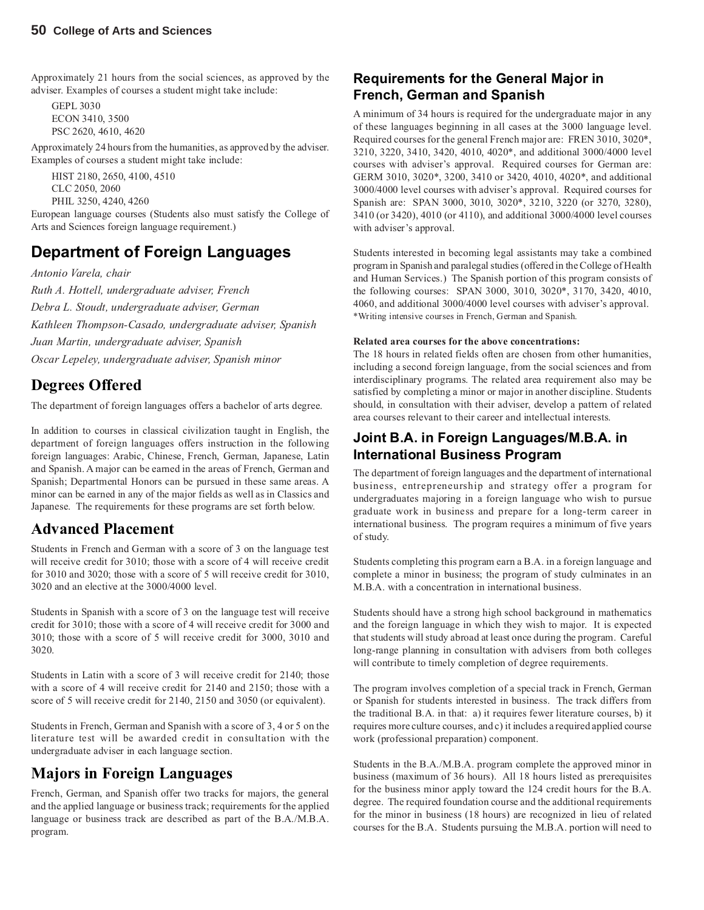Approximately 21 hours from the social sciences, as approved by the adviser. Examples of courses a student might take include:

GEPL 3030 ECON 3410, 3500 PSC 2620, 4610, 4620

Approximately 24 hours from the humanities, as approved by the adviser. Examples of courses a student might take include:

HIST 2180, 2650, 4100, 4510 CLC 2050, 2060 PHIL 3250, 4240, 4260

European language courses (Students also must satisfy the College of Arts and Sciences foreign language requirement.)

## **Department of Foreign Languages**

*Antonio Varela, chair*

*Ruth A. Hottell, undergraduate adviser, French Debra L. Stoudt, undergraduate adviser, German Kathleen Thompson-Casado, undergraduate adviser, Spanish Juan Martin, undergraduate adviser, Spanish Oscar Lepeley, undergraduate adviser, Spanish minor*

### **Degrees Offered**

The department of foreign languages offers a bachelor of arts degree.

In addition to courses in classical civilization taught in English, the department of foreign languages offers instruction in the following foreign languages: Arabic, Chinese, French, German, Japanese, Latin and Spanish. A major can be earned in the areas of French, German and Spanish; Departmental Honors can be pursued in these same areas. A minor can be earned in any of the major fields as well as in Classics and Japanese. The requirements for these programs are set forth below.

#### **Advanced Placement**

Students in French and German with a score of 3 on the language test will receive credit for 3010; those with a score of 4 will receive credit for 3010 and 3020; those with a score of 5 will receive credit for 3010, 3020 and an elective at the 3000/4000 level.

Students in Spanish with a score of 3 on the language test will receive credit for 3010; those with a score of 4 will receive credit for 3000 and 3010; those with a score of 5 will receive credit for 3000, 3010 and 3020.

Students in Latin with a score of 3 will receive credit for 2140; those with a score of 4 will receive credit for 2140 and 2150; those with a score of 5 will receive credit for 2140, 2150 and 3050 (or equivalent).

Students in French, German and Spanish with a score of 3, 4 or 5 on the literature test will be awarded credit in consultation with the undergraduate adviser in each language section.

### **Majors in Foreign Languages**

French, German, and Spanish offer two tracks for majors, the general and the applied language or business track; requirements for the applied language or business track are described as part of the B.A./M.B.A. program.

#### **Requirements for the General Major in French, German and Spanish**

A minimum of 34 hours is required for the undergraduate major in any of these languages beginning in all cases at the 3000 language level. Required courses for the general French major are: FREN 3010, 3020\*, 3210, 3220, 3410, 3420, 4010, 4020\*, and additional 3000/4000 level courses with adviser's approval. Required courses for German are: GERM 3010, 3020\*, 3200, 3410 or 3420, 4010, 4020\*, and additional 3000/4000 level courses with adviser's approval. Required courses for Spanish are: SPAN 3000, 3010, 3020\*, 3210, 3220 (or 3270, 3280), 3410 (or 3420), 4010 (or 4110), and additional 3000/4000 level courses with adviser's approval.

Students interested in becoming legal assistants may take a combined program in Spanish and paralegal studies (offered in the College of Health and Human Services.) The Spanish portion of this program consists of the following courses: SPAN 3000, 3010, 3020\*, 3170, 3420, 4010, 4060, and additional 3000/4000 level courses with adviser's approval. \*Writing intensive courses in French, German and Spanish.

#### **Related area courses for the above concentrations:**

The 18 hours in related fields often are chosen from other humanities, including a second foreign language, from the social sciences and from interdisciplinary programs. The related area requirement also may be satisfied by completing a minor or major in another discipline. Students should, in consultation with their adviser, develop a pattern of related area courses relevant to their career and intellectual interests.

#### **Joint B.A. in Foreign Languages/M.B.A. in International Business Program**

The department of foreign languages and the department of international business, entrepreneurship and strategy offer a program for undergraduates majoring in a foreign language who wish to pursue graduate work in business and prepare for a long-term career in international business. The program requires a minimum of five years of study.

Students completing this program earn a B.A. in a foreign language and complete a minor in business; the program of study culminates in an M.B.A. with a concentration in international business.

Students should have a strong high school background in mathematics and the foreign language in which they wish to major. It is expected that students will study abroad at least once during the program. Careful long-range planning in consultation with advisers from both colleges will contribute to timely completion of degree requirements.

The program involves completion of a special track in French, German or Spanish for students interested in business. The track differs from the traditional B.A. in that: a) it requires fewer literature courses, b) it requires more culture courses, and c) it includes a required applied course work (professional preparation) component.

Students in the B.A./M.B.A. program complete the approved minor in business (maximum of 36 hours). All 18 hours listed as prerequisites for the business minor apply toward the 124 credit hours for the B.A. degree. The required foundation course and the additional requirements for the minor in business (18 hours) are recognized in lieu of related courses for the B.A. Students pursuing the M.B.A. portion will need to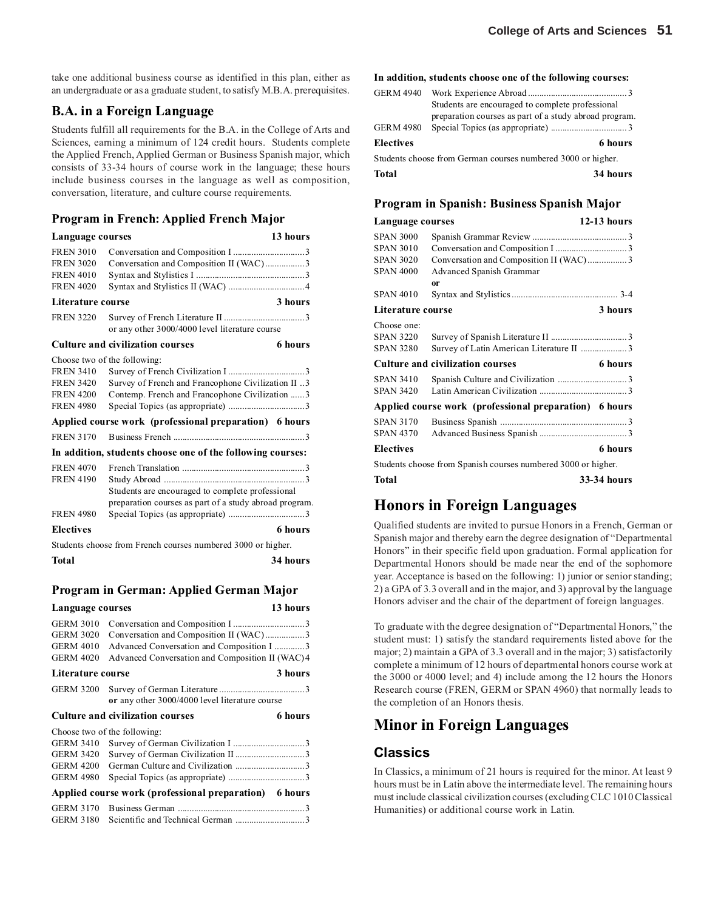take one additional business course as identified in this plan, either as an undergraduate or as a graduate student, to satisfy M.B.A. prerequisites.

#### **B.A. in a Foreign Language**

Students fulfill all requirements for the B.A. in the College of Arts and Sciences, earning a minimum of 124 credit hours. Students complete the Applied French, Applied German or Business Spanish major, which consists of 33-34 hours of course work in the language; these hours include business courses in the language as well as composition, conversation, literature, and culture course requirements.

#### **Program in French: Applied French Major**

| Language courses             |                                                              | 13 hours       |
|------------------------------|--------------------------------------------------------------|----------------|
| <b>FREN 3010</b>             |                                                              |                |
| <b>FREN 3020</b>             | Conversation and Composition II (WAC)3                       |                |
| <b>FREN 4010</b>             |                                                              |                |
| <b>FREN 4020</b>             |                                                              |                |
| Literature course            |                                                              | 3 hours        |
| <b>FREN 3220</b>             | or any other 3000/4000 level literature course               |                |
|                              | <b>Culture and civilization courses</b>                      | 6 hours        |
| Choose two of the following: |                                                              |                |
| <b>FREN 3410</b>             |                                                              |                |
| <b>FREN 3420</b>             | Survey of French and Francophone Civilization II 3           |                |
| <b>FREN 4200</b>             | Contemp. French and Francophone Civilization  3              |                |
| <b>FREN 4980</b>             |                                                              |                |
|                              | Applied course work (professional preparation) 6 hours       |                |
| <b>FREN 3170</b>             |                                                              |                |
|                              | In addition, students choose one of the following courses:   |                |
| <b>FREN 4070</b>             |                                                              |                |
| <b>FREN 4190</b>             |                                                              |                |
|                              | Students are encouraged to complete professional             |                |
|                              | preparation courses as part of a study abroad program.       |                |
| <b>FREN 4980</b>             |                                                              |                |
| <b>Electives</b>             |                                                              | <b>6</b> hours |
|                              | Students choose from French courses numbered 3000 or higher. |                |
| Total                        |                                                              | 34 hours       |

#### **Program in German: Applied German Major**

| Language courses             |                                                        | 13 hours |
|------------------------------|--------------------------------------------------------|----------|
| <b>GERM 3010</b>             |                                                        |          |
| <b>GERM 3020</b>             | Conversation and Composition II (WAC)3                 |          |
| <b>GERM 4010</b>             | Advanced Conversation and Composition I 3              |          |
| <b>GERM 4020</b>             | Advanced Conversation and Composition II (WAC) 4       |          |
| Literature course            |                                                        | 3 hours  |
| <b>GERM 3200</b>             | or any other 3000/4000 level literature course         |          |
|                              | <b>Culture and civilization courses</b>                | 6 hours  |
| Choose two of the following: |                                                        |          |
| <b>GERM 3410</b>             |                                                        |          |
| <b>GERM 3420</b>             |                                                        |          |
| <b>GERM 4200</b>             |                                                        |          |
| <b>GERM 4980</b>             |                                                        |          |
|                              | Applied course work (professional preparation) 6 hours |          |
| <b>GERM 3170</b>             |                                                        |          |
| <b>GERM 3180</b>             |                                                        |          |

#### **In addition, students choose one of the following courses:**

| <b>GERM 4940</b>                                             | Students are encouraged to complete professional<br>preparation courses as part of a study abroad program. |
|--------------------------------------------------------------|------------------------------------------------------------------------------------------------------------|
| <b>GERM 4980</b>                                             |                                                                                                            |
| <b>Electives</b>                                             | 6 hours                                                                                                    |
| Students choose from German courses numbered 3000 or higher. |                                                                                                            |
| Total                                                        | 34 hours                                                                                                   |

#### **Program in Spanish: Business Spanish Major**

| Language courses  |                                                               | $12-13$ hours |
|-------------------|---------------------------------------------------------------|---------------|
| <b>SPAN 3000</b>  |                                                               |               |
| <b>SPAN 3010</b>  |                                                               |               |
| SPAN 3020         | Conversation and Composition II (WAC)3                        |               |
| <b>SPAN 4000</b>  | Advanced Spanish Grammar                                      |               |
|                   | 0r                                                            |               |
| <b>SPAN 4010</b>  |                                                               |               |
| Literature course |                                                               | 3 hours       |
| Choose one:       |                                                               |               |
| <b>SPAN 3220</b>  |                                                               |               |
| <b>SPAN 3280</b>  | Survey of Latin American Literature II 3                      |               |
|                   | <b>Culture and civilization courses</b>                       | 6 hours       |
| <b>SPAN 3410</b>  |                                                               |               |
| <b>SPAN 3420</b>  |                                                               |               |
|                   | Applied course work (professional preparation) 6 hours        |               |
| <b>SPAN 3170</b>  |                                                               |               |
| <b>SPAN 4370</b>  |                                                               |               |
| Electives         |                                                               | 6 hours       |
|                   | Students choose from Spanish courses numbered 3000 or higher. |               |
| Total             |                                                               | 33-34 hours   |

#### **Honors in Foreign Languages**

Qualified students are invited to pursue Honors in a French, German or Spanish major and thereby earn the degree designation of "Departmental Honors" in their specific field upon graduation. Formal application for Departmental Honors should be made near the end of the sophomore year. Acceptance is based on the following: 1) junior or senior standing; 2) a GPA of 3.3 overall and in the major, and 3) approval by the language Honors adviser and the chair of the department of foreign languages.

To graduate with the degree designation of "Departmental Honors," the student must: 1) satisfy the standard requirements listed above for the major; 2) maintain a GPA of 3.3 overall and in the major; 3) satisfactorily complete a minimum of 12 hours of departmental honors course work at the 3000 or 4000 level; and 4) include among the 12 hours the Honors Research course (FREN, GERM or SPAN 4960) that normally leads to the completion of an Honors thesis.

#### **Minor in Foreign Languages**

#### **Classics**

In Classics, a minimum of 21 hours is required for the minor. At least 9 hours must be in Latin above the intermediate level. The remaining hours must include classical civilization courses (excluding CLC 1010 Classical Humanities) or additional course work in Latin.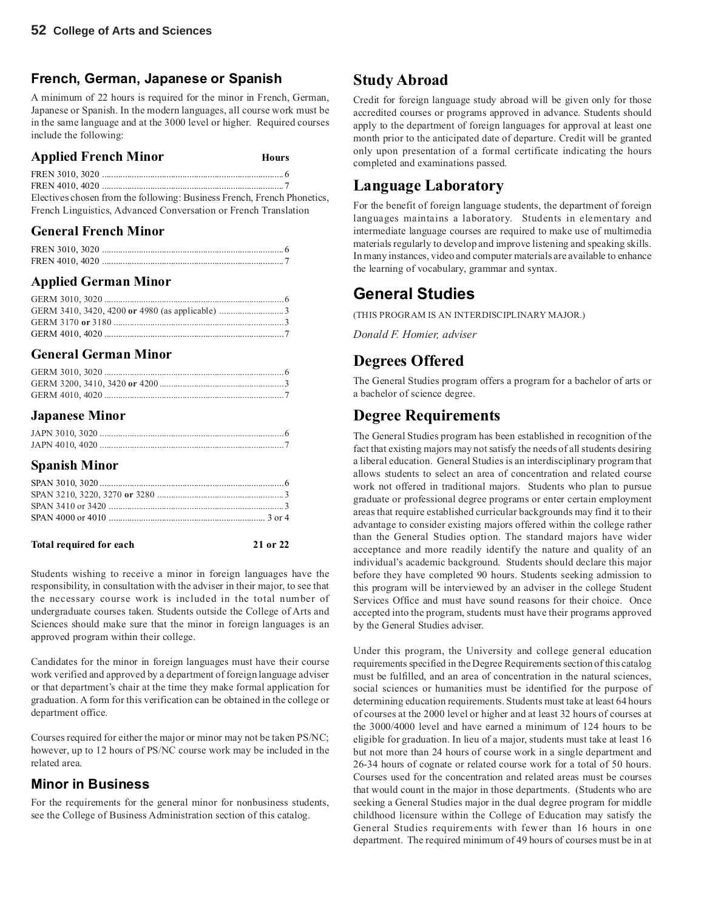#### **French, German, Japanese or Spanish**

A minimum of 22 hours is required for the minor in French, German, Japanese or Spanish. In the modern languages, all course work must be in the same language and at the 3000 level or higher. Required courses include the following:

| <b>Applied French Minor</b> | Hours |
|-----------------------------|-------|
|                             |       |
|                             |       |

Electives chosen from the following: Business French, French Phonetics, French Linguistics, Advanced Conversation or French Translation

#### **General French Minor**

#### **Applied German Minor**

#### **General German Minor**

#### **Japanese Minor**

#### **Spanish Minor**

#### Total required for each 21 or 22

Students wishing to receive a minor in foreign languages have the responsibility, in consultation with the adviser in their major, to see that the necessary course work is included in the total number of undergraduate courses taken. Students outside the College of Arts and Sciences should make sure that the minor in foreign languages is an approved program within their college.

Candidates for the minor in foreign languages must have their course work verified and approved by a department of foreign language adviser or that department's chair at the time they make formal application for graduation. A form for this verification can be obtained in the college or department office.

Courses required for either the major or minor may not be taken PS/NC; however, up to 12 hours of PS/NC course work may be included in the related area.

#### **Minor in Business**

For the requirements for the general minor for nonbusiness students, see the College of Business Administration section of this catalog.

## **Study Abroad**

Credit for foreign language study abroad will be given only for those accredited courses or programs approved in advance. Students should apply to the department of foreign languages for approval at least one month prior to the anticipated date of departure. Credit will be granted only upon presentation of a formal certificate indicating the hours completed and examinations passed.

### **Language Laboratory**

For the benefit of foreign language students, the department of foreign languages maintains a laboratory. Students in elementary and intermediate language courses are required to make use of multimedia materials regularly to develop and improve listening and speaking skills. In many instances, video and computer materials are available to enhance the learning of vocabulary, grammar and syntax.

#### **General Studies**

(THIS PROGRAM IS AN INTERDISCIPLINARY MAJOR.)

*Donald F. Homier, adviser*

#### **Degrees Offered**

The General Studies program offers a program for a bachelor of arts or a bachelor of science degree.

### **Degree Requirements**

The General Studies program has been established in recognition of the fact that existing majors may not satisfy the needs of all students desiring a liberal education. General Studies is an interdisciplinary program that allows students to select an area of concentration and related course work not offered in traditional majors. Students who plan to pursue graduate or professional degree programs or enter certain employment areas that require established curricular backgrounds may find it to their advantage to consider existing majors offered within the college rather than the General Studies option. The standard majors have wider acceptance and more readily identify the nature and quality of an individual's academic background. Students should declare this major before they have completed 90 hours. Students seeking admission to this program will be interviewed by an adviser in the college Student Services Office and must have sound reasons for their choice. Once accepted into the program, students must have their programs approved by the General Studies adviser.

Under this program, the University and college general education requirements specified in the Degree Requirements section of this catalog must be fulfilled, and an area of concentration in the natural sciences, social sciences or humanities must be identified for the purpose of determining education requirements. Students must take at least 64 hours of courses at the 2000 level or higher and at least 32 hours of courses at the 3000/4000 level and have earned a minimum of 124 hours to be eligible for graduation. In lieu of a major, students must take at least 16 but not more than 24 hours of course work in a single department and 26-34 hours of cognate or related course work for a total of 50 hours. Courses used for the concentration and related areas must be courses that would count in the major in those departments. (Students who are seeking a General Studies major in the dual degree program for middle childhood licensure within the College of Education may satisfy the General Studies requirements with fewer than 16 hours in one department. The required minimum of 49 hours of courses must be in at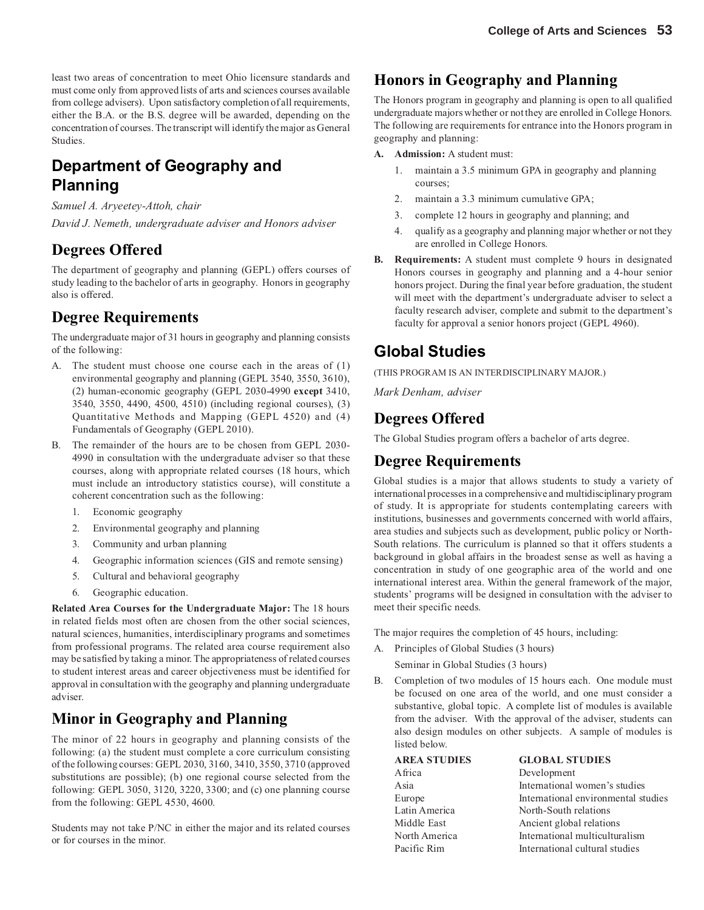least two areas of concentration to meet Ohio licensure standards and must come only from approved lists of arts and sciences courses available from college advisers). Upon satisfactory completion of all requirements, either the B.A. or the B.S. degree will be awarded, depending on the concentration of courses. The transcript will identify the major as General Studies.

## **Department of Geography and Planning**

*Samuel A. Aryeetey-Attoh, chair*

*David J. Nemeth, undergraduate adviser and Honors adviser*

### **Degrees Offered**

The department of geography and planning (GEPL) offers courses of study leading to the bachelor of arts in geography. Honors in geography also is offered.

### **Degree Requirements**

The undergraduate major of 31 hours in geography and planning consists of the following:

- A. The student must choose one course each in the areas of (1) environmental geography and planning (GEPL 3540, 3550, 3610), (2) human-economic geography (GEPL 2030-4990 **except** 3410, 3540, 3550, 4490, 4500, 4510) (including regional courses), (3) Quantitative Methods and Mapping (GEPL 4520) and (4) Fundamentals of Geography (GEPL 2010).
- B. The remainder of the hours are to be chosen from GEPL 2030- 4990 in consultation with the undergraduate adviser so that these courses, along with appropriate related courses (18 hours, which must include an introductory statistics course), will constitute a coherent concentration such as the following:
	- 1. Economic geography
	- 2. Environmental geography and planning
	- 3. Community and urban planning
	- 4. Geographic information sciences (GIS and remote sensing)
	- 5. Cultural and behavioral geography
	- 6. Geographic education.

**Related Area Courses for the Undergraduate Major:** The 18 hours in related fields most often are chosen from the other social sciences, natural sciences, humanities, interdisciplinary programs and sometimes from professional programs. The related area course requirement also may be satisfied by taking a minor. The appropriateness of related courses to student interest areas and career objectiveness must be identified for approval in consultation with the geography and planning undergraduate adviser.

### **Minor in Geography and Planning**

The minor of 22 hours in geography and planning consists of the following: (a) the student must complete a core curriculum consisting of the following courses: GEPL 2030, 3160, 3410, 3550, 3710 (approved substitutions are possible); (b) one regional course selected from the following: GEPL 3050, 3120, 3220, 3300; and (c) one planning course from the following: GEPL 4530, 4600.

Students may not take P/NC in either the major and its related courses or for courses in the minor.

#### **Honors in Geography and Planning**

The Honors program in geography and planning is open to all qualified undergraduate majors whether or not they are enrolled in College Honors. The following are requirements for entrance into the Honors program in geography and planning:

- **A. Admission:** A student must:
	- 1. maintain a 3.5 minimum GPA in geography and planning courses;
	- 2. maintain a 3.3 minimum cumulative GPA;
	- 3. complete 12 hours in geography and planning; and
	- 4. qualify as a geography and planning major whether or not they are enrolled in College Honors.
- **B. Requirements:** A student must complete 9 hours in designated Honors courses in geography and planning and a 4-hour senior honors project. During the final year before graduation, the student will meet with the department's undergraduate adviser to select a faculty research adviser, complete and submit to the department's faculty for approval a senior honors project (GEPL 4960).

## **Global Studies**

(THIS PROGRAM IS AN INTERDISCIPLINARY MAJOR.)

*Mark Denham, adviser*

### **Degrees Offered**

The Global Studies program offers a bachelor of arts degree.

#### **Degree Requirements**

Global studies is a major that allows students to study a variety of international processes in a comprehensive and multidisciplinary program of study. It is appropriate for students contemplating careers with institutions, businesses and governments concerned with world affairs, area studies and subjects such as development, public policy or North-South relations. The curriculum is planned so that it offers students a background in global affairs in the broadest sense as well as having a concentration in study of one geographic area of the world and one international interest area. Within the general framework of the major, students' programs will be designed in consultation with the adviser to meet their specific needs.

The major requires the completion of 45 hours, including:

- A. Principles of Global Studies (3 hours) Seminar in Global Studies (3 hours)
- B. Completion of two modules of 15 hours each. One module must be focused on one area of the world, and one must consider a substantive, global topic. A complete list of modules is available from the adviser. With the approval of the adviser, students can also design modules on other subjects. A sample of modules is listed below.

| <b>AREA STUDIES</b> | <b>GLOBAL STUDIES</b>               |
|---------------------|-------------------------------------|
| Africa              | Development                         |
| Asia                | International women's studies       |
| Europe              | International environmental studies |
| Latin America       | North-South relations               |
| Middle East         | Ancient global relations            |
| North America       | International multiculturalism      |
| Pacific Rim         | International cultural studies      |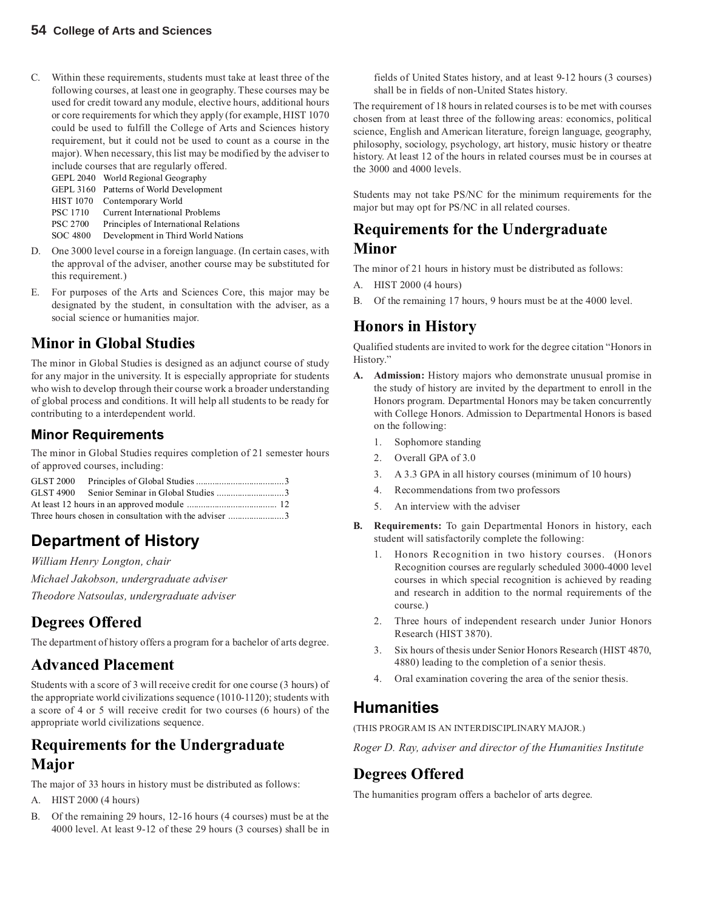C. Within these requirements, students must take at least three of the following courses, at least one in geography. These courses may be used for credit toward any module, elective hours, additional hours or core requirements for which they apply (for example, HIST 1070 could be used to fulfill the College of Arts and Sciences history requirement, but it could not be used to count as a course in the major). When necessary, this list may be modified by the adviser to include courses that are regularly offered.

GEPL 2040 World Regional Geography

GEPL 3160 Patterns of World Development

HIST 1070 Contemporary World PSC 1710 Current International Problems

PSC 2700 Principles of International Relations

SOC 4800 Development in Third World Nations

- D. One 3000 level course in a foreign language. (In certain cases, with the approval of the adviser, another course may be substituted for this requirement.)
- E. For purposes of the Arts and Sciences Core, this major may be designated by the student, in consultation with the adviser, as a social science or humanities major.

## **Minor in Global Studies**

The minor in Global Studies is designed as an adjunct course of study for any major in the university. It is especially appropriate for students who wish to develop through their course work a broader understanding of global process and conditions. It will help all students to be ready for contributing to a interdependent world.

#### **Minor Requirements**

The minor in Global Studies requires completion of 21 semester hours of approved courses, including:

## **Department of History**

*William Henry Longton, chair*

*Michael Jakobson, undergraduate adviser*

*Theodore Natsoulas, undergraduate adviser*

### **Degrees Offered**

The department of history offers a program for a bachelor of arts degree.

#### **Advanced Placement**

Students with a score of 3 will receive credit for one course (3 hours) of the appropriate world civilizations sequence (1010-1120); students with a score of 4 or 5 will receive credit for two courses (6 hours) of the appropriate world civilizations sequence.

## **Requirements for the Undergraduate Major**

The major of 33 hours in history must be distributed as follows:

- A. HIST 2000 (4 hours)
- B. Of the remaining 29 hours, 12-16 hours (4 courses) must be at the 4000 level. At least 9-12 of these 29 hours (3 courses) shall be in

fields of United States history, and at least 9-12 hours (3 courses) shall be in fields of non-United States history.

The requirement of 18 hours in related courses is to be met with courses chosen from at least three of the following areas: economics, political science, English and American literature, foreign language, geography, philosophy, sociology, psychology, art history, music history or theatre history. At least 12 of the hours in related courses must be in courses at the 3000 and 4000 levels.

Students may not take PS/NC for the minimum requirements for the major but may opt for PS/NC in all related courses.

### **Requirements for the Undergraduate Minor**

The minor of 21 hours in history must be distributed as follows:

- A. HIST 2000 (4 hours)
- B. Of the remaining 17 hours, 9 hours must be at the 4000 level.

## **Honors in History**

Qualified students are invited to work for the degree citation "Honors in History."

- **A. Admission:** History majors who demonstrate unusual promise in the study of history are invited by the department to enroll in the Honors program. Departmental Honors may be taken concurrently with College Honors. Admission to Departmental Honors is based on the following:
	- 1. Sophomore standing
	- 2. Overall GPA of 3.0
	- 3. A 3.3 GPA in all history courses (minimum of 10 hours)
	- 4. Recommendations from two professors
	- 5. An interview with the adviser
- **B. Requirements:** To gain Departmental Honors in history, each student will satisfactorily complete the following:
	- Honors Recognition in two history courses. (Honors Recognition courses are regularly scheduled 3000-4000 level courses in which special recognition is achieved by reading and research in addition to the normal requirements of the course.)
	- 2. Three hours of independent research under Junior Honors Research (HIST 3870).
	- 3. Six hours of thesis under Senior Honors Research (HIST 4870, 4880) leading to the completion of a senior thesis.
	- 4. Oral examination covering the area of the senior thesis.

## **Humanities**

(THIS PROGRAM IS AN INTERDISCIPLINARY MAJOR.)

*Roger D. Ray, adviser and director of the Humanities Institute*

#### **Degrees Offered**

The humanities program offers a bachelor of arts degree.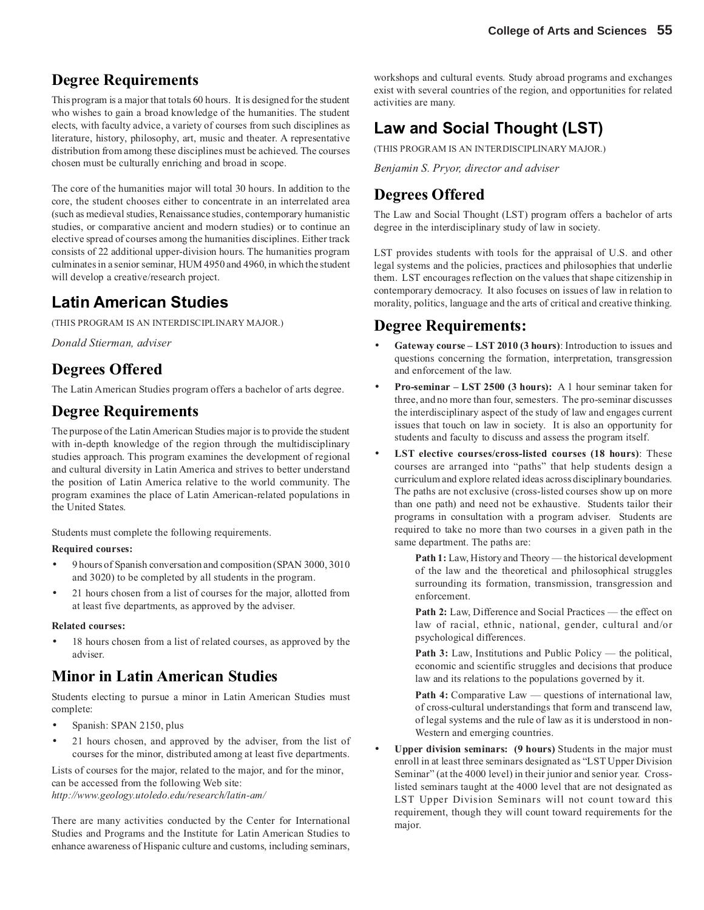### **Degree Requirements**

This program is a major that totals 60 hours.It is designed for the student who wishes to gain a broad knowledge of the humanities. The student elects, with faculty advice, a variety of courses from such disciplines as literature, history, philosophy, art, music and theater. A representative distribution from among these disciplines must be achieved. The courses chosen must be culturally enriching and broad in scope.

The core of the humanities major will total 30 hours. In addition to the core, the student chooses either to concentrate in an interrelated area (such as medieval studies, Renaissance studies, contemporary humanistic studies, or comparative ancient and modern studies) or to continue an elective spread of courses among the humanities disciplines. Either track consists of 22 additional upper-division hours. The humanities program culminates in a senior seminar, HUM 4950 and 4960, in which the student will develop a creative/research project.

### **Latin American Studies**

(THIS PROGRAM IS AN INTERDISCIPLINARY MAJOR.)

*Donald Stierman, adviser*

### **Degrees Offered**

The Latin American Studies program offers a bachelor of arts degree.

#### **Degree Requirements**

The purpose of the Latin American Studies major is to provide the student with in-depth knowledge of the region through the multidisciplinary studies approach. This program examines the development of regional and cultural diversity in Latin America and strives to better understand the position of Latin America relative to the world community. The program examines the place of Latin American-related populations in the United States.

Students must complete the following requirements.

#### **Required courses:**

- 9 hours of Spanish conversation and composition (SPAN 3000, 3010 and 3020) to be completed by all students in the program.
- 21 hours chosen from a list of courses for the major, allotted from at least five departments, as approved by the adviser.

#### **Related courses:**

18 hours chosen from a list of related courses, as approved by the adviser.

#### **Minor in Latin American Studies**

Students electing to pursue a minor in Latin American Studies must complete:

- Spanish: SPAN 2150, plus
- 21 hours chosen, and approved by the adviser, from the list of courses for the minor, distributed among at least five departments.

Lists of courses for the major, related to the major, and for the minor, can be accessed from the following Web site: *http://www.geology.utoledo.edu/research/latin-am/*

There are many activities conducted by the Center for International Studies and Programs and the Institute for Latin American Studies to enhance awareness of Hispanic culture and customs, including seminars,

workshops and cultural events. Study abroad programs and exchanges exist with several countries of the region, and opportunities for related activities are many.

## **Law and Social Thought (LST)**

(THIS PROGRAM IS AN INTERDISCIPLINARY MAJOR.)

*Benjamin S. Pryor, director and adviser*

## **Degrees Offered**

The Law and Social Thought (LST) program offers a bachelor of arts degree in the interdisciplinary study of law in society.

LST provides students with tools for the appraisal of U.S. and other legal systems and the policies, practices and philosophies that underlie them. LST encourages reflection on the values that shape citizenship in contemporary democracy. It also focuses on issues of law in relation to morality, politics, language and the arts of critical and creative thinking.

#### **Degree Requirements:**

- **Gateway course LST 2010 (3 hours)**: Introduction to issues and questions concerning the formation, interpretation, transgression and enforcement of the law.
- **Pro-seminar LST 2500 (3 hours):** A 1 hour seminar taken for three, and no more than four, semesters. The pro-seminar discusses the interdisciplinary aspect of the study of law and engages current issues that touch on law in society. It is also an opportunity for students and faculty to discuss and assess the program itself.
- **LST elective courses/cross-listed courses (18 hours)**: These courses are arranged into "paths" that help students design a curriculum and explore related ideas across disciplinary boundaries. The paths are not exclusive (cross-listed courses show up on more than one path) and need not be exhaustive. Students tailor their programs in consultation with a program adviser. Students are required to take no more than two courses in a given path in the same department. The paths are:

Path 1: Law, History and Theory — the historical development of the law and the theoretical and philosophical struggles surrounding its formation, transmission, transgression and enforcement.

Path 2: Law, Difference and Social Practices — the effect on law of racial, ethnic, national, gender, cultural and/or psychological differences.

Path 3: Law, Institutions and Public Policy — the political, economic and scientific struggles and decisions that produce law and its relations to the populations governed by it.

**Path 4:** Comparative Law — questions of international law, of cross-cultural understandings that form and transcend law, of legal systems and the rule of law as it is understood in non-Western and emerging countries.

• **Upper division seminars: (9 hours)** Students in the major must enroll in at least three seminars designated as "LST Upper Division Seminar" (at the 4000 level) in their junior and senior year. Crosslisted seminars taught at the 4000 level that are not designated as LST Upper Division Seminars will not count toward this requirement, though they will count toward requirements for the major.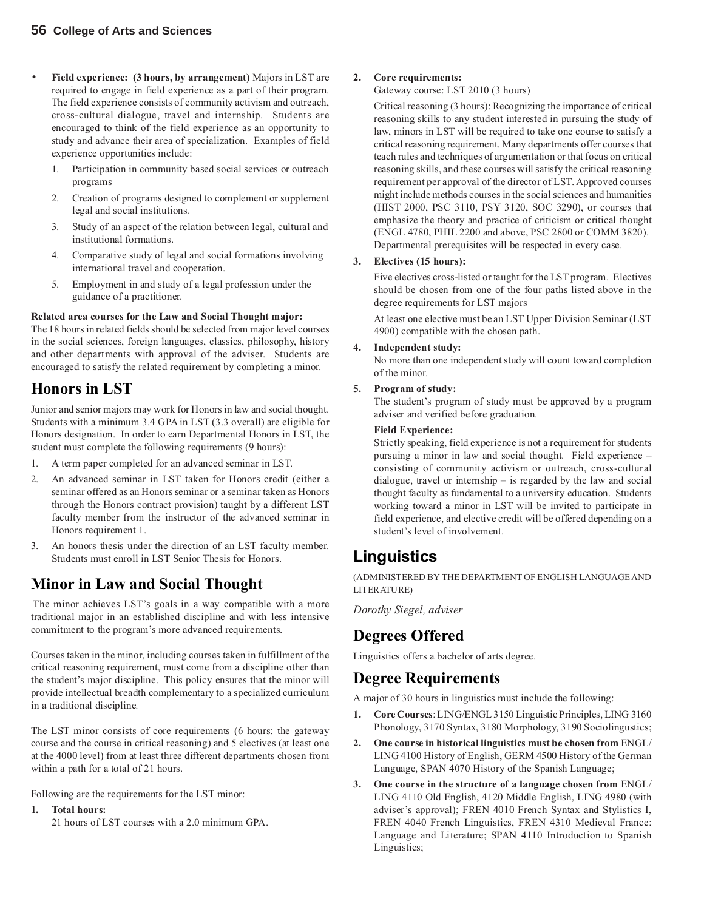- **Field experience: (3 hours, by arrangement)** Majors in LST are required to engage in field experience as a part of their program. The field experience consists of community activism and outreach, cross-cultural dialogue, travel and internship. Students are encouraged to think of the field experience as an opportunity to study and advance their area of specialization. Examples of field experience opportunities include:
	- 1. Participation in community based social services or outreach programs
	- 2. Creation of programs designed to complement or supplement legal and social institutions.
	- 3. Study of an aspect of the relation between legal, cultural and institutional formations.
	- 4. Comparative study of legal and social formations involving international travel and cooperation.
	- 5. Employment in and study of a legal profession under the guidance of a practitioner.

#### **Related area courses for the Law and Social Thought major:**

The 18 hours in related fields should be selected from major level courses in the social sciences, foreign languages, classics, philosophy, history and other departments with approval of the adviser. Students are encouraged to satisfy the related requirement by completing a minor.

#### **Honors in LST**

Junior and senior majors may work for Honors in law and social thought. Students with a minimum 3.4 GPA in LST (3.3 overall) are eligible for Honors designation. In order to earn Departmental Honors in LST, the student must complete the following requirements (9 hours):

- 1. A term paper completed for an advanced seminar in LST.
- 2. An advanced seminar in LST taken for Honors credit (either a seminar offered as an Honors seminar or a seminar taken as Honors through the Honors contract provision) taught by a different LST faculty member from the instructor of the advanced seminar in Honors requirement 1.
- 3. An honors thesis under the direction of an LST faculty member. Students must enroll in LST Senior Thesis for Honors.

### **Minor in Law and Social Thought**

The minor achieves LST's goals in a way compatible with a more traditional major in an established discipline and with less intensive commitment to the program's more advanced requirements.

Courses taken in the minor, including courses taken in fulfillment of the critical reasoning requirement, must come from a discipline other than the student's major discipline. This policy ensures that the minor will provide intellectual breadth complementary to a specialized curriculum in a traditional discipline*.*

The LST minor consists of core requirements (6 hours: the gateway course and the course in critical reasoning) and 5 electives (at least one at the 4000 level) from at least three different departments chosen from within a path for a total of 21 hours.

Following are the requirements for the LST minor:

#### **1. Total hours:**

21 hours of LST courses with a 2.0 minimum GPA.

#### **2. Core requirements:**

Gateway course: LST 2010 (3 hours)

Critical reasoning (3 hours): Recognizing the importance of critical reasoning skills to any student interested in pursuing the study of law, minors in LST will be required to take one course to satisfy a critical reasoning requirement. Many departments offer courses that teach rules and techniques of argumentation or that focus on critical reasoning skills, and these courses will satisfy the critical reasoning requirement per approval of the director of LST. Approved courses might include methods courses in the social sciences and humanities (HIST 2000, PSC 3110, PSY 3120, SOC 3290), or courses that emphasize the theory and practice of criticism or critical thought (ENGL 4780, PHIL 2200 and above, PSC 2800 or COMM 3820). Departmental prerequisites will be respected in every case.

#### **3. Electives (15 hours):**

Five electives cross-listed or taught for the LST program. Electives should be chosen from one of the four paths listed above in the degree requirements for LST majors

At least one elective must be an LST Upper Division Seminar (LST 4900) compatible with the chosen path.

#### **4. Independent study:**

No more than one independent study will count toward completion of the minor.

#### **5. Program of study:**

The student's program of study must be approved by a program adviser and verified before graduation.

#### **Field Experience:**

Strictly speaking, field experience is not a requirement for students pursuing a minor in law and social thought. Field experience – consisting of community activism or outreach, cross-cultural dialogue, travel or internship – is regarded by the law and social thought faculty as fundamental to a university education. Students working toward a minor in LST will be invited to participate in field experience, and elective credit will be offered depending on a student's level of involvement.

## **Linguistics**

(ADMINISTERED BY THE DEPARTMENT OF ENGLISH LANGUAGE AND LITERATURE)

*Dorothy Siegel, adviser*

#### **Degrees Offered**

Linguistics offers a bachelor of arts degree.

#### **Degree Requirements**

A major of 30 hours in linguistics must include the following:

- **1. Core Courses**: LING/ENGL 3150 Linguistic Principles, LING 3160 Phonology, 3170 Syntax, 3180 Morphology, 3190 Sociolingustics;
- **2. One course in historical linguistics must be chosen from** ENGL/ LING 4100 History of English, GERM 4500 History of the German Language, SPAN 4070 History of the Spanish Language;
- **3. One course in the structure of a language chosen from** ENGL/ LING 4110 Old English, 4120 Middle English, LING 4980 (with adviser's approval); FREN 4010 French Syntax and Stylistics I, FREN 4040 French Linguistics, FREN 4310 Medieval France: Language and Literature; SPAN 4110 Introduction to Spanish Linguistics;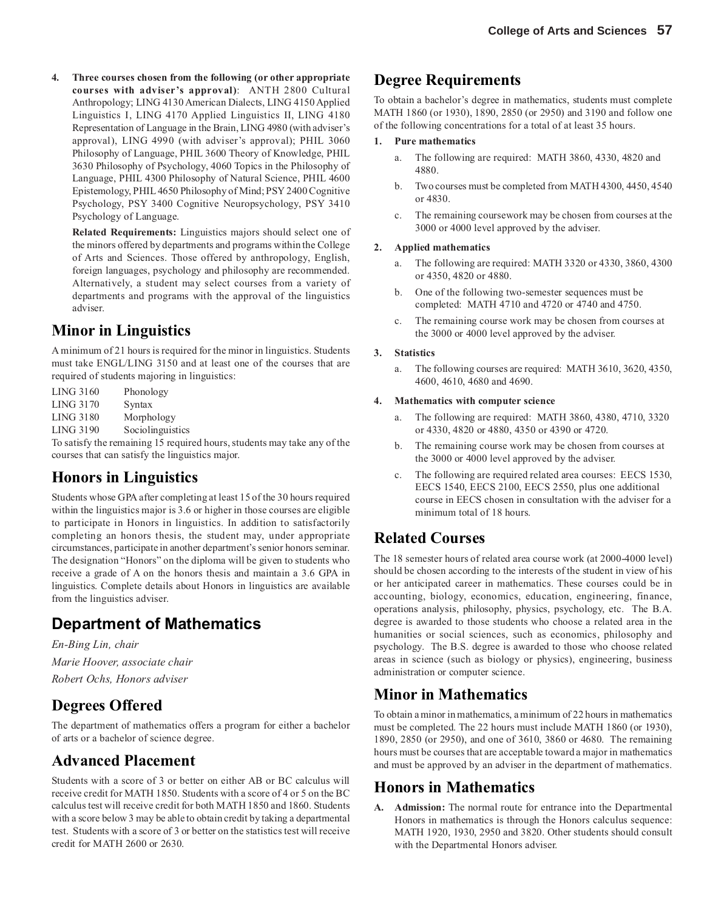**4. Three courses chosen from the following (or other appropriate courses with adviser's approval)**: ANTH 2800 Cultural Anthropology; LING 4130 American Dialects, LING 4150 Applied Linguistics I, LING 4170 Applied Linguistics II, LING 4180 Representation of Language in the Brain, LING 4980 (with adviser's approval), LING 4990 (with adviser's approval); PHIL 3060 Philosophy of Language, PHIL 3600 Theory of Knowledge, PHIL 3630 Philosophy of Psychology, 4060 Topics in the Philosophy of Language, PHIL 4300 Philosophy of Natural Science, PHIL 4600 Epistemology, PHIL 4650 Philosophy of Mind; PSY 2400 Cognitive Psychology, PSY 3400 Cognitive Neuropsychology, PSY 3410 Psychology of Language.

**Related Requirements:** Linguistics majors should select one of the minors offered by departments and programs within the College of Arts and Sciences. Those offered by anthropology, English, foreign languages, psychology and philosophy are recommended. Alternatively, a student may select courses from a variety of departments and programs with the approval of the linguistics adviser.

### **Minor in Linguistics**

A minimum of 21 hours is required for the minor in linguistics. Students must take ENGL/LING 3150 and at least one of the courses that are required of students majoring in linguistics:

LING 3160 Phonology LING 3170 Syntax LING 3180 Morphology LING 3190 Sociolinguistics

To satisfy the remaining 15 required hours, students may take any of the courses that can satisfy the linguistics major.

### **Honors in Linguistics**

Students whose GPA after completing at least 15 of the 30 hours required within the linguistics major is 3.6 or higher in those courses are eligible to participate in Honors in linguistics. In addition to satisfactorily completing an honors thesis, the student may, under appropriate circumstances, participate in another department's senior honors seminar. The designation "Honors" on the diploma will be given to students who receive a grade of A on the honors thesis and maintain a 3.6 GPA in linguistics. Complete details about Honors in linguistics are available from the linguistics adviser.

## **Department of Mathematics**

*En-Bing Lin, chair Marie Hoover, associate chair Robert Ochs, Honors adviser*

### **Degrees Offered**

The department of mathematics offers a program for either a bachelor of arts or a bachelor of science degree.

### **Advanced Placement**

Students with a score of 3 or better on either AB or BC calculus will receive credit for MATH 1850. Students with a score of 4 or 5 on the BC calculus test will receive credit for both MATH 1850 and 1860. Students with a score below 3 may be able to obtain credit by taking a departmental test. Students with a score of 3 or better on the statistics test will receive credit for MATH 2600 or 2630.

### **Degree Requirements**

To obtain a bachelor's degree in mathematics, students must complete MATH 1860 (or 1930), 1890, 2850 (or 2950) and 3190 and follow one of the following concentrations for a total of at least 35 hours.

#### **1. Pure mathematics**

- a. The following are required: MATH 3860, 4330, 4820 and 4880.
- b. Two courses must be completed from MATH 4300, 4450, 4540 or 4830.
- c. The remaining coursework may be chosen from courses at the 3000 or 4000 level approved by the adviser.

#### **2. Applied mathematics**

- a. The following are required: MATH 3320 or 4330, 3860, 4300 or 4350, 4820 or 4880.
- b. One of the following two-semester sequences must be completed: MATH 4710 and 4720 or 4740 and 4750.
- c. The remaining course work may be chosen from courses at the 3000 or 4000 level approved by the adviser.

#### **3. Statistics**

a. The following courses are required: MATH 3610, 3620, 4350, 4600, 4610, 4680 and 4690.

#### **4. Mathematics with computer science**

- a. The following are required: MATH 3860, 4380, 4710, 3320 or 4330, 4820 or 4880, 4350 or 4390 or 4720.
- b. The remaining course work may be chosen from courses at the 3000 or 4000 level approved by the adviser.
- c. The following are required related area courses: EECS 1530, EECS 1540, EECS 2100, EECS 2550, plus one additional course in EECS chosen in consultation with the adviser for a minimum total of 18 hours.

#### **Related Courses**

The 18 semester hours of related area course work (at 2000-4000 level) should be chosen according to the interests of the student in view of his or her anticipated career in mathematics. These courses could be in accounting, biology, economics, education, engineering, finance, operations analysis, philosophy, physics, psychology, etc. The B.A. degree is awarded to those students who choose a related area in the humanities or social sciences, such as economics, philosophy and psychology. The B.S. degree is awarded to those who choose related areas in science (such as biology or physics), engineering, business administration or computer science.

#### **Minor in Mathematics**

To obtain a minor in mathematics, a minimum of 22 hours in mathematics must be completed. The 22 hours must include MATH 1860 (or 1930), 1890, 2850 (or 2950), and one of 3610, 3860 or 4680. The remaining hours must be courses that are acceptable toward a major in mathematics and must be approved by an adviser in the department of mathematics.

#### **Honors in Mathematics**

**A. Admission:** The normal route for entrance into the Departmental Honors in mathematics is through the Honors calculus sequence: MATH 1920, 1930, 2950 and 3820. Other students should consult with the Departmental Honors adviser.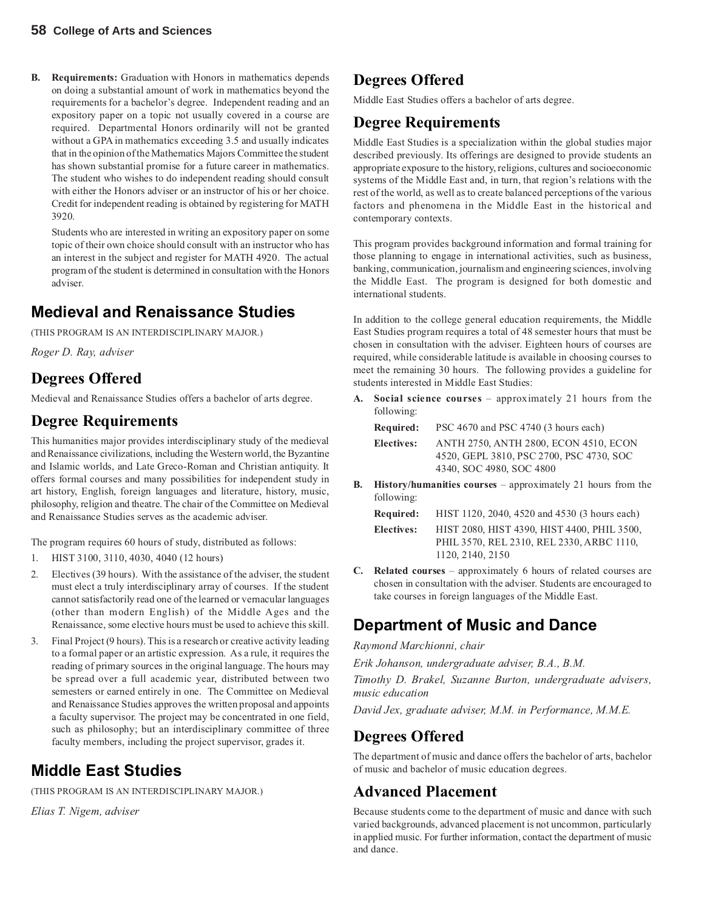**B. Requirements:** Graduation with Honors in mathematics depends on doing a substantial amount of work in mathematics beyond the requirements for a bachelor's degree. Independent reading and an expository paper on a topic not usually covered in a course are required. Departmental Honors ordinarily will not be granted without a GPA in mathematics exceeding 3.5 and usually indicates that in the opinion of the Mathematics Majors Committee the student has shown substantial promise for a future career in mathematics. The student who wishes to do independent reading should consult with either the Honors adviser or an instructor of his or her choice. Credit for independent reading is obtained by registering for MATH 3920.

Students who are interested in writing an expository paper on some topic of their own choice should consult with an instructor who has an interest in the subject and register for MATH 4920. The actual program of the student is determined in consultation with the Honors adviser.

## **Medieval and Renaissance Studies**

(THIS PROGRAM IS AN INTERDISCIPLINARY MAJOR.)

*Roger D. Ray, adviser*

### **Degrees Offered**

Medieval and Renaissance Studies offers a bachelor of arts degree.

#### **Degree Requirements**

This humanities major provides interdisciplinary study of the medieval and Renaissance civilizations, including the Western world, the Byzantine and Islamic worlds, and Late Greco-Roman and Christian antiquity. It offers formal courses and many possibilities for independent study in art history, English, foreign languages and literature, history, music, philosophy, religion and theatre. The chair of the Committee on Medieval and Renaissance Studies serves as the academic adviser.

The program requires 60 hours of study, distributed as follows:

- 1. HIST 3100, 3110, 4030, 4040 (12 hours)
- 2. Electives (39 hours). With the assistance of the adviser, the student must elect a truly interdisciplinary array of courses. If the student cannot satisfactorily read one of the learned or vernacular languages (other than modern English) of the Middle Ages and the Renaissance, some elective hours must be used to achieve this skill.
- 3. Final Project (9 hours). This is a research or creative activity leading to a formal paper or an artistic expression. As a rule, it requires the reading of primary sources in the original language. The hours may be spread over a full academic year, distributed between two semesters or earned entirely in one. The Committee on Medieval and Renaissance Studies approves the written proposal and appoints a faculty supervisor. The project may be concentrated in one field, such as philosophy; but an interdisciplinary committee of three faculty members, including the project supervisor, grades it.

## **Middle East Studies**

(THIS PROGRAM IS AN INTERDISCIPLINARY MAJOR.)

*Elias T. Nigem, adviser*

## **Degrees Offered**

Middle East Studies offers a bachelor of arts degree.

## **Degree Requirements**

Middle East Studies is a specialization within the global studies major described previously. Its offerings are designed to provide students an appropriate exposure to the history, religions, cultures and socioeconomic systems of the Middle East and, in turn, that region's relations with the rest of the world, as well as to create balanced perceptions of the various factors and phenomena in the Middle East in the historical and contemporary contexts.

This program provides background information and formal training for those planning to engage in international activities, such as business, banking, communication, journalism and engineering sciences, involving the Middle East. The program is designed for both domestic and international students.

In addition to the college general education requirements, the Middle East Studies program requires a total of 48 semester hours that must be chosen in consultation with the adviser. Eighteen hours of courses are required, while considerable latitude is available in choosing courses to meet the remaining 30 hours. The following provides a guideline for students interested in Middle East Studies:

**A. Social science courses** – approximately 21 hours from the following:

**Required:** PSC 4670 and PSC 4740 (3 hours each)

**Electives:** ANTH 2750, ANTH 2800, ECON 4510, ECON 4520, GEPL 3810, PSC 2700, PSC 4730, SOC 4340, SOC 4980, SOC 4800

**B. History/humanities courses** – approximately 21 hours from the following:

| Required:         | HIST 1120, 2040, 4520 and 4530 (3 hours each) |
|-------------------|-----------------------------------------------|
| <b>Electives:</b> | HIST 2080, HIST 4390, HIST 4400, PHIL 3500,   |
|                   | PHIL 3570, REL 2310, REL 2330, ARBC 1110,     |
|                   | 1120, 2140, 2150                              |

**C. Related courses** – approximately 6 hours of related courses are chosen in consultation with the adviser. Students are encouraged to take courses in foreign languages of the Middle East.

### **Department of Music and Dance**

*Raymond Marchionni, chair*

*Erik Johanson, undergraduate adviser, B.A., B.M.*

*Timothy D. Brakel, Suzanne Burton, undergraduate advisers, music education*

*David Jex, graduate adviser, M.M. in Performance, M.M.E.*

#### **Degrees Offered**

The department of music and dance offers the bachelor of arts, bachelor of music and bachelor of music education degrees.

#### **Advanced Placement**

Because students come to the department of music and dance with such varied backgrounds, advanced placement is not uncommon, particularly in applied music. For further information, contact the department of music and dance.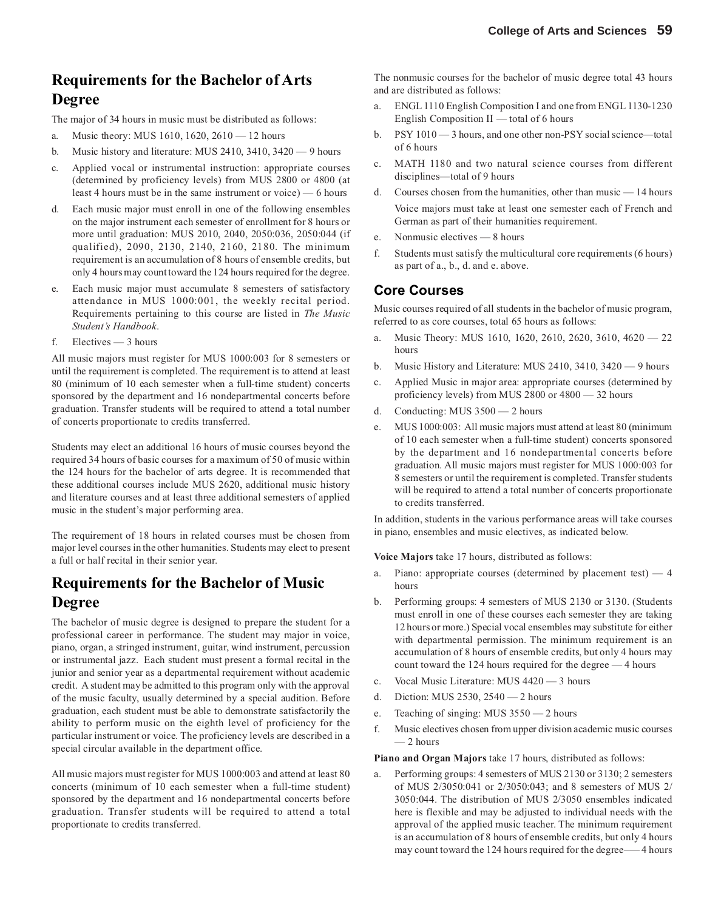## **Requirements for the Bachelor of Arts Degree**

The major of 34 hours in music must be distributed as follows:

- a. Music theory: MUS 1610, 1620, 2610 12 hours
- b. Music history and literature: MUS 2410, 3410, 3420 9 hours
- c. Applied vocal or instrumental instruction: appropriate courses (determined by proficiency levels) from MUS 2800 or 4800 (at least 4 hours must be in the same instrument or voice) — 6 hours
- d. Each music major must enroll in one of the following ensembles on the major instrument each semester of enrollment for 8 hours or more until graduation: MUS 2010, 2040, 2050:036, 2050:044 (if qualified), 2090, 2130, 2140, 2160, 2180. The minimum requirement is an accumulation of 8 hours of ensemble credits, but only 4 hours may count toward the 124 hours required for the degree.
- e. Each music major must accumulate 8 semesters of satisfactory attendance in MUS 1000:001, the weekly recital period. Requirements pertaining to this course are listed in *The Music Student's Handbook*.
- f. Electives 3 hours

All music majors must register for MUS 1000:003 for 8 semesters or until the requirement is completed. The requirement is to attend at least 80 (minimum of 10 each semester when a full-time student) concerts sponsored by the department and 16 nondepartmental concerts before graduation. Transfer students will be required to attend a total number of concerts proportionate to credits transferred.

Students may elect an additional 16 hours of music courses beyond the required 34 hours of basic courses for a maximum of 50 of music within the 124 hours for the bachelor of arts degree. It is recommended that these additional courses include MUS 2620, additional music history and literature courses and at least three additional semesters of applied music in the student's major performing area.

The requirement of 18 hours in related courses must be chosen from major level courses in the other humanities. Students may elect to present a full or half recital in their senior year.

#### **Requirements for the Bachelor of Music Degree**

The bachelor of music degree is designed to prepare the student for a professional career in performance. The student may major in voice, piano, organ, a stringed instrument, guitar, wind instrument, percussion or instrumental jazz. Each student must present a formal recital in the junior and senior year as a departmental requirement without academic credit. A student may be admitted to this program only with the approval of the music faculty, usually determined by a special audition. Before graduation, each student must be able to demonstrate satisfactorily the ability to perform music on the eighth level of proficiency for the particular instrument or voice. The proficiency levels are described in a special circular available in the department office.

All music majors must register for MUS 1000:003 and attend at least 80 concerts (minimum of 10 each semester when a full-time student) sponsored by the department and 16 nondepartmental concerts before graduation. Transfer students will be required to attend a total proportionate to credits transferred.

The nonmusic courses for the bachelor of music degree total 43 hours and are distributed as follows:

- a. ENGL 1110 English Composition I and one from ENGL 1130-1230 English Composition II — total of 6 hours
- b. PSY 1010 3 hours, and one other non-PSY social science—total of 6 hours
- c. MATH 1180 and two natural science courses from different disciplines—total of 9 hours
- d. Courses chosen from the humanities, other than music 14 hours Voice majors must take at least one semester each of French and German as part of their humanities requirement.
- e. Nonmusic electives 8 hours
- f. Students must satisfy the multicultural core requirements (6 hours) as part of a., b., d. and e. above.

#### **Core Courses**

Music courses required of all students in the bachelor of music program, referred to as core courses, total 65 hours as follows:

- a. Music Theory: MUS 1610, 1620, 2610, 2620, 3610, 4620 22 hours
- b. Music History and Literature: MUS 2410, 3410, 3420 9 hours
- c. Applied Music in major area: appropriate courses (determined by proficiency levels) from MUS 2800 or 4800 — 32 hours
- d. Conducting: MUS 3500 2 hours
- MUS 1000:003: All music majors must attend at least 80 (minimum of 10 each semester when a full-time student) concerts sponsored by the department and 16 nondepartmental concerts before graduation. All music majors must register for MUS 1000:003 for 8 semesters or until the requirement is completed. Transfer students will be required to attend a total number of concerts proportionate to credits transferred.

In addition, students in the various performance areas will take courses in piano, ensembles and music electives, as indicated below.

**Voice Majors** take 17 hours, distributed as follows:

- a. Piano: appropriate courses (determined by placement test)  $-4$ hours
- b. Performing groups: 4 semesters of MUS 2130 or 3130. (Students must enroll in one of these courses each semester they are taking 12 hours or more.) Special vocal ensembles may substitute for either with departmental permission. The minimum requirement is an accumulation of 8 hours of ensemble credits, but only 4 hours may count toward the 124 hours required for the degree — 4 hours
- c. Vocal Music Literature: MUS 4420 3 hours
- d. Diction: MUS 2530, 2540 2 hours
- e. Teaching of singing: MUS 3550 2 hours
- f. Music electives chosen from upper division academic music courses — 2 hours

**Piano and Organ Majors** take 17 hours, distributed as follows:

a. Performing groups: 4 semesters of MUS 2130 or 3130; 2 semesters of MUS 2/3050:041 or 2/3050:043; and 8 semesters of MUS 2/ 3050:044. The distribution of MUS 2/3050 ensembles indicated here is flexible and may be adjusted to individual needs with the approval of the applied music teacher. The minimum requirement is an accumulation of 8 hours of ensemble credits, but only 4 hours may count toward the 124 hours required for the degree— 4 hours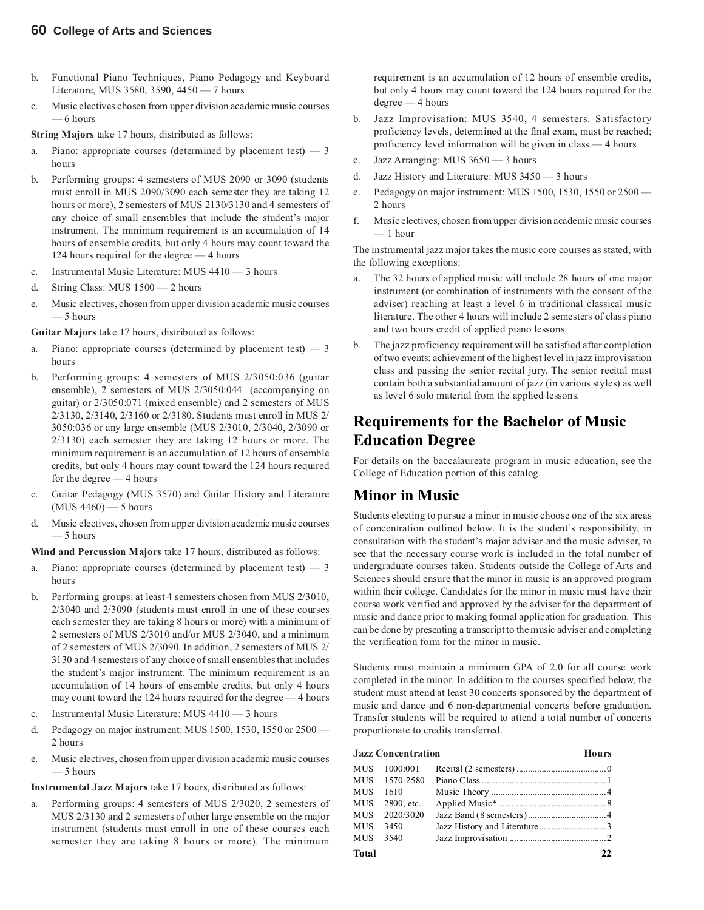- b. Functional Piano Techniques, Piano Pedagogy and Keyboard Literature, MUS 3580, 3590, 4450 — 7 hours
- c. Music electives chosen from upper division academic music courses — 6 hours

**String Majors** take 17 hours, distributed as follows:

- a. Piano: appropriate courses (determined by placement test)  $-3$ hours
- b. Performing groups: 4 semesters of MUS 2090 or 3090 (students must enroll in MUS 2090/3090 each semester they are taking 12 hours or more), 2 semesters of MUS 2130/3130 and 4 semesters of any choice of small ensembles that include the student's major instrument. The minimum requirement is an accumulation of 14 hours of ensemble credits, but only 4 hours may count toward the 124 hours required for the degree — 4 hours
- c. Instrumental Music Literature: MUS 4410 3 hours
- d. String Class: MUS 1500 2 hours
- e. Music electives, chosen from upper division academic music courses  $-5$  hours

**Guitar Majors** take 17 hours, distributed as follows:

- Piano: appropriate courses (determined by placement test)  $-3$ hours
- b. Performing groups: 4 semesters of MUS 2/3050:036 (guitar ensemble), 2 semesters of MUS 2/3050:044 (accompanying on guitar) or 2/3050:071 (mixed ensemble) and 2 semesters of MUS 2/3130, 2/3140, 2/3160 or 2/3180. Students must enroll in MUS 2/ 3050:036 or any large ensemble (MUS 2/3010, 2/3040, 2/3090 or 2/3130) each semester they are taking 12 hours or more. The minimum requirement is an accumulation of 12 hours of ensemble credits, but only 4 hours may count toward the 124 hours required for the degree — 4 hours
- c. Guitar Pedagogy (MUS 3570) and Guitar History and Literature  $(MUS 4460) - 5$  hours
- d. Music electives, chosen from upper division academic music courses — 5 hours

**Wind and Percussion Majors** take 17 hours, distributed as follows:

- a. Piano: appropriate courses (determined by placement test)  $-3$ hours
- b. Performing groups: at least 4 semesters chosen from MUS 2/3010, 2/3040 and 2/3090 (students must enroll in one of these courses each semester they are taking 8 hours or more) with a minimum of 2 semesters of MUS 2/3010 and/or MUS 2/3040, and a minimum of 2 semesters of MUS 2/3090. In addition, 2 semesters of MUS 2/ 3130 and 4 semesters of any choice of small ensembles that includes the student's major instrument. The minimum requirement is an accumulation of 14 hours of ensemble credits, but only 4 hours may count toward the 124 hours required for the degree — 4 hours
- c. Instrumental Music Literature: MUS 4410 3 hours
- d. Pedagogy on major instrument: MUS 1500, 1530, 1550 or 2500 2 hours
- e. Music electives, chosen from upper division academic music courses — 5 hours

**Instrumental Jazz Majors** take 17 hours, distributed as follows:

a. Performing groups: 4 semesters of MUS 2/3020, 2 semesters of MUS 2/3130 and 2 semesters of other large ensemble on the major instrument (students must enroll in one of these courses each semester they are taking 8 hours or more). The minimum

requirement is an accumulation of 12 hours of ensemble credits, but only 4 hours may count toward the 124 hours required for the degree — 4 hours

- b. Jazz Improvisation: MUS 3540, 4 semesters. Satisfactory proficiency levels, determined at the final exam, must be reached; proficiency level information will be given in class — 4 hours
- c. Jazz Arranging: MUS 3650 3 hours
- d. Jazz History and Literature: MUS 3450 3 hours
- e. Pedagogy on major instrument: MUS 1500, 1530, 1550 or 2500 2 hours
- f. Music electives, chosen from upper division academic music courses — 1 hour

The instrumental jazz major takes the music core courses as stated, with the following exceptions:

- The 32 hours of applied music will include 28 hours of one major instrument (or combination of instruments with the consent of the adviser) reaching at least a level 6 in traditional classical music literature. The other 4 hours will include 2 semesters of class piano and two hours credit of applied piano lessons.
- The jazz proficiency requirement will be satisfied after completion of two events: achievement of the highest level in jazz improvisation class and passing the senior recital jury. The senior recital must contain both a substantial amount of jazz (in various styles) as well as level 6 solo material from the applied lessons.

### **Requirements for the Bachelor of Music Education Degree**

For details on the baccalaureate program in music education, see the College of Education portion of this catalog.

#### **Minor in Music**

Students electing to pursue a minor in music choose one of the six areas of concentration outlined below. It is the student's responsibility, in consultation with the student's major adviser and the music adviser, to see that the necessary course work is included in the total number of undergraduate courses taken. Students outside the College of Arts and Sciences should ensure that the minor in music is an approved program within their college. Candidates for the minor in music must have their course work verified and approved by the adviser for the department of music and dance prior to making formal application for graduation. This can be done by presenting a transcript to the music adviser and completing the verification form for the minor in music.

Students must maintain a minimum GPA of 2.0 for all course work completed in the minor. In addition to the courses specified below, the student must attend at least 30 concerts sponsored by the department of music and dance and 6 non-departmental concerts before graduation. Transfer students will be required to attend a total number of concerts proportionate to credits transferred.

| <b>Jazz Concentration</b> |               | <b>Hours</b> |    |
|---------------------------|---------------|--------------|----|
| MUS                       | 1000:001      |              |    |
|                           | MUS 1570-2580 |              |    |
| MUS                       | 1610          |              |    |
| MUS                       | 2800, etc.    |              |    |
| MUS                       | 2020/3020     |              |    |
| MUS                       | 3450          |              |    |
| MUS                       | 3540          |              |    |
| Total                     |               |              | 22 |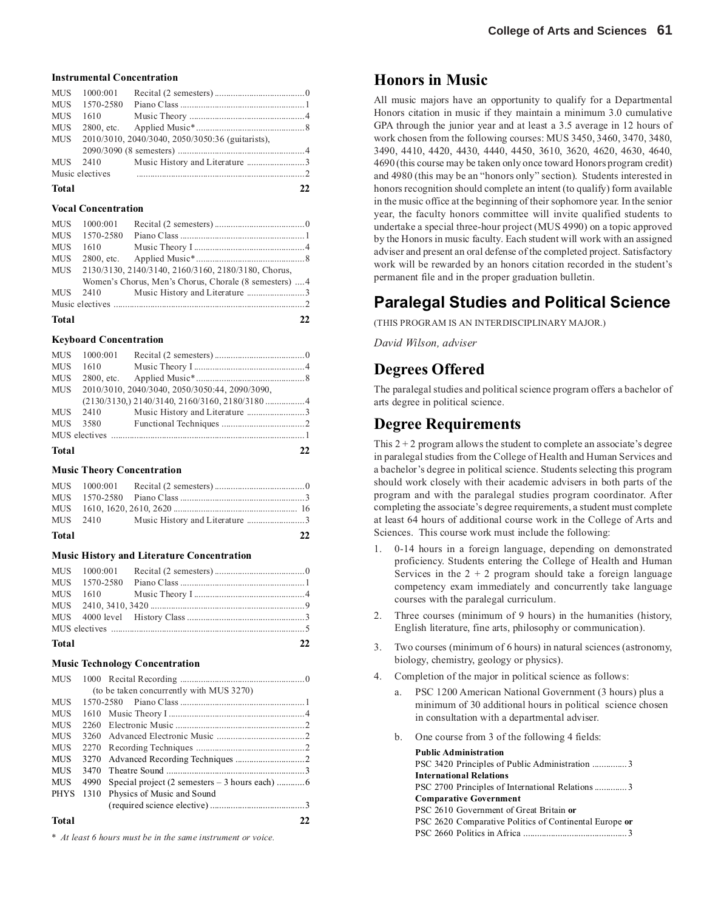#### **Instrumental Concentration**

| <b>MUS</b>   | 1000:001        |                                                  |    |
|--------------|-----------------|--------------------------------------------------|----|
| <b>MUS</b>   | 1570-2580       |                                                  |    |
| <b>MUS</b>   | 1610            |                                                  |    |
| <b>MUS</b>   |                 |                                                  |    |
| MUS          |                 | 2010/3010, 2040/3040, 2050/3050:36 (guitarists), |    |
|              |                 |                                                  |    |
| <b>MUS</b>   | 2410            |                                                  |    |
|              | Music electives |                                                  |    |
| <b>Total</b> |                 |                                                  | フフ |

#### **Vocal Concentration**

| Total      |           |                                                        | 22. |
|------------|-----------|--------------------------------------------------------|-----|
|            |           |                                                        |     |
| <b>MUS</b> | 2410      |                                                        |     |
|            |           | Women's Chorus, Men's Chorus, Chorale (8 semesters)  4 |     |
| MUS        |           | 2130/3130, 2140/3140, 2160/3160, 2180/3180, Chorus,    |     |
| <b>MUS</b> |           |                                                        |     |
| <b>MUS</b> | 1610      |                                                        |     |
| <b>MUS</b> | 1570-2580 |                                                        |     |
| <b>MUS</b> | 1000:001  |                                                        |     |
|            |           |                                                        |     |

#### **Keyboard Concentration**

|              | MUS 1000:001 |                                                      |    |
|--------------|--------------|------------------------------------------------------|----|
| <b>MUS</b>   | 1610         |                                                      |    |
| <b>MUS</b>   |              |                                                      |    |
| MUS          |              | 2010/3010, 2040/3040, 2050/3050:44, 2090/3090,       |    |
|              |              | $(2130/3130, 2140/3140, 2160/3160, 2180/3180 \dots)$ |    |
|              | MUS 2410     |                                                      |    |
| <b>MUS</b>   | 3580         |                                                      |    |
|              |              |                                                      |    |
| <b>Total</b> |              |                                                      | 22 |

#### **Music Theory Concentration**

| Total |  | 22 |
|-------|--|----|

#### **Music History and Literature Concentration**

#### **Music Technology Concentration**

| <b>MUS</b>  |      |                                          |    |
|-------------|------|------------------------------------------|----|
|             |      | (to be taken concurrently with MUS 3270) |    |
| <b>MUS</b>  |      | 1570-2580                                |    |
| <b>MUS</b>  |      |                                          |    |
| <b>MUS</b>  | 2260 |                                          |    |
| <b>MUS</b>  | 3260 |                                          |    |
| MUS         | 2270 |                                          |    |
| <b>MUS</b>  | 3270 |                                          |    |
| <b>MUS</b>  | 3470 |                                          |    |
| <b>MUS</b>  | 4990 |                                          |    |
| <b>PHYS</b> | 1310 | Physics of Music and Sound               |    |
|             |      |                                          |    |
| Total       |      |                                          | 22 |

*\* At least 6 hours must be in the same instrument or voice.*

#### **Honors in Music**

All music majors have an opportunity to qualify for a Departmental Honors citation in music if they maintain a minimum 3.0 cumulative GPA through the junior year and at least a 3.5 average in 12 hours of work chosen from the following courses: MUS 3450, 3460, 3470, 3480, 3490, 4410, 4420, 4430, 4440, 4450, 3610, 3620, 4620, 4630, 4640, 4690 (this course may be taken only once toward Honors program credit) and 4980 (this may be an "honors only" section). Students interested in honors recognition should complete an intent (to qualify) form available in the music office at the beginning of their sophomore year. In the senior year, the faculty honors committee will invite qualified students to undertake a special three-hour project (MUS 4990) on a topic approved by the Honors in music faculty. Each student will work with an assigned adviser and present an oral defense of the completed project. Satisfactory work will be rewarded by an honors citation recorded in the student's permanent file and in the proper graduation bulletin.

## **Paralegal Studies and Political Science**

(THIS PROGRAM IS AN INTERDISCIPLINARY MAJOR.)

*David Wilson, adviser*

#### **Degrees Offered**

The paralegal studies and political science program offers a bachelor of arts degree in political science.

#### **Degree Requirements**

This  $2 + 2$  program allows the student to complete an associate's degree in paralegal studies from the College of Health and Human Services and a bachelor's degree in political science. Students selecting this program should work closely with their academic advisers in both parts of the program and with the paralegal studies program coordinator. After completing the associate's degree requirements, a student must complete at least 64 hours of additional course work in the College of Arts and Sciences. This course work must include the following:

- 1. 0-14 hours in a foreign language, depending on demonstrated proficiency. Students entering the College of Health and Human Services in the  $2 + 2$  program should take a foreign language competency exam immediately and concurrently take language courses with the paralegal curriculum.
- 2. Three courses (minimum of 9 hours) in the humanities (history, English literature, fine arts, philosophy or communication).
- 3. Two courses (minimum of 6 hours) in natural sciences (astronomy, biology, chemistry, geology or physics).
- 4. Completion of the major in political science as follows:
	- a. PSC 1200 American National Government (3 hours) plus a minimum of 30 additional hours in political science chosen in consultation with a departmental adviser.
	- b. One course from 3 of the following 4 fields:

| <b>Public Administration</b>                           |
|--------------------------------------------------------|
| PSC 3420 Principles of Public Administration 3         |
| <b>International Relations</b>                         |
| PSC 2700 Principles of International Relations3        |
| <b>Comparative Government</b>                          |
| PSC 2610 Government of Great Britain or                |
| PSC 2620 Comparative Politics of Continental Europe or |
|                                                        |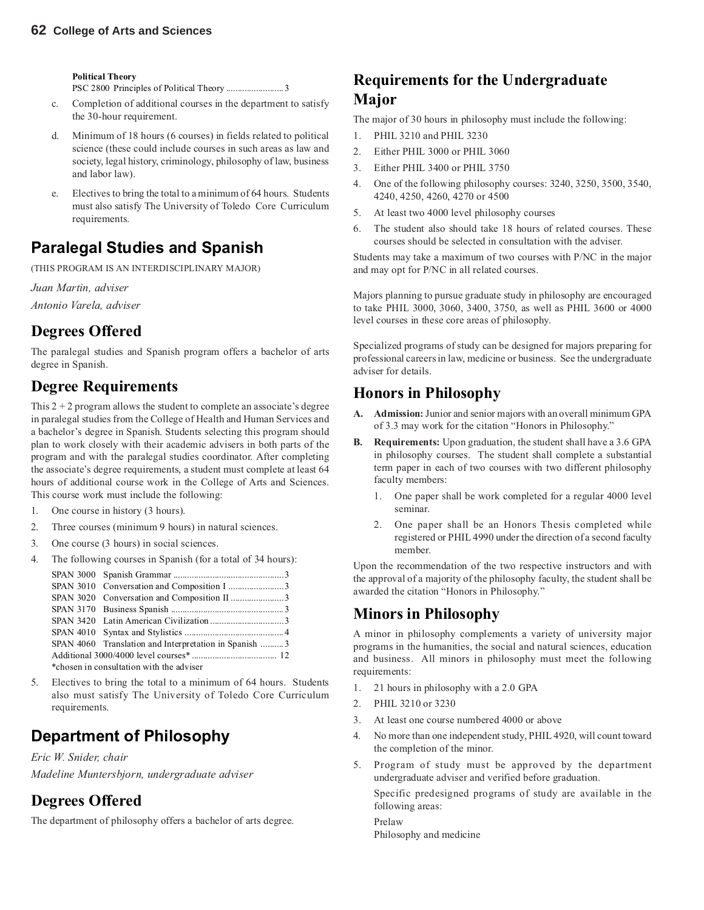**Political Theory**

PSC 2800 Principles of Political Theory ......................... 3

- c. Completion of additional courses in the department to satisfy the 30-hour requirement.
- d. Minimum of 18 hours (6 courses) in fields related to political science (these could include courses in such areas as law and society, legal history, criminology, philosophy of law, business and labor law).
- e. Electives to bring the total to a minimum of 64 hours. Students must also satisfy The University of Toledo Core Curriculum requirements.

## **Paralegal Studies and Spanish**

(THIS PROGRAM IS AN INTERDISCIPLINARY MAJOR)

*Juan Martin, adviser Antonio Varela, adviser*

## **Degrees Offered**

The paralegal studies and Spanish program offers a bachelor of arts degree in Spanish.

## **Degree Requirements**

This  $2 + 2$  program allows the student to complete an associate's degree in paralegal studies from the College of Health and Human Services and a bachelor's degree in Spanish. Students selecting this program should plan to work closely with their academic advisers in both parts of the program and with the paralegal studies coordinator. After completing the associate's degree requirements, a student must complete at least 64 hours of additional course work in the College of Arts and Sciences. This course work must include the following:

- 1. One course in history (3 hours).
- 2. Three courses (minimum 9 hours) in natural sciences.
- 3. One course (3 hours) in social sciences.
- 4. The following courses in Spanish (for a total of 34 hours):

| SPAN 4060 Translation and Interpretation in Spanish 3 |  |
|-------------------------------------------------------|--|
|                                                       |  |
| *chosen in consultation with the adviser              |  |

5. Electives to bring the total to a minimum of 64 hours. Students also must satisfy The University of Toledo Core Curriculum requirements.

## **Department of Philosophy**

*Eric W. Snider, chair Madeline Muntersbjorn, undergraduate adviser*

## **Degrees Offered**

The department of philosophy offers a bachelor of arts degree.

## **Requirements for the Undergraduate Major**

The major of 30 hours in philosophy must include the following:

- 1. PHIL 3210 and PHIL 3230
- 2. Either PHIL 3000 or PHIL 3060
- 3. Either PHIL 3400 or PHIL 3750
- 4. One of the following philosophy courses: 3240, 3250, 3500, 3540, 4240, 4250, 4260, 4270 or 4500
- 5. At least two 4000 level philosophy courses
- 6. The student also should take 18 hours of related courses. These courses should be selected in consultation with the adviser.

Students may take a maximum of two courses with P/NC in the major and may opt for P/NC in all related courses.

Majors planning to pursue graduate study in philosophy are encouraged to take PHIL 3000, 3060, 3400, 3750, as well as PHIL 3600 or 4000 level courses in these core areas of philosophy.

Specialized programs of study can be designed for majors preparing for professional careers in law, medicine or business. See the undergraduate adviser for details.

### **Honors in Philosophy**

- **A. Admission:**Junior and senior majors with an overall minimum GPA of 3.3 may work for the citation "Honors in Philosophy."
- **B. Requirements:** Upon graduation, the student shall have a 3.6 GPA in philosophy courses. The student shall complete a substantial term paper in each of two courses with two different philosophy faculty members:
	- 1. One paper shall be work completed for a regular 4000 level seminar.
	- 2. One paper shall be an Honors Thesis completed while registered or PHIL 4990 under the direction of a second faculty member.

Upon the recommendation of the two respective instructors and with the approval of a majority of the philosophy faculty, the student shall be awarded the citation "Honors in Philosophy."

#### **Minors in Philosophy**

A minor in philosophy complements a variety of university major programs in the humanities, the social and natural sciences, education and business. All minors in philosophy must meet the following requirements:

- 1. 21 hours in philosophy with a 2.0 GPA
- 2. PHIL 3210 or 3230
- 3. At least one course numbered 4000 or above
- 4. No more than one independent study, PHIL 4920, will count toward the completion of the minor.
- 5. Program of study must be approved by the department undergraduate adviser and verified before graduation.

Specific predesigned programs of study are available in the following areas:

Prelaw Philosophy and medicine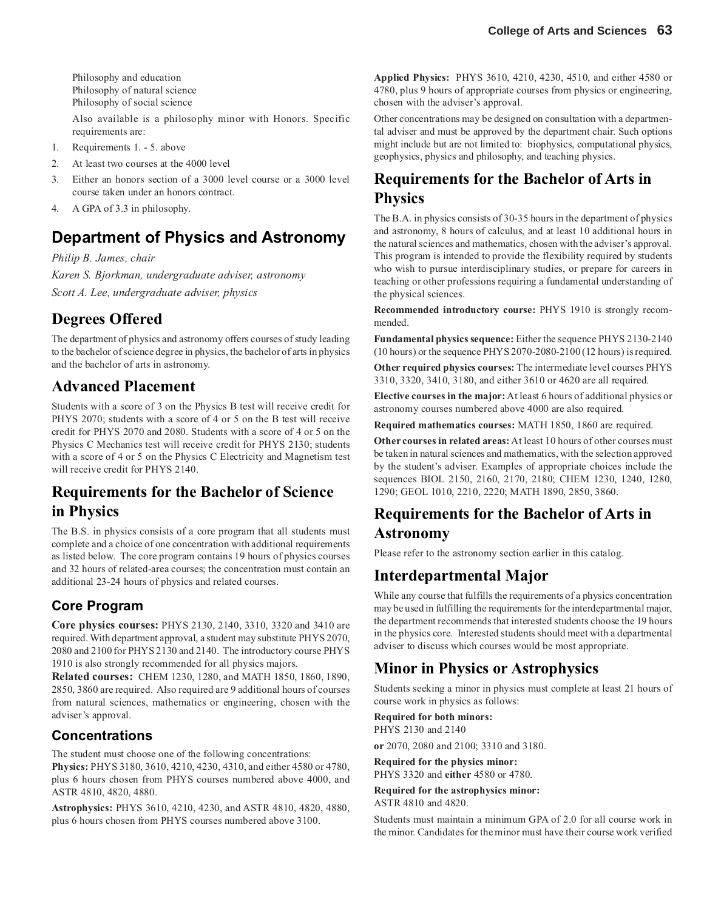Philosophy and education Philosophy of natural science Philosophy of social science

Also available is a philosophy minor with Honors. Specific requirements are:

- 1. Requirements 1. 5. above
- 2. At least two courses at the 4000 level
- 3. Either an honors section of a 3000 level course or a 3000 level course taken under an honors contract.
- 4. A GPA of 3.3 in philosophy.

## **Department of Physics and Astronomy**

*Philip B. James, chair Karen S. Bjorkman, undergraduate adviser, astronomy Scott A. Lee, undergraduate adviser, physics*

### **Degrees Offered**

The department of physics and astronomy offers courses of study leading to the bachelor of science degree in physics, the bachelor of arts in physics and the bachelor of arts in astronomy.

#### **Advanced Placement**

Students with a score of 3 on the Physics B test will receive credit for PHYS 2070; students with a score of 4 or 5 on the B test will receive credit for PHYS 2070 and 2080. Students with a score of 4 or 5 on the Physics C Mechanics test will receive credit for PHYS 2130; students with a score of 4 or 5 on the Physics C Electricity and Magnetism test will receive credit for PHYS 2140.

### **Requirements for the Bachelor of Science in Physics**

The B.S. in physics consists of a core program that all students must complete and a choice of one concentration with additional requirements as listed below. The core program contains 19 hours of physics courses and 32 hours of related-area courses; the concentration must contain an additional 23-24 hours of physics and related courses.

#### **Core Program**

**Core physics courses:** PHYS 2130, 2140, 3310, 3320 and 3410 are required. With department approval, a student may substitute PHYS 2070, 2080 and 2100 for PHYS 2130 and 2140. The introductory course PHYS 1910 is also strongly recommended for all physics majors.

**Related courses:** CHEM 1230, 1280, and MATH 1850, 1860, 1890, 2850, 3860 are required. Also required are 9 additional hours of courses from natural sciences, mathematics or engineering, chosen with the adviser's approval.

#### **Concentrations**

The student must choose one of the following concentrations: **Physics:** PHYS 3180, 3610, 4210, 4230, 4310, and either 4580 or 4780, plus 6 hours chosen from PHYS courses numbered above 4000, and ASTR 4810, 4820, 4880.

**Astrophysics:** PHYS 3610, 4210, 4230, and ASTR 4810, 4820, 4880, plus 6 hours chosen from PHYS courses numbered above 3100.

**Applied Physics:** PHYS 3610, 4210, 4230, 4510, and either 4580 or 4780, plus 9 hours of appropriate courses from physics or engineering, chosen with the adviser's approval.

Other concentrations may be designed on consultation with a departmental adviser and must be approved by the department chair. Such options might include but are not limited to: biophysics, computational physics, geophysics, physics and philosophy, and teaching physics.

## **Requirements for the Bachelor of Arts in Physics**

The B.A. in physics consists of 30-35 hours in the department of physics and astronomy, 8 hours of calculus, and at least 10 additional hours in the natural sciences and mathematics, chosen with the adviser's approval. This program is intended to provide the flexibility required by students who wish to pursue interdisciplinary studies, or prepare for careers in teaching or other professions requiring a fundamental understanding of the physical sciences.

**Recommended introductory course:** PHYS 1910 is strongly recommended.

**Fundamental physics sequence:** Either the sequence PHYS 2130-2140 (10 hours) or the sequence PHYS 2070-2080-2100 (12 hours) is required.

**Other required physics courses:** The intermediate level courses PHYS 3310, 3320, 3410, 3180, and either 3610 or 4620 are all required.

**Elective courses in the major:** At least 6 hours of additional physics or astronomy courses numbered above 4000 are also required.

**Required mathematics courses:** MATH 1850, 1860 are required.

**Other courses in related areas:** At least 10 hours of other courses must be taken in natural sciences and mathematics, with the selection approved by the student's adviser. Examples of appropriate choices include the sequences BIOL 2150, 2160, 2170, 2180; CHEM 1230, 1240, 1280, 1290; GEOL 1010, 2210, 2220; MATH 1890, 2850, 3860.

## **Requirements for the Bachelor of Arts in Astronomy**

Please refer to the astronomy section earlier in this catalog.

### **Interdepartmental Major**

While any course that fulfills the requirements of a physics concentration may be used in fulfilling the requirements for the interdepartmental major, the department recommends that interested students choose the 19 hours in the physics core. Interested students should meet with a departmental adviser to discuss which courses would be most appropriate.

## **Minor in Physics or Astrophysics**

Students seeking a minor in physics must complete at least 21 hours of course work in physics as follows:

**Required for both minors:** PHYS 2130 and 2140

**or** 2070, 2080 and 2100; 3310 and 3180.

**Required for the physics minor:** PHYS 3320 and **either** 4580 or 4780.

**Required for the astrophysics minor:** ASTR 4810 and 4820.

Students must maintain a minimum GPA of 2.0 for all course work in the minor. Candidates for the minor must have their course work verified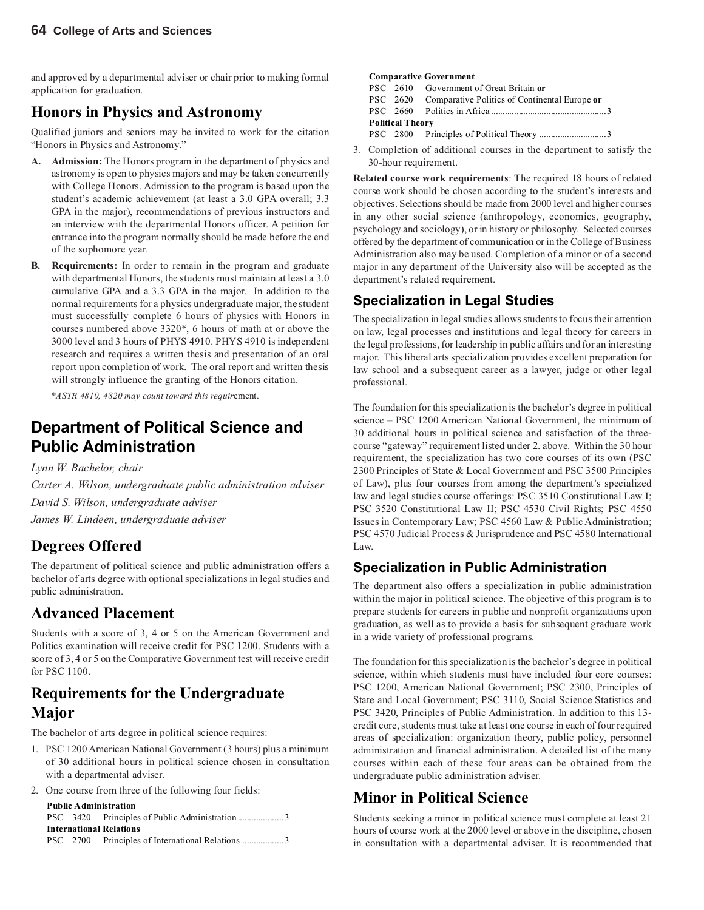and approved by a departmental adviser or chair prior to making formal application for graduation.

### **Honors in Physics and Astronomy**

Qualified juniors and seniors may be invited to work for the citation "Honors in Physics and Astronomy."

- **A. Admission:** The Honors program in the department of physics and astronomy is open to physics majors and may be taken concurrently with College Honors. Admission to the program is based upon the student's academic achievement (at least a 3.0 GPA overall; 3.3 GPA in the major), recommendations of previous instructors and an interview with the departmental Honors officer. A petition for entrance into the program normally should be made before the end of the sophomore year.
- **B. Requirements:** In order to remain in the program and graduate with departmental Honors, the students must maintain at least a 3.0 cumulative GPA and a 3.3 GPA in the major. In addition to the normal requirements for a physics undergraduate major, the student must successfully complete 6 hours of physics with Honors in courses numbered above 3320\*, 6 hours of math at or above the 3000 level and 3 hours of PHYS 4910. PHYS 4910 is independent research and requires a written thesis and presentation of an oral report upon completion of work. The oral report and written thesis will strongly influence the granting of the Honors citation.

*\*ASTR 4810, 4820 may count toward this requir*ement.

### **Department of Political Science and Public Administration**

*Lynn W. Bachelor, chair*

*Carter A. Wilson, undergraduate public administration adviser David S. Wilson, undergraduate adviser James W. Lindeen, undergraduate adviser*

## **Degrees Offered**

The department of political science and public administration offers a bachelor of arts degree with optional specializations in legal studies and public administration.

### **Advanced Placement**

Students with a score of 3, 4 or 5 on the American Government and Politics examination will receive credit for PSC 1200. Students with a score of 3, 4 or 5 on the Comparative Government test will receive credit for PSC 1100.

### **Requirements for the Undergraduate Major**

The bachelor of arts degree in political science requires:

- 1. PSC 1200 American National Government (3 hours) plus a minimum of 30 additional hours in political science chosen in consultation with a departmental adviser.
- 2. One course from three of the following four fields:

#### **Public Administration**

|  | PSC 3420 Principles of Public Administration 3   |  |
|--|--------------------------------------------------|--|
|  | International Relations                          |  |
|  | PSC 2700 Principles of International Relations 3 |  |

#### **Comparative Government**

PSC 2610 Government of Great Britain **or** PSC 2620 Comparative Politics of Continental Europe **or**

PSC 2660 Politics in Africa ..................................................3 **Political Theory**

PSC 2800 Principles of Political Theory .............................3

3. Completion of additional courses in the department to satisfy the 30-hour requirement.

**Related course work requirements**: The required 18 hours of related course work should be chosen according to the student's interests and objectives. Selections should be made from 2000 level and higher courses in any other social science (anthropology, economics, geography, psychology and sociology), or in history or philosophy. Selected courses offered by the department of communication or in the College of Business Administration also may be used. Completion of a minor or of a second major in any department of the University also will be accepted as the department's related requirement.

#### **Specialization in Legal Studies**

The specialization in legal studies allows students to focus their attention on law, legal processes and institutions and legal theory for careers in the legal professions, for leadership in public affairs and for an interesting major. This liberal arts specialization provides excellent preparation for law school and a subsequent career as a lawyer, judge or other legal professional.

The foundation for this specialization is the bachelor's degree in political science – PSC 1200 American National Government, the minimum of 30 additional hours in political science and satisfaction of the threecourse "gateway" requirement listed under 2. above. Within the 30 hour requirement, the specialization has two core courses of its own (PSC 2300 Principles of State & Local Government and PSC 3500 Principles of Law), plus four courses from among the department's specialized law and legal studies course offerings: PSC 3510 Constitutional Law I; PSC 3520 Constitutional Law II; PSC 4530 Civil Rights; PSC 4550 Issues in Contemporary Law; PSC 4560 Law & Public Administration; PSC 4570 Judicial Process & Jurisprudence and PSC 4580 International Law.

#### **Specialization in Public Administration**

The department also offers a specialization in public administration within the major in political science. The objective of this program is to prepare students for careers in public and nonprofit organizations upon graduation, as well as to provide a basis for subsequent graduate work in a wide variety of professional programs.

The foundation for this specialization is the bachelor's degree in political science, within which students must have included four core courses: PSC 1200, American National Government; PSC 2300, Principles of State and Local Government; PSC 3110, Social Science Statistics and PSC 3420, Principles of Public Administration. In addition to this 13 credit core, students must take at least one course in each of four required areas of specialization: organization theory, public policy, personnel administration and financial administration. A detailed list of the many courses within each of these four areas can be obtained from the undergraduate public administration adviser.

#### **Minor in Political Science**

Students seeking a minor in political science must complete at least 21 hours of course work at the 2000 level or above in the discipline, chosen in consultation with a departmental adviser. It is recommended that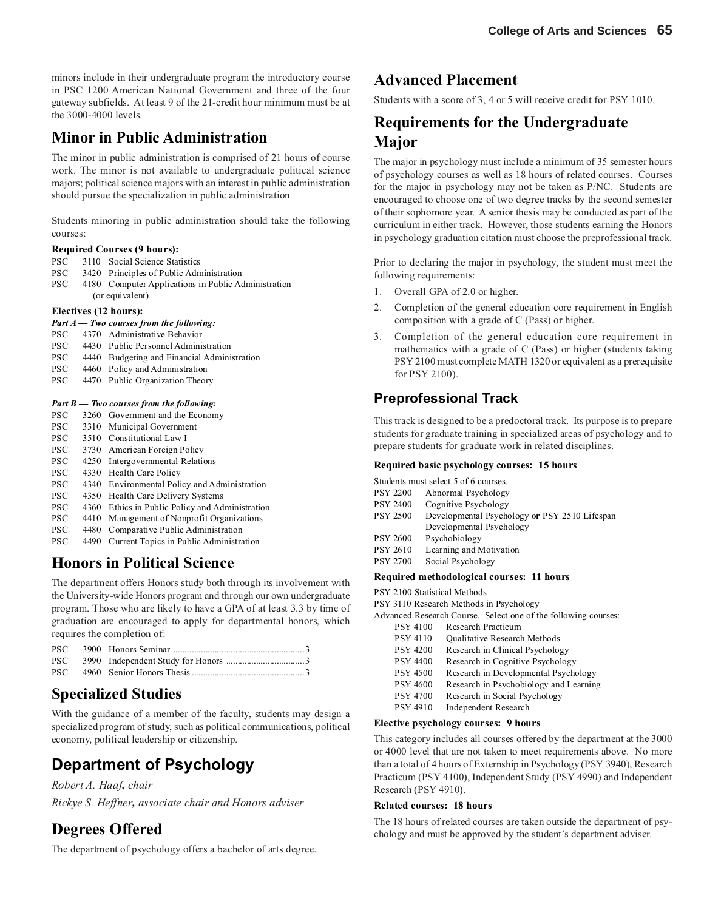minors include in their undergraduate program the introductory course in PSC 1200 American National Government and three of the four gateway subfields. At least 9 of the 21-credit hour minimum must be at the 3000-4000 levels.

### **Minor in Public Administration**

The minor in public administration is comprised of 21 hours of course work. The minor is not available to undergraduate political science majors; political science majors with an interest in public administration should pursue the specialization in public administration*.*

Students minoring in public administration should take the following courses:

#### **Required Courses (9 hours):**

- PSC 3110 Social Science Statistics
- PSC 3420 Principles of Public Administration
- PSC 4180 Computer Applications in Public Administration (or equivalent)

#### **Electives (12 hours):**

#### *Part A — Two courses from the following:*

- PSC 4370 Administrative Behavior
- PSC 4430 Public Personnel Administration
- PSC 4440 Budgeting and Financial Administration
- PSC 4460 Policy and Administration
- PSC 4470 Public Organization Theory

#### *Part B — Two courses from the following:*

- PSC 3260 Government and the Economy
- PSC 3310 Municipal Government
- PSC 3510 Constitutional Law I
- PSC 3730 American Foreign Policy
- PSC 4250 Intergovernmental Relations
- PSC 4330 Health Care Policy
- PSC 4340 Environmental Policy and Administration
- PSC 4350 Health Care Delivery Systems
- PSC 4360 Ethics in Public Policy and Administration
- PSC 4410 Management of Nonprofit Organizations
- PSC 4480 Comparative Public Administration
- PSC 4490 Current Topics in Public Administration

#### **Honors in Political Science**

The department offers Honors study both through its involvement with the University-wide Honors program and through our own undergraduate program. Those who are likely to have a GPA of at least 3.3 by time of graduation are encouraged to apply for departmental honors, which requires the completion of:

#### **Specialized Studies**

With the guidance of a member of the faculty, students may design a specialized program of study, such as political communications, political economy, political leadership or citizenship.

## **Department of Psychology**

*Robert A. Haaf, chair Rickye S. Heffner, associate chair and Honors adviser*

#### **Degrees Offered**

The department of psychology offers a bachelor of arts degree.

#### **Advanced Placement**

Students with a score of 3, 4 or 5 will receive credit for PSY 1010.

### **Requirements for the Undergraduate Major**

The major in psychology must include a minimum of 35 semester hours of psychology courses as well as 18 hours of related courses. Courses for the major in psychology may not be taken as P/NC. Students are encouraged to choose one of two degree tracks by the second semester of their sophomore year. A senior thesis may be conducted as part of the curriculum in either track. However, those students earning the Honors in psychology graduation citation must choose the preprofessional track.

Prior to declaring the major in psychology, the student must meet the following requirements:

- 1. Overall GPA of 2.0 or higher.
- 2. Completion of the general education core requirement in English composition with a grade of C (Pass) or higher.
- 3. Completion of the general education core requirement in mathematics with a grade of C (Pass) or higher (students taking PSY 2100 must complete MATH 1320 or equivalent as a prerequisite for PSY 2100).

#### **Preprofessional Track**

This track is designed to be a predoctoral track. Its purpose is to prepare students for graduate training in specialized areas of psychology and to prepare students for graduate work in related disciplines.

#### **Required basic psychology courses: 15 hours**

Students must select 5 of 6 courses.

|                 | Required methodological courses: 11 hours     |
|-----------------|-----------------------------------------------|
| <b>PSY 2700</b> | Social Psychology                             |
| <b>PSY 2610</b> | Learning and Motivation                       |
| <b>PSY 2600</b> | Psychobiology                                 |
|                 | Developmental Psychology                      |
| <b>PSY 2500</b> | Developmental Psychology or PSY 2510 Lifespan |
| <b>PSY 2400</b> | Cognitive Psychology                          |
| <b>PSY 2200</b> | Abnormal Psychology                           |

PSY 2100 Statistical Methods

PSY 3110 Research Methods in Psychology

Advanced Research Course. Select one of the following courses:

- PSY 4100 Research Practicum
	- PSY 4110 Qualitative Research Methods<br>PSY 4200 Research in Clinical Psycholo
	- Research in Clinical Psychology
	- PSY 4400 Research in Cognitive Psychology
	- PSY 4500 Research in Developmental Psychology
	- PSY 4600 Research in Psychobiology and Learning
	- PSY 4700 Research in Social Psychology
	- PSY 4910 Independent Research

#### **Elective psychology courses: 9 hours**

This category includes all courses offered by the department at the 3000 or 4000 level that are not taken to meet requirements above. No more than a total of 4 hours of Externship in Psychology (PSY 3940), Research Practicum (PSY 4100), Independent Study (PSY 4990) and Independent Research (PSY 4910).

#### **Related courses: 18 hours**

The 18 hours of related courses are taken outside the department of psychology and must be approved by the student's department adviser.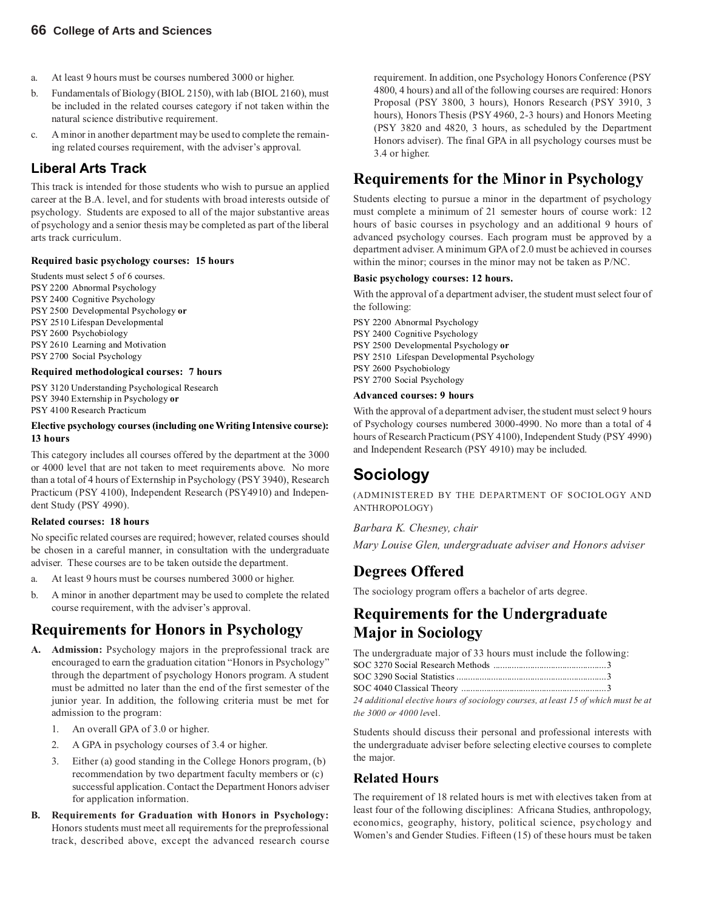- a. At least 9 hours must be courses numbered 3000 or higher.
- b. Fundamentals of Biology (BIOL 2150), with lab (BIOL 2160), must be included in the related courses category if not taken within the natural science distributive requirement.
- c. A minor in another department may be used to complete the remaining related courses requirement, with the adviser's approval.

#### **Liberal Arts Track**

This track is intended for those students who wish to pursue an applied career at the B.A. level, and for students with broad interests outside of psychology. Students are exposed to all of the major substantive areas of psychology and a senior thesis may be completed as part of the liberal arts track curriculum.

#### **Required basic psychology courses: 15 hours**

Students must select 5 of 6 courses. PSY 2200 Abnormal Psychology PSY 2400 Cognitive Psychology PSY 2500 Developmental Psychology **or** PSY 2510 Lifespan Developmental PSY 2600 Psychobiology PSY 2610 Learning and Motivation PSY 2700 Social Psychology

#### **Required methodological courses: 7 hours**

PSY 3120 Understanding Psychological Research PSY 3940 Externship in Psychology **or** PSY 4100 Research Practicum

#### **Elective psychology courses (including one Writing Intensive course): 13 hours**

This category includes all courses offered by the department at the 3000 or 4000 level that are not taken to meet requirements above. No more than a total of 4 hours of Externship in Psychology (PSY 3940), Research Practicum (PSY 4100), Independent Research (PSY4910) and Independent Study (PSY 4990).

#### **Related courses: 18 hours**

No specific related courses are required; however, related courses should be chosen in a careful manner, in consultation with the undergraduate adviser. These courses are to be taken outside the department.

- a. At least 9 hours must be courses numbered 3000 or higher.
- b. A minor in another department may be used to complete the related course requirement, with the adviser's approval.

### **Requirements for Honors in Psychology**

- **A. Admission:** Psychology majors in the preprofessional track are encouraged to earn the graduation citation "Honors in Psychology" through the department of psychology Honors program. A student must be admitted no later than the end of the first semester of the junior year. In addition, the following criteria must be met for admission to the program:
	- 1. An overall GPA of 3.0 or higher.
	- 2. A GPA in psychology courses of 3.4 or higher.
	- 3. Either (a) good standing in the College Honors program, (b) recommendation by two department faculty members or (c) successful application. Contact the Department Honors adviser for application information.
- **B. Requirements for Graduation with Honors in Psychology:** Honors students must meet all requirements for the preprofessional track, described above, except the advanced research course

requirement. In addition, one Psychology Honors Conference (PSY 4800, 4 hours) and all of the following courses are required: Honors Proposal (PSY 3800, 3 hours), Honors Research (PSY 3910, 3 hours), Honors Thesis (PSY 4960, 2-3 hours) and Honors Meeting (PSY 3820 and 4820, 3 hours, as scheduled by the Department Honors adviser). The final GPA in all psychology courses must be 3.4 or higher.

## **Requirements for the Minor in Psychology**

Students electing to pursue a minor in the department of psychology must complete a minimum of 21 semester hours of course work: 12 hours of basic courses in psychology and an additional 9 hours of advanced psychology courses. Each program must be approved by a department adviser. A minimum GPA of 2.0 must be achieved in courses within the minor; courses in the minor may not be taken as P/NC.

#### **Basic psychology courses: 12 hours.**

With the approval of a department adviser, the student must select four of the following:

PSY 2200 Abnormal Psychology PSY 2400 Cognitive Psychology PSY 2500 Developmental Psychology **or** PSY 2510 Lifespan Developmental Psychology PSY 2600 Psychobiology PSY 2700 Social Psychology

#### **Advanced courses: 9 hours**

With the approval of a department adviser, the student must select 9 hours of Psychology courses numbered 3000-4990. No more than a total of 4 hours of Research Practicum (PSY 4100), Independent Study (PSY 4990) and Independent Research (PSY 4910) may be included.

## **Sociology**

(ADMINISTERED BY THE DEPARTMENT OF SOCIOLOGY AND ANTHROPOLOGY)

*Barbara K. Chesney, chair*

*Mary Louise Glen, undergraduate adviser and Honors adviser*

#### **Degrees Offered**

The sociology program offers a bachelor of arts degree.

### **Requirements for the Undergraduate Major in Sociology**

The undergraduate major of 33 hours must include the following: SOC 3270 Social Research Methods ................................................. 3

| 24 additional elective hours of sociology courses, at least 15 of which must be at |  |
|------------------------------------------------------------------------------------|--|

*the 3000 or 4000 lev*el.

Students should discuss their personal and professional interests with the undergraduate adviser before selecting elective courses to complete the major.

#### **Related Hours**

The requirement of 18 related hours is met with electives taken from at least four of the following disciplines: Africana Studies, anthropology, economics, geography, history, political science, psychology and Women's and Gender Studies. Fifteen (15) of these hours must be taken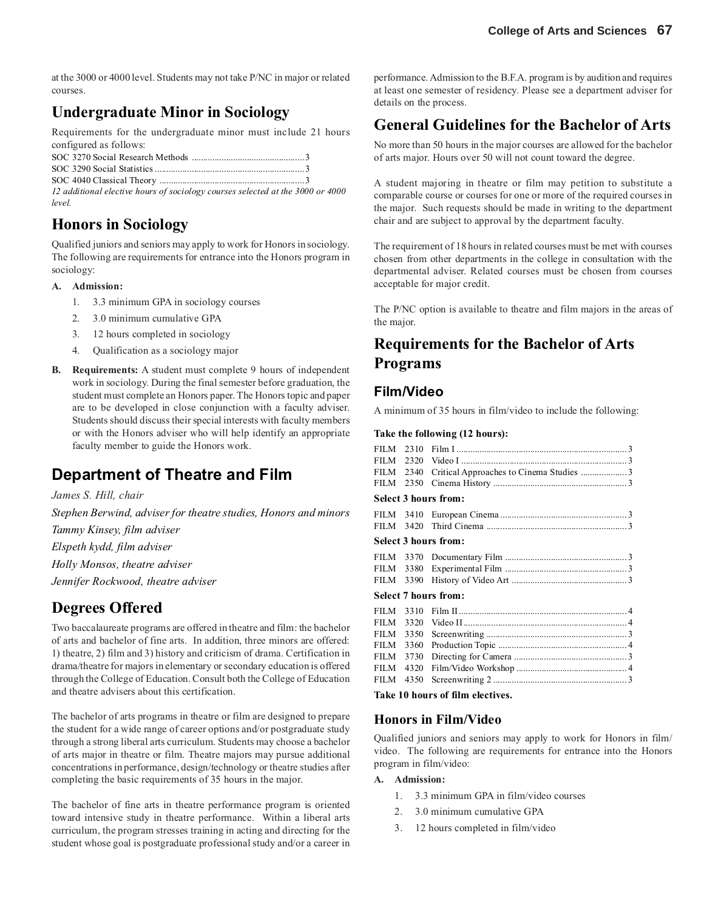at the 3000 or 4000 level. Students may not take P/NC in major or related courses.

## **Undergraduate Minor in Sociology**

Requirements for the undergraduate minor must include 21 hours configured as follows:

*12 additional elective hours of sociology courses selected at the 3000 or 4000 level.*

#### **Honors in Sociology**

Qualified juniors and seniors may apply to work for Honors in sociology. The following are requirements for entrance into the Honors program in sociology:

#### **A. Admission:**

- 1. 3.3 minimum GPA in sociology courses
- 2. 3.0 minimum cumulative GPA
- 3. 12 hours completed in sociology
- 4. Qualification as a sociology major
- **B. Requirements:** A student must complete 9 hours of independent work in sociology. During the final semester before graduation, the student must complete an Honors paper. The Honors topic and paper are to be developed in close conjunction with a faculty adviser. Students should discuss their special interests with faculty members or with the Honors adviser who will help identify an appropriate faculty member to guide the Honors work.

## **Department of Theatre and Film**

*James S. Hill, chair*

*Stephen Berwind, adviser for theatre studies, Honors and minors Tammy Kinsey, film adviser*

*Elspeth kydd, film adviser*

*Holly Monsos, theatre adviser*

*Jennifer Rockwood, theatre adviser*

#### **Degrees Offered**

Two baccalaureate programs are offered in theatre and film: the bachelor of arts and bachelor of fine arts. In addition, three minors are offered: 1) theatre, 2) film and 3) history and criticism of drama. Certification in drama/theatre for majors in elementary or secondary education is offered through the College of Education. Consult both the College of Education and theatre advisers about this certification.

The bachelor of arts programs in theatre or film are designed to prepare the student for a wide range of career options and/or postgraduate study through a strong liberal arts curriculum. Students may choose a bachelor of arts major in theatre or film. Theatre majors may pursue additional concentrations in performance, design/technology or theatre studies after completing the basic requirements of 35 hours in the major.

The bachelor of fine arts in theatre performance program is oriented toward intensive study in theatre performance. Within a liberal arts curriculum, the program stresses training in acting and directing for the student whose goal is postgraduate professional study and/or a career in

performance. Admission to the B.F.A. program is by audition and requires at least one semester of residency. Please see a department adviser for details on the process.

## **General Guidelines for the Bachelor of Arts**

No more than 50 hours in the major courses are allowed for the bachelor of arts major. Hours over 50 will not count toward the degree.

A student majoring in theatre or film may petition to substitute a comparable course or courses for one or more of the required courses in the major. Such requests should be made in writing to the department chair and are subject to approval by the department faculty.

The requirement of 18 hours in related courses must be met with courses chosen from other departments in the college in consultation with the departmental adviser. Related courses must be chosen from courses acceptable for major credit.

The P/NC option is available to theatre and film majors in the areas of the major.

## **Requirements for the Bachelor of Arts Programs**

#### **Film/Video**

A minimum of 35 hours in film/video to include the following:

#### **Take the following (12 hours):**

| FILM        | 2310 |                                         |
|-------------|------|-----------------------------------------|
| <b>FILM</b> | 2320 |                                         |
| <b>FILM</b> | 2340 | Critical Approaches to Cinema Studies 3 |
| <b>FILM</b> | 2350 |                                         |
|             |      | Select 3 hours from:                    |
|             |      |                                         |
| FILM 3420   |      |                                         |
|             |      | Select 3 hours from:                    |
|             |      |                                         |
| FILM        | 3380 |                                         |
| FILM        | 3390 |                                         |
|             |      | Select 7 hours from:                    |
| <b>FILM</b> | 3310 |                                         |
| <b>FILM</b> | 3320 |                                         |
| <b>FILM</b> | 3350 |                                         |
| <b>FILM</b> | 3360 |                                         |
| <b>FILM</b> | 3730 |                                         |
| <b>FILM</b> | 4320 |                                         |
| <b>FILM</b> | 4350 |                                         |
|             |      |                                         |

**Take 10 hours of film electives.**

#### **Honors in Film/Video**

Qualified juniors and seniors may apply to work for Honors in film/ video. The following are requirements for entrance into the Honors program in film/video:

#### **A. Admission:**

- 1. 3.3 minimum GPA in film/video courses
- 2. 3.0 minimum cumulative GPA
- 3. 12 hours completed in film/video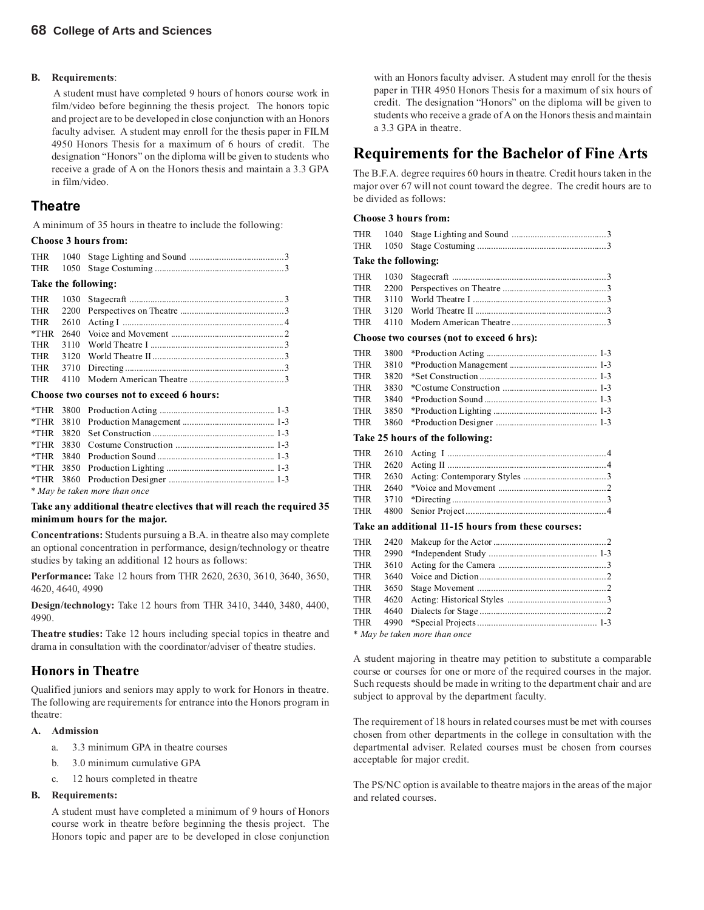#### **B. Requirements**:

A student must have completed 9 hours of honors course work in film/video before beginning the thesis project. The honors topic and project are to be developed in close conjunction with an Honors faculty adviser. A student may enroll for the thesis paper in FILM 4950 Honors Thesis for a maximum of 6 hours of credit. The designation "Honors" on the diploma will be given to students who receive a grade of A on the Honors thesis and maintain a 3.3 GPA in film/video.

#### **Theatre**

A minimum of 35 hours in theatre to include the following:

#### **Choose 3 hours from:**

| THR<br>THR                                | 1050 |                                |                |
|-------------------------------------------|------|--------------------------------|----------------|
|                                           |      | Take the following:            |                |
| <b>THR</b>                                |      |                                |                |
| <b>THR</b>                                |      |                                |                |
| THR                                       |      |                                |                |
| *THR                                      |      |                                |                |
| THR                                       |      |                                |                |
| THR                                       |      |                                |                |
| THR                                       |      |                                |                |
| <b>THR</b>                                | 4110 |                                |                |
| Choose two courses not to exceed 6 hours: |      |                                |                |
|                                           |      | $*$ THD 2000 Deadvation Asting | 1 <sub>2</sub> |

|  | * May be taken more than once |  |
|--|-------------------------------|--|

#### **Take any additional theatre electives that will reach the required 35 minimum hours for the major.**

**Concentrations:** Students pursuing a B.A. in theatre also may complete an optional concentration in performance, design/technology or theatre studies by taking an additional 12 hours as follows:

**Performance:** Take 12 hours from THR 2620, 2630, 3610, 3640, 3650, 4620, 4640, 4990

**Design/technology:** Take 12 hours from THR 3410, 3440, 3480, 4400, 4990.

**Theatre studies:** Take 12 hours including special topics in theatre and drama in consultation with the coordinator/adviser of theatre studies.

#### **Honors in Theatre**

Qualified juniors and seniors may apply to work for Honors in theatre. The following are requirements for entrance into the Honors program in theatre:

#### **A. Admission**

- a. 3.3 minimum GPA in theatre courses
- b. 3.0 minimum cumulative GPA
- c. 12 hours completed in theatre

#### **B. Requirements:**

A student must have completed a minimum of 9 hours of Honors course work in theatre before beginning the thesis project. The Honors topic and paper are to be developed in close conjunction

with an Honors faculty adviser. A student may enroll for the thesis paper in THR 4950 Honors Thesis for a maximum of six hours of credit. The designation "Honors" on the diploma will be given to students who receive a grade of A on the Honors thesis and maintain a 3.3 GPA in theatre.

#### **Requirements for the Bachelor of Fine Arts**

The B.F.A. degree requires 60 hours in theatre. Credit hours taken in the major over 67 will not count toward the degree. The credit hours are to be divided as follows:

#### **Choose 3 hours from:**

|  | Take the following: |  |
|--|---------------------|--|
|  |                     |  |
|  |                     |  |
|  |                     |  |
|  |                     |  |

THR 4110 Modern American Theatre .........................................3

#### **Choose two courses (not to exceed 6 hrs):**

| THR |  |  |
|-----|--|--|
| THR |  |  |
| THR |  |  |
| THR |  |  |
| THR |  |  |
|     |  |  |
|     |  |  |

#### **Take 25 hours of the following:**

#### **Take an additional 11-15 hours from these courses:**

| THR |  |  |
|-----|--|--|
| THR |  |  |
| THR |  |  |
|     |  |  |
|     |  |  |
|     |  |  |

*\* May be taken more than once*

A student majoring in theatre may petition to substitute a comparable course or courses for one or more of the required courses in the major. Such requests should be made in writing to the department chair and are subject to approval by the department faculty.

The requirement of 18 hours in related courses must be met with courses chosen from other departments in the college in consultation with the departmental adviser. Related courses must be chosen from courses acceptable for major credit.

The PS/NC option is available to theatre majors in the areas of the major and related courses.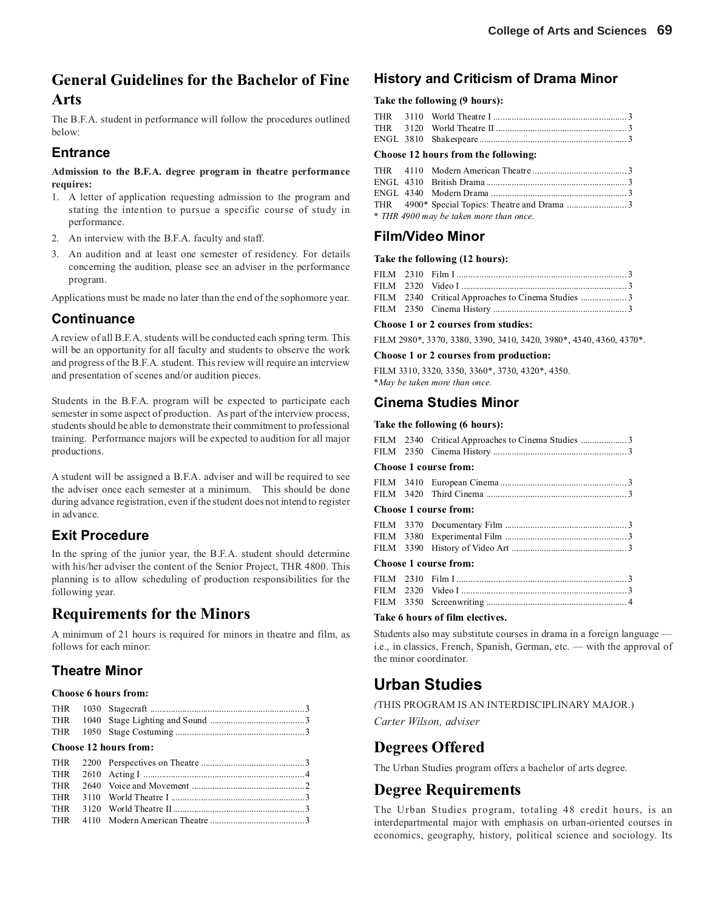### **General Guidelines for the Bachelor of Fine Arts**

The B.F.A. student in performance will follow the procedures outlined below:

#### **Entrance**

#### **Admission to the B.F.A. degree program in theatre performance requires:**

- 1. A letter of application requesting admission to the program and stating the intention to pursue a specific course of study in performance.
- 2. An interview with the B.F.A. faculty and staff.
- 3. An audition and at least one semester of residency. For details concerning the audition, please see an adviser in the performance program.

Applications must be made no later than the end of the sophomore year.

#### **Continuance**

A review of all B.F.A. students will be conducted each spring term. This will be an opportunity for all faculty and students to observe the work and progress of the B.F.A. student. This review will require an interview and presentation of scenes and/or audition pieces.

Students in the B.F.A. program will be expected to participate each semester in some aspect of production. As part of the interview process, students should be able to demonstrate their commitment to professional training. Performance majors will be expected to audition for all major productions.

A student will be assigned a B.F.A. adviser and will be required to see the adviser once each semester at a minimum. This should be done during advance registration, even if the student does not intend to register in advance.

#### **Exit Procedure**

In the spring of the junior year, the B.F.A. student should determine with his/her adviser the content of the Senior Project, THR 4800. This planning is to allow scheduling of production responsibilities for the following year.

#### **Requirements for the Minors**

A minimum of 21 hours is required for minors in theatre and film, as follows for each minor:

#### **Theatre Minor**

#### **Choose 6 hours from:**

|  | Choose 12 hours from: |  |
|--|-----------------------|--|
|  |                       |  |

#### **History and Criticism of Drama Minor**

#### **Take the following (9 hours):**

#### **Choose 12 hours from the following:**

|  | * THR 4900 may be taken more than once. |  |
|--|-----------------------------------------|--|

#### **Film/Video Minor**

#### **Take the following (12 hours):**

|  | FILM 2340 Critical Approaches to Cinema Studies 3 |  |
|--|---------------------------------------------------|--|
|  |                                                   |  |

#### **Choose 1 or 2 courses from studies:**

FILM 2980\*, 3370, 3380, 3390, 3410, 3420, 3980\*, 4340, 4360, 4370\*.

#### **Choose 1 or 2 courses from production:**

FILM 3310, 3320, 3350, 3360\*, 3730, 4320\*, 4350. \**May be taken more than once.*

#### **Cinema Studies Minor**

#### **Take the following (6 hours):**

|  | FILM 2340 Critical Approaches to Cinema Studies 3                                                                                                                                                                                                                                                                                  |  |
|--|------------------------------------------------------------------------------------------------------------------------------------------------------------------------------------------------------------------------------------------------------------------------------------------------------------------------------------|--|
|  |                                                                                                                                                                                                                                                                                                                                    |  |
|  | <b>Choose 1 course from:</b>                                                                                                                                                                                                                                                                                                       |  |
|  |                                                                                                                                                                                                                                                                                                                                    |  |
|  | <b>Choose 1 course from:</b>                                                                                                                                                                                                                                                                                                       |  |
|  | $\mathbf{F}$ $\mathbf{H}$ $\mathbf{M}$ $\mathbf{A}$ $\mathbf{B}$ $\mathbf{D}$ $\mathbf{H}$ $\mathbf{F}$ $\mathbf{H}$ $\mathbf{H}$ $\mathbf{H}$ $\mathbf{H}$ $\mathbf{H}$ $\mathbf{H}$ $\mathbf{H}$ $\mathbf{H}$ $\mathbf{H}$ $\mathbf{H}$ $\mathbf{H}$ $\mathbf{H}$ $\mathbf{H}$ $\mathbf{H}$ $\mathbf{H}$ $\mathbf{H}$ $\mathbf{$ |  |
|  |                                                                                                                                                                                                                                                                                                                                    |  |

#### **Choose 1 course from:**

#### **Take 6 hours of film electives.**

Students also may substitute courses in drama in a foreign language i.e., in classics, French, Spanish, German, etc. — with the approval of the minor coordinator.

#### **Urban Studies**

*(*THIS PROGRAM IS AN INTERDISCIPLINARY MAJOR.) *Carter Wilson, adviser*

#### **Degrees Offered**

The Urban Studies program offers a bachelor of arts degree.

#### **Degree Requirements**

The Urban Studies program, totaling 48 credit hours, is an interdepartmental major with emphasis on urban-oriented courses in economics, geography, history, political science and sociology. Its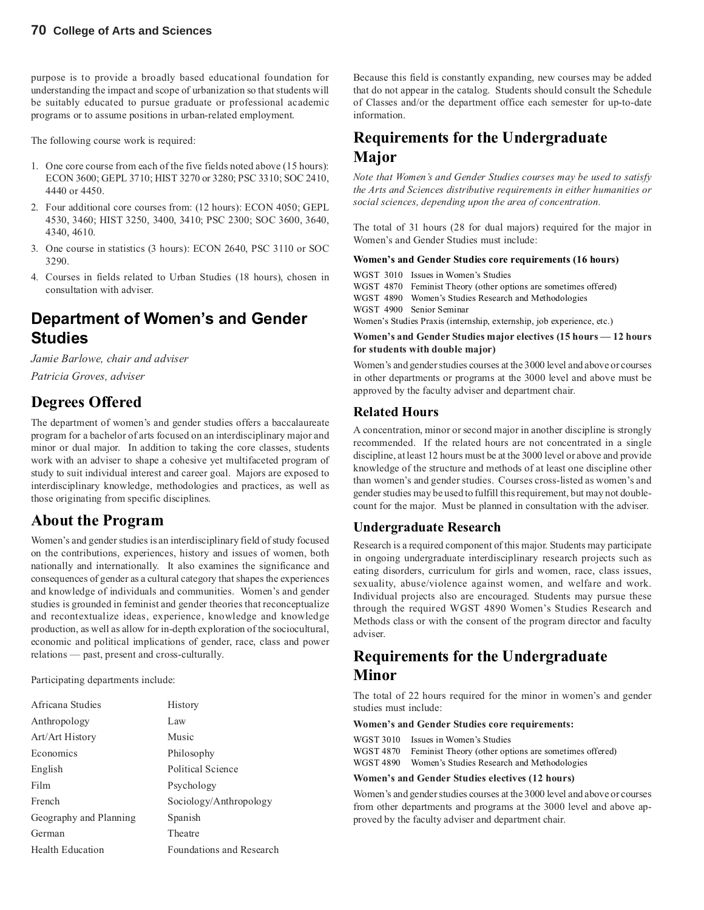purpose is to provide a broadly based educational foundation for understanding the impact and scope of urbanization so that students will be suitably educated to pursue graduate or professional academic programs or to assume positions in urban-related employment.

The following course work is required:

- 1. One core course from each of the five fields noted above (15 hours): ECON 3600; GEPL 3710; HIST 3270 or 3280; PSC 3310; SOC 2410, 4440 or 4450.
- 2. Four additional core courses from: (12 hours): ECON 4050; GEPL 4530, 3460; HIST 3250, 3400, 3410; PSC 2300; SOC 3600, 3640, 4340, 4610.
- 3. One course in statistics (3 hours): ECON 2640, PSC 3110 or SOC 3290.
- 4. Courses in fields related to Urban Studies (18 hours), chosen in consultation with adviser.

## **Department of Women's and Gender Studies**

*Jamie Barlowe, chair and adviser Patricia Groves, adviser*

### **Degrees Offered**

The department of women's and gender studies offers a baccalaureate program for a bachelor of arts focused on an interdisciplinary major and minor or dual major. In addition to taking the core classes, students work with an adviser to shape a cohesive yet multifaceted program of study to suit individual interest and career goal. Majors are exposed to interdisciplinary knowledge, methodologies and practices, as well as those originating from specific disciplines.

#### **About the Program**

Women's and gender studies is an interdisciplinary field of study focused on the contributions, experiences, history and issues of women, both nationally and internationally. It also examines the significance and consequences of gender as a cultural category that shapes the experiences and knowledge of individuals and communities. Women's and gender studies is grounded in feminist and gender theories that reconceptualize and recontextualize ideas, experience, knowledge and knowledge production, as well as allow for in-depth exploration of the sociocultural, economic and political implications of gender, race, class and power relations — past, present and cross-culturally.

Participating departments include:

| Africana Studies       | History                         |
|------------------------|---------------------------------|
| Anthropology           | Law                             |
| Art/Art History        | Music                           |
| Economics              | Philosophy                      |
| English                | Political Science               |
| Film                   | Psychology                      |
| French                 | Sociology/Anthropology          |
| Geography and Planning | Spanish                         |
| German                 | Theatre                         |
| Health Education       | <b>Foundations and Research</b> |

Because this field is constantly expanding, new courses may be added that do not appear in the catalog. Students should consult the Schedule of Classes and/or the department office each semester for up-to-date information.

### **Requirements for the Undergraduate Major**

*Note that Women's and Gender Studies courses may be used to satisfy the Arts and Sciences distributive requirements in either humanities or social sciences, depending upon the area of concentration.*

The total of 31 hours (28 for dual majors) required for the major in Women's and Gender Studies must include:

#### **Women's and Gender Studies core requirements (16 hours)**

WGST 3010 Issues in Women's Studies

WGST 4870 Feminist Theory (other options are sometimes offered)

WGST 4890 Women's Studies Research and Methodologies

WGST 4900 Senior Seminar

Women's Studies Praxis (internship, externship, job experience, etc.)

#### **Women's and Gender Studies major electives (15 hours — 12 hours for students with double major)**

Women's and gender studies courses at the 3000 level and above or courses in other departments or programs at the 3000 level and above must be approved by the faculty adviser and department chair.

#### **Related Hours**

A concentration, minor or second major in another discipline is strongly recommended. If the related hours are not concentrated in a single discipline, at least 12 hours must be at the 3000 level or above and provide knowledge of the structure and methods of at least one discipline other than women's and gender studies. Courses cross-listed as women's and gender studies may be used to fulfill this requirement, but may not doublecount for the major. Must be planned in consultation with the adviser.

#### **Undergraduate Research**

Research is a required component of this major. Students may participate in ongoing undergraduate interdisciplinary research projects such as eating disorders, curriculum for girls and women, race, class issues, sexuality, abuse/violence against women, and welfare and work. Individual projects also are encouraged. Students may pursue these through the required WGST 4890 Women's Studies Research and Methods class or with the consent of the program director and faculty adviser.

#### **Requirements for the Undergraduate Minor**

The total of 22 hours required for the minor in women's and gender studies must include:

#### **Women's and Gender Studies core requirements:**

| WGST 3010 | Issues in Women's Studies                                       |
|-----------|-----------------------------------------------------------------|
|           | WGST 4870 Feminist Theory (other options are sometimes offered) |
| WGST 4890 | Women's Studies Research and Methodologies                      |

#### **Women's and Gender Studies electives (12 hours)**

Women's and gender studies courses at the 3000 level and above or courses from other departments and programs at the 3000 level and above approved by the faculty adviser and department chair.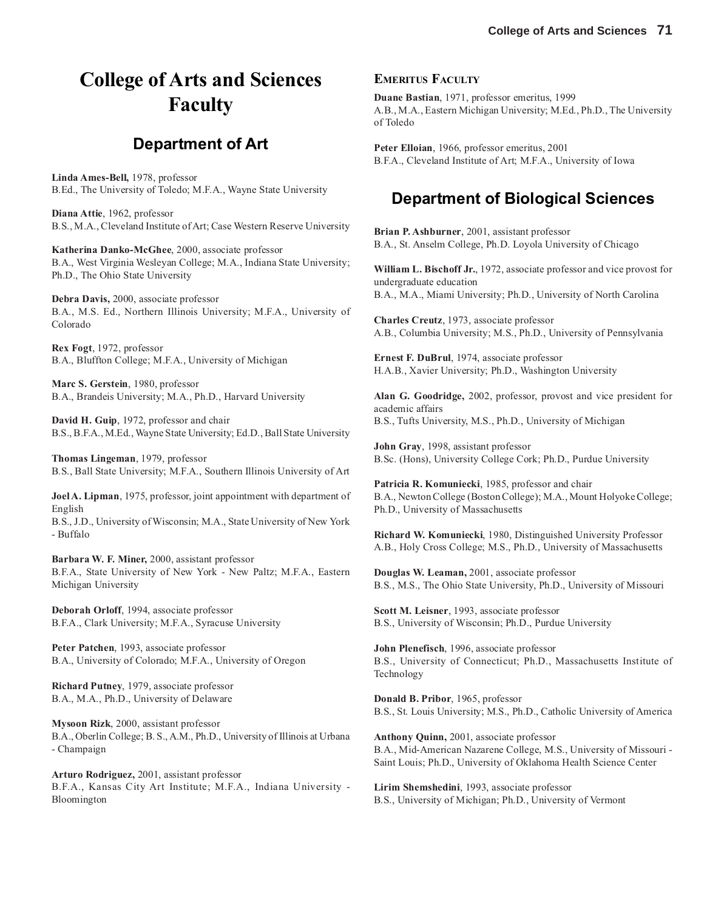## **College of Arts and Sciences Faculty**

#### **Department of Art**

**Linda Ames-Bell,** 1978, professor B.Ed., The University of Toledo; M.F.A., Wayne State University

**Diana Attie**, 1962, professor B.S., M.A., Cleveland Institute of Art; Case Western Reserve University

**Katherina Danko-McGhee**, 2000, associate professor B.A., West Virginia Wesleyan College; M.A., Indiana State University; Ph.D., The Ohio State University

**Debra Davis,** 2000, associate professor B.A., M.S. Ed., Northern Illinois University; M.F.A., University of Colorado

**Rex Fogt**, 1972, professor B.A., Bluffton College; M.F.A., University of Michigan

**Marc S. Gerstein**, 1980, professor B.A., Brandeis University; M.A., Ph.D., Harvard University

**David H. Guip**, 1972, professor and chair B.S., B.F.A., M.Ed., Wayne State University; Ed.D., Ball State University

**Thomas Lingeman**, 1979, professor B.S., Ball State University; M.F.A., Southern Illinois University of Art

**Joel A. Lipman**, 1975, professor, joint appointment with department of English

B.S., J.D., University of Wisconsin; M.A., State University of New York - Buffalo

**Barbara W. F. Miner,** 2000, assistant professor B.F.A., State University of New York - New Paltz; M.F.A., Eastern Michigan University

**Deborah Orloff**, 1994, associate professor B.F.A., Clark University; M.F.A., Syracuse University

**Peter Patchen**, 1993, associate professor B.A., University of Colorado; M.F.A., University of Oregon

**Richard Putney**, 1979, associate professor B.A., M.A., Ph.D., University of Delaware

**Mysoon Rizk**, 2000, assistant professor B.A., Oberlin College; B. S., A.M., Ph.D., University of Illinois at Urbana - Champaign

**Arturo Rodriguez,** 2001, assistant professor B.F.A., Kansas City Art Institute; M.F.A., Indiana University - Bloomington

#### **EMERITUS FACULTY**

**Duane Bastian**, 1971, professor emeritus, 1999 A.B., M.A., Eastern Michigan University; M.Ed., Ph.D., The University of Toledo

**Peter Elloian**, 1966, professor emeritus, 2001 B.F.A., Cleveland Institute of Art; M.F.A., University of Iowa

## **Department of Biological Sciences**

**Brian P. Ashburner**, 2001, assistant professor B.A., St. Anselm College, Ph.D. Loyola University of Chicago

**William L. Bischoff Jr.**, 1972, associate professor and vice provost for undergraduate education B.A., M.A., Miami University; Ph.D., University of North Carolina

**Charles Creutz**, 1973, associate professor A.B., Columbia University; M.S., Ph.D., University of Pennsylvania

**Ernest F. DuBrul**, 1974, associate professor H.A.B., Xavier University; Ph.D., Washington University

**Alan G. Goodridge,** 2002, professor, provost and vice president for academic affairs B.S., Tufts University, M.S., Ph.D., University of Michigan

**John Gray**, 1998, assistant professor B.Sc. (Hons), University College Cork; Ph.D., Purdue University

**Patricia R. Komuniecki**, 1985, professor and chair B.A., Newton College (Boston College); M.A., Mount Holyoke College; Ph.D., University of Massachusetts

**Richard W. Komuniecki**, 1980, Distinguished University Professor A.B., Holy Cross College; M.S., Ph.D., University of Massachusetts

**Douglas W. Leaman,** 2001, associate professor B.S., M.S., The Ohio State University, Ph.D., University of Missouri

**Scott M. Leisner**, 1993, associate professor B.S., University of Wisconsin; Ph.D., Purdue University

**John Plenefisch**, 1996, associate professor B.S., University of Connecticut; Ph.D., Massachusetts Institute of Technology

**Donald B. Pribor**, 1965, professor B.S., St. Louis University; M.S., Ph.D., Catholic University of America

**Anthony Quinn,** 2001, associate professor B.A., Mid-American Nazarene College, M.S., University of Missouri - Saint Louis; Ph.D., University of Oklahoma Health Science Center

**Lirim Shemshedini**, 1993, associate professor B.S., University of Michigan; Ph.D., University of Vermont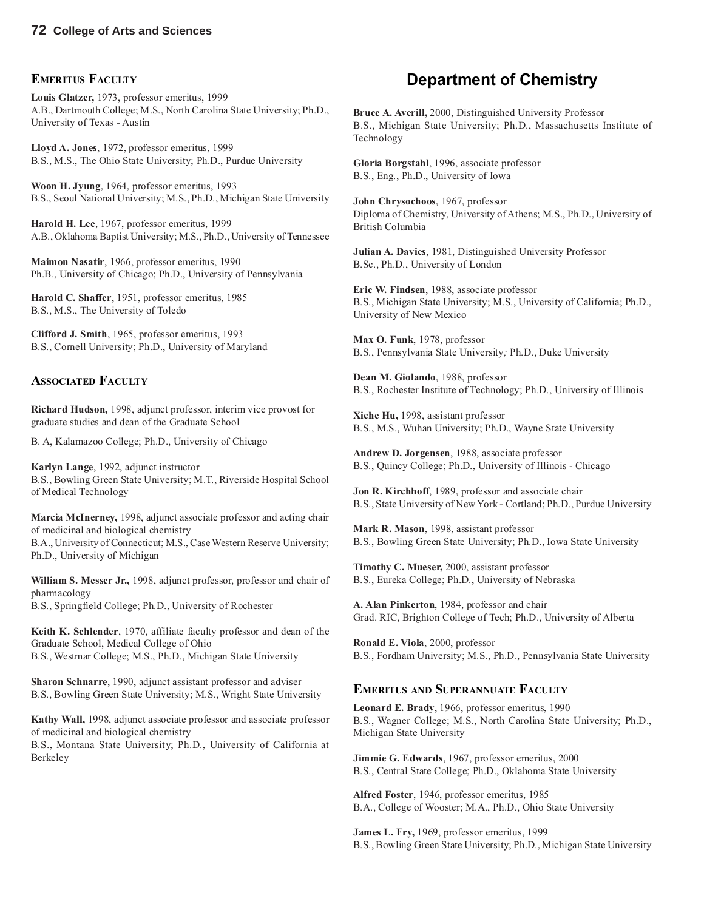#### **EMERITUS FACULTY**

**Louis Glatzer,** 1973, professor emeritus, 1999 A.B., Dartmouth College; M.S., North Carolina State University; Ph.D., University of Texas - Austin

**Lloyd A. Jones**, 1972, professor emeritus, 1999 B.S., M.S., The Ohio State University; Ph.D., Purdue University

**Woon H. Jyung**, 1964, professor emeritus, 1993 B.S., Seoul National University; M.S., Ph.D., Michigan State University

**Harold H. Lee**, 1967, professor emeritus, 1999 A.B., Oklahoma Baptist University; M.S., Ph.D., University of Tennessee

**Maimon Nasatir**, 1966, professor emeritus, 1990 Ph.B., University of Chicago; Ph.D., University of Pennsylvania

**Harold C. Shaffer**, 1951, professor emeritus, 1985 B.S., M.S., The University of Toledo

**Clifford J. Smith**, 1965, professor emeritus, 1993 B.S., Cornell University; Ph.D., University of Maryland

#### **ASSOCIATED FACULTY**

**Richard Hudson,** 1998, adjunct professor, interim vice provost for graduate studies and dean of the Graduate School

B. A, Kalamazoo College; Ph.D., University of Chicago

**Karlyn Lange**, 1992, adjunct instructor B.S., Bowling Green State University; M.T., Riverside Hospital School of Medical Technology

**Marcia McInerney,** 1998, adjunct associate professor and acting chair of medicinal and biological chemistry

B.A., University of Connecticut; M.S., Case Western Reserve University; Ph.D., University of Michigan

**William S. Messer Jr.,** 1998, adjunct professor, professor and chair of pharmacology B.S., Springfield College; Ph.D., University of Rochester

**Keith K. Schlender**, 1970, affiliate faculty professor and dean of the Graduate School, Medical College of Ohio B.S., Westmar College; M.S., Ph.D., Michigan State University

**Sharon Schnarre**, 1990, adjunct assistant professor and adviser B.S., Bowling Green State University; M.S., Wright State University

**Kathy Wall,** 1998, adjunct associate professor and associate professor of medicinal and biological chemistry

B.S., Montana State University; Ph.D., University of California at Berkeley

## **Department of Chemistry**

**Bruce A. Averill,** 2000, Distinguished University Professor B.S., Michigan State University; Ph.D., Massachusetts Institute of Technology

**Gloria Borgstahl**, 1996, associate professor B.S., Eng., Ph.D., University of Iowa

**John Chrysochoos**, 1967, professor Diploma of Chemistry, University of Athens; M.S., Ph.D., University of British Columbia

**Julian A. Davies**, 1981, Distinguished University Professor B.Sc., Ph.D., University of London

**Eric W. Findsen**, 1988, associate professor B.S., Michigan State University; M.S., University of California; Ph.D., University of New Mexico

**Max O. Funk**, 1978, professor B.S., Pennsylvania State University*;* Ph.D., Duke University

**Dean M. Giolando**, 1988, professor B.S., Rochester Institute of Technology; Ph.D., University of Illinois

**Xiche Hu,** 1998, assistant professor B.S., M.S., Wuhan University; Ph.D., Wayne State University

**Andrew D. Jorgensen**, 1988, associate professor B.S., Quincy College; Ph.D., University of Illinois - Chicago

**Jon R. Kirchhoff**, 1989, professor and associate chair B.S., State University of New York - Cortland; Ph.D., Purdue University

**Mark R. Mason**, 1998, assistant professor B.S., Bowling Green State University; Ph.D., Iowa State University

**Timothy C. Mueser,** 2000, assistant professor B.S., Eureka College; Ph.D., University of Nebraska

**A. Alan Pinkerton**, 1984, professor and chair Grad. RIC, Brighton College of Tech; Ph.D., University of Alberta

**Ronald E. Viola**, 2000, professor B.S., Fordham University; M.S., Ph.D., Pennsylvania State University

#### **EMERITUS AND SUPERANNUATE FACULTY**

**Leonard E. Brady**, 1966, professor emeritus, 1990 B.S., Wagner College; M.S., North Carolina State University; Ph.D., Michigan State University

**Jimmie G. Edwards**, 1967, professor emeritus, 2000 B.S., Central State College; Ph.D., Oklahoma State University

**Alfred Foster**, 1946, professor emeritus, 1985 B.A., College of Wooster; M.A., Ph.D., Ohio State University

**James L. Fry,** 1969, professor emeritus, 1999 B.S., Bowling Green State University; Ph.D., Michigan State University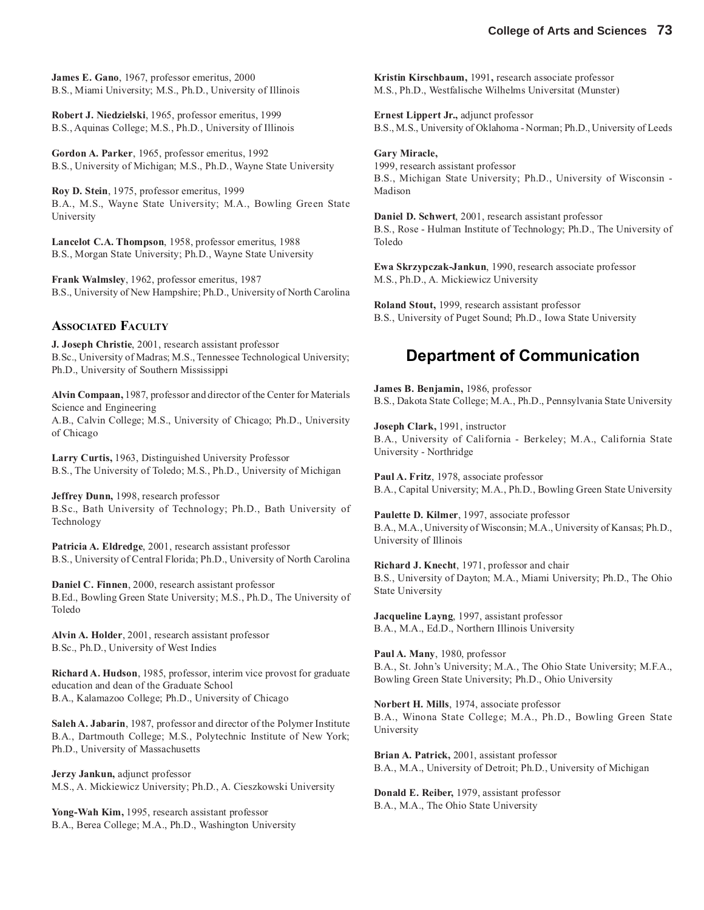**James E. Gano**, 1967, professor emeritus, 2000 B.S., Miami University; M.S., Ph.D., University of Illinois

**Robert J. Niedzielski**, 1965, professor emeritus, 1999 B.S., Aquinas College; M.S., Ph.D., University of Illinois

**Gordon A. Parker**, 1965, professor emeritus, 1992 B.S., University of Michigan; M.S., Ph.D., Wayne State University

**Roy D. Stein**, 1975, professor emeritus, 1999 B.A., M.S., Wayne State University; M.A., Bowling Green State University

**Lancelot C.A. Thompson**, 1958, professor emeritus, 1988 B.S., Morgan State University; Ph.D., Wayne State University

**Frank Walmsley**, 1962, professor emeritus, 1987 B.S., University of New Hampshire; Ph.D., University of North Carolina

#### **ASSOCIATED FACULTY**

**J. Joseph Christie**, 2001, research assistant professor B.Sc., University of Madras; M.S., Tennessee Technological University; Ph.D., University of Southern Mississippi

**Alvin Compaan,** 1987, professor and director of the Center for Materials Science and Engineering A.B., Calvin College; M.S., University of Chicago; Ph.D., University of Chicago

**Larry Curtis,** 1963, Distinguished University Professor B.S., The University of Toledo; M.S., Ph.D., University of Michigan

**Jeffrey Dunn,** 1998, research professor B.Sc., Bath University of Technology; Ph.D., Bath University of Technology

**Patricia A. Eldredge**, 2001, research assistant professor B.S., University of Central Florida; Ph.D., University of North Carolina

**Daniel C. Finnen**, 2000, research assistant professor B.Ed., Bowling Green State University; M.S., Ph.D., The University of Toledo

**Alvin A. Holder**, 2001, research assistant professor B.Sc., Ph.D., University of West Indies

**Richard A. Hudson**, 1985, professor, interim vice provost for graduate education and dean of the Graduate School B.A., Kalamazoo College; Ph.D., University of Chicago

**Saleh A. Jabarin**, 1987, professor and director of the Polymer Institute B.A., Dartmouth College; M.S., Polytechnic Institute of New York; Ph.D., University of Massachusetts

**Jerzy Jankun,** adjunct professor M.S., A. Mickiewicz University; Ph.D., A. Cieszkowski University

**Yong-Wah Kim,** 1995, research assistant professor B.A., Berea College; M.A., Ph.D., Washington University **Kristin Kirschbaum,** 1991**,** research associate professor M.S., Ph.D., Westfalische Wilhelms Universitat (Munster)

**Ernest Lippert Jr.,** adjunct professor B.S., M.S., University of Oklahoma - Norman; Ph.D., University of Leeds

**Gary Miracle,** 1999, research assistant professor B.S., Michigan State University; Ph.D., University of Wisconsin - Madison

**Daniel D. Schwert**, 2001, research assistant professor B.S., Rose - Hulman Institute of Technology; Ph.D., The University of Toledo

**Ewa Skrzypczak-Jankun**, 1990, research associate professor M.S., Ph.D., A. Mickiewicz University

**Roland Stout,** 1999, research assistant professor B.S., University of Puget Sound; Ph.D., Iowa State University

## **Department of Communication**

**James B. Benjamin,** 1986, professor B.S., Dakota State College; M.A., Ph.D., Pennsylvania State University

**Joseph Clark,** 1991, instructor B.A., University of California - Berkeley; M.A., California State University - Northridge

**Paul A. Fritz**, 1978, associate professor B.A., Capital University; M.A., Ph.D., Bowling Green State University

**Paulette D. Kilmer**, 1997, associate professor B.A., M.A., University of Wisconsin; M.A., University of Kansas; Ph.D., University of Illinois

**Richard J. Knecht**, 1971, professor and chair B.S., University of Dayton; M.A., Miami University; Ph.D., The Ohio State University

**Jacqueline Layng**, 1997, assistant professor B.A., M.A., Ed.D., Northern Illinois University

**Paul A. Many**, 1980, professor B.A., St. John's University; M.A., The Ohio State University; M.F.A., Bowling Green State University; Ph.D., Ohio University

**Norbert H. Mills**, 1974, associate professor B.A., Winona State College; M.A., Ph.D., Bowling Green State University

**Brian A. Patrick,** 2001, assistant professor B.A., M.A., University of Detroit; Ph.D., University of Michigan

**Donald E. Reiber,** 1979, assistant professor B.A., M.A., The Ohio State University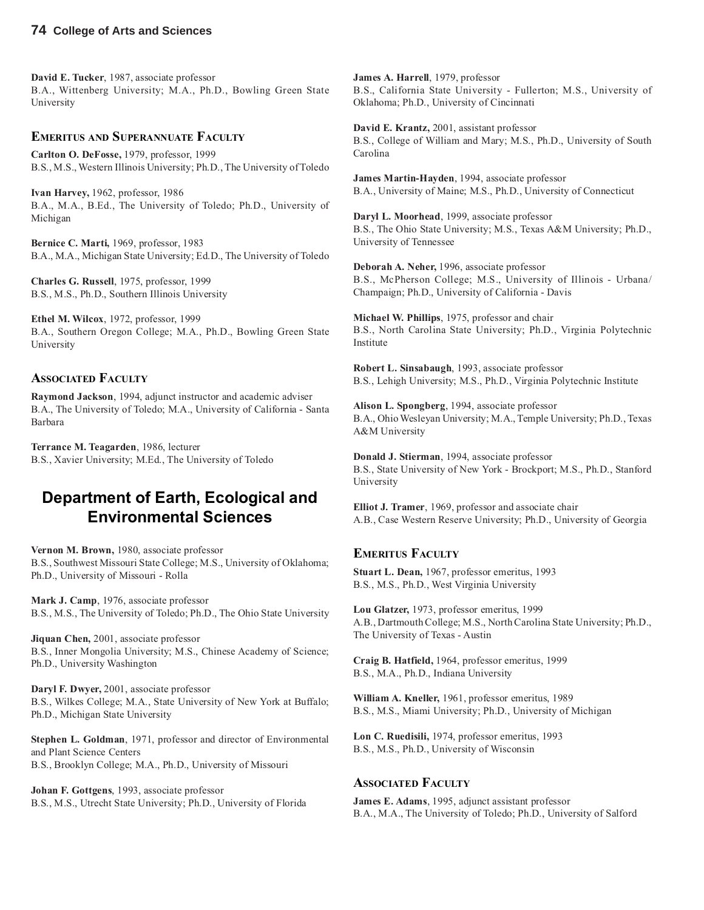**David E. Tucker**, 1987, associate professor B.A., Wittenberg University; M.A., Ph.D., Bowling Green State University

#### **EMERITUS AND SUPERANNUATE FACULTY**

**Carlton O. DeFosse,** 1979, professor, 1999 B.S., M.S., Western Illinois University; Ph.D., The University of Toledo

**Ivan Harvey,** 1962, professor, 1986 B.A., M.A., B.Ed., The University of Toledo; Ph.D., University of Michigan

**Bernice C. Marti,** 1969, professor, 1983 B.A., M.A., Michigan State University; Ed.D., The University of Toledo

**Charles G. Russell**, 1975, professor, 1999 B.S., M.S., Ph.D., Southern Illinois University

**Ethel M. Wilcox**, 1972, professor, 1999 B.A., Southern Oregon College; M.A., Ph.D., Bowling Green State University

#### **ASSOCIATED FACULTY**

**Raymond Jackson**, 1994, adjunct instructor and academic adviser B.A., The University of Toledo; M.A., University of California - Santa Barbara

**Terrance M. Teagarden**, 1986, lecturer B.S., Xavier University; M.Ed., The University of Toledo

#### **Department of Earth, Ecological and Environmental Sciences**

**Vernon M. Brown,** 1980, associate professor B.S., Southwest Missouri State College; M.S., University of Oklahoma; Ph.D., University of Missouri - Rolla

**Mark J. Camp**, 1976, associate professor B.S., M.S., The University of Toledo; Ph.D., The Ohio State University

**Jiquan Chen,** 2001, associate professor B.S., Inner Mongolia University; M.S., Chinese Academy of Science; Ph.D., University Washington

**Daryl F. Dwyer,** 2001, associate professor B.S., Wilkes College; M.A., State University of New York at Buffalo; Ph.D., Michigan State University

**Stephen L. Goldman**, 1971, professor and director of Environmental and Plant Science Centers B.S., Brooklyn College; M.A., Ph.D., University of Missouri

**Johan F. Gottgens**, 1993, associate professor B.S., M.S., Utrecht State University; Ph.D., University of Florida **James A. Harrell**, 1979, professor B.S., California State University - Fullerton; M.S., University of Oklahoma; Ph.D., University of Cincinnati

**David E. Krantz,** 2001, assistant professor B.S., College of William and Mary; M.S., Ph.D., University of South Carolina

**James Martin-Hayden**, 1994, associate professor B.A., University of Maine; M.S., Ph.D., University of Connecticut

**Daryl L. Moorhead**, 1999, associate professor B.S., The Ohio State University; M.S., Texas A&M University; Ph.D., University of Tennessee

**Deborah A. Neher,** 1996, associate professor B.S., McPherson College; M.S., University of Illinois - Urbana/ Champaign; Ph.D., University of California - Davis

**Michael W. Phillips**, 1975, professor and chair B.S., North Carolina State University; Ph.D., Virginia Polytechnic Institute

**Robert L. Sinsabaugh**, 1993, associate professor B.S., Lehigh University; M.S., Ph.D., Virginia Polytechnic Institute

**Alison L. Spongberg**, 1994, associate professor B.A., Ohio Wesleyan University; M.A., Temple University; Ph.D., Texas A&M University

**Donald J. Stierman**, 1994, associate professor B.S., State University of New York - Brockport; M.S., Ph.D., Stanford University

**Elliot J. Tramer**, 1969, professor and associate chair A.B., Case Western Reserve University; Ph.D., University of Georgia

#### **EMERITUS FACULTY**

**Stuart L. Dean,** 1967, professor emeritus, 1993 B.S., M.S., Ph.D., West Virginia University

**Lou Glatzer,** 1973, professor emeritus, 1999 A.B., Dartmouth College; M.S., North Carolina State University; Ph.D., The University of Texas - Austin

**Craig B. Hatfield,** 1964, professor emeritus, 1999 B.S., M.A., Ph.D., Indiana University

**William A. Kneller,** 1961, professor emeritus, 1989 B.S., M.S., Miami University; Ph.D., University of Michigan

**Lon C. Ruedisili,** 1974, professor emeritus, 1993 B.S., M.S., Ph.D., University of Wisconsin

#### **ASSOCIATED FACULTY**

**James E. Adams**, 1995, adjunct assistant professor B.A., M.A., The University of Toledo; Ph.D., University of Salford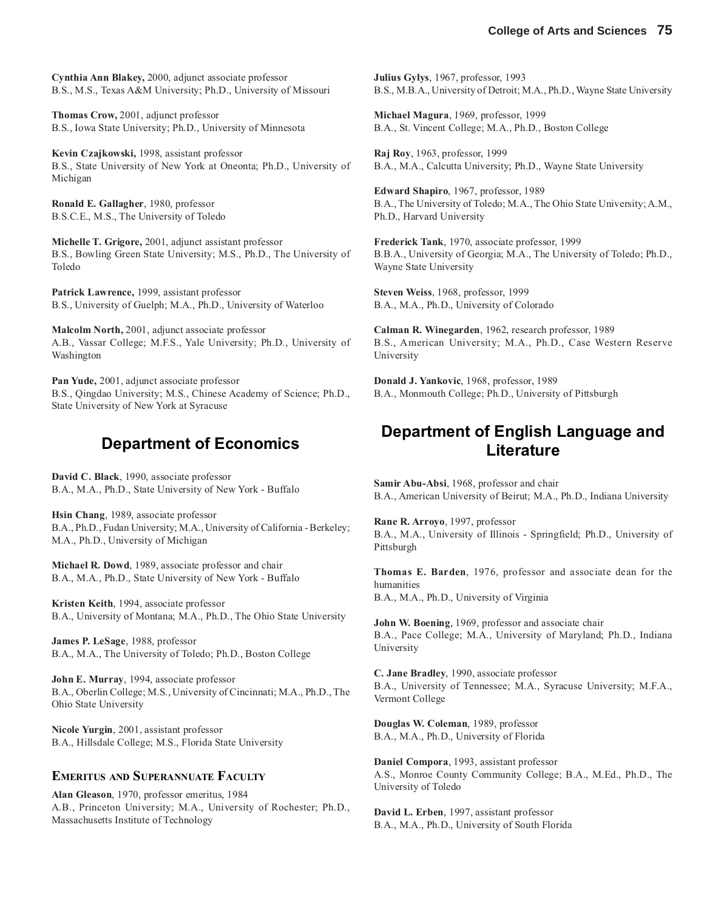**Cynthia Ann Blakey,** 2000, adjunct associate professor B.S., M.S., Texas A&M University; Ph.D., University of Missouri

**Thomas Crow,** 2001, adjunct professor B.S., Iowa State University; Ph.D., University of Minnesota

**Kevin Czajkowski,** 1998, assistant professor B.S., State University of New York at Oneonta; Ph.D., University of Michigan

**Ronald E. Gallagher**, 1980, professor B.S.C.E., M.S., The University of Toledo

**Michelle T. Grigore,** 2001, adjunct assistant professor B.S., Bowling Green State University; M.S., Ph.D., The University of Toledo

**Patrick Lawrence,** 1999, assistant professor B.S., University of Guelph; M.A., Ph.D., University of Waterloo

**Malcolm North,** 2001, adjunct associate professor A.B., Vassar College; M.F.S., Yale University; Ph.D., University of Washington

**Pan Yude,** 2001, adjunct associate professor B.S., Qingdao University; M.S., Chinese Academy of Science; Ph.D., State University of New York at Syracuse

#### **Department of Economics**

**David C. Black**, 1990, associate professor B.A., M.A., Ph.D., State University of New York - Buffalo

**Hsin Chang**, 1989, associate professor B.A., Ph.D., Fudan University; M.A., University of California - Berkeley; M.A., Ph.D., University of Michigan

**Michael R. Dowd**, 1989, associate professor and chair B.A., M.A., Ph.D., State University of New York - Buffalo

**Kristen Keith**, 1994, associate professor B.A., University of Montana; M.A., Ph.D., The Ohio State University

**James P. LeSage**, 1988, professor B.A., M.A., The University of Toledo; Ph.D., Boston College

**John E. Murray**, 1994, associate professor B.A., Oberlin College; M.S., University of Cincinnati; M.A., Ph.D., The Ohio State University

**Nicole Yurgin**, 2001, assistant professor B.A., Hillsdale College; M.S., Florida State University

#### **EMERITUS AND SUPERANNUATE FACULTY**

**Alan Gleason**, 1970, professor emeritus, 1984 A.B., Princeton University; M.A., University of Rochester; Ph.D., Massachusetts Institute of Technology

**Julius Gylys**, 1967, professor, 1993 B.S., M.B.A., University of Detroit; M.A., Ph.D., Wayne State University

**Michael Magura**, 1969, professor, 1999 B.A., St. Vincent College; M.A., Ph.D., Boston College

**Raj Roy**, 1963, professor, 1999 B.A., M.A., Calcutta University; Ph.D., Wayne State University

**Edward Shapiro**, 1967, professor, 1989 B.A., The University of Toledo; M.A., The Ohio State University; A.M., Ph.D., Harvard University

**Frederick Tank**, 1970, associate professor, 1999 B.B.A., University of Georgia; M.A., The University of Toledo; Ph.D., Wayne State University

**Steven Weiss**, 1968, professor, 1999 B.A., M.A., Ph.D., University of Colorado

**Calman R. Winegarden**, 1962, research professor, 1989 B.S., American University; M.A., Ph.D., Case Western Reserve University

**Donald J. Yankovic**, 1968, professor, 1989 B.A., Monmouth College; Ph.D., University of Pittsburgh

## **Department of English Language and Literature**

**Samir Abu-Absi**, 1968, professor and chair B.A., American University of Beirut; M.A., Ph.D., Indiana University

**Rane R. Arroyo**, 1997, professor B.A., M.A., University of Illinois - Springfield; Ph.D., University of Pittsburgh

**Thomas E. Barden**, 1976, professor and associate dean for the humanities

B.A., M.A., Ph.D., University of Virginia

**John W. Boening**, 1969, professor and associate chair B.A., Pace College; M.A., University of Maryland; Ph.D., Indiana University

**C. Jane Bradley**, 1990, associate professor B.A., University of Tennessee; M.A., Syracuse University; M.F.A., Vermont College

**Douglas W. Coleman**, 1989, professor B.A., M.A., Ph.D., University of Florida

**Daniel Compora**, 1993, assistant professor A.S., Monroe County Community College; B.A., M.Ed., Ph.D., The University of Toledo

**David L. Erben**, 1997, assistant professor B.A., M.A., Ph.D., University of South Florida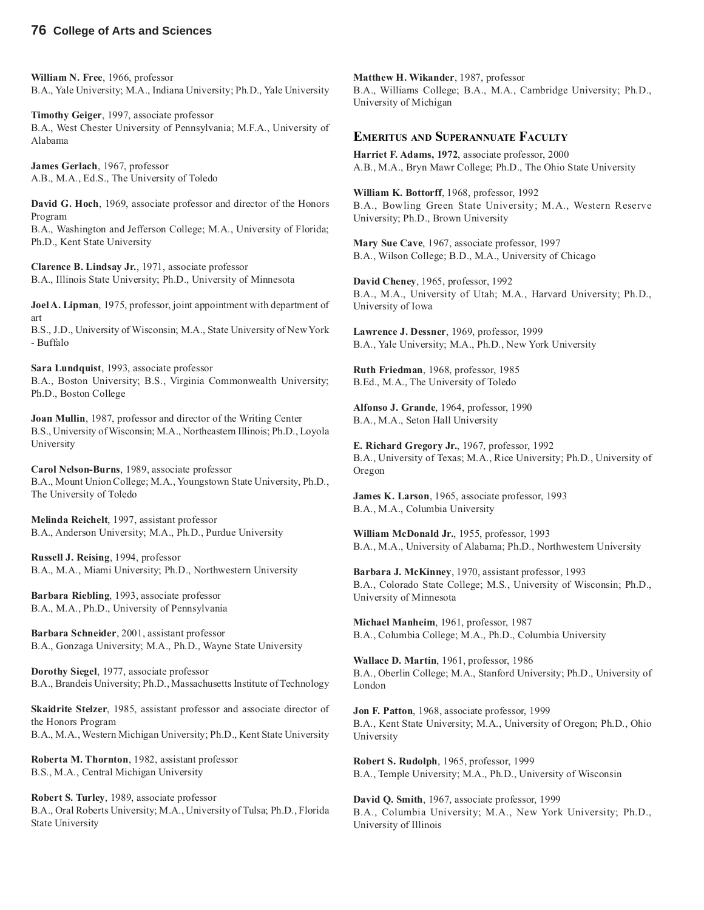**William N. Free**, 1966, professor B.A., Yale University; M.A., Indiana University; Ph.D., Yale University

**Timothy Geiger**, 1997, associate professor B.A., West Chester University of Pennsylvania; M.F.A., University of Alabama

**James Gerlach**, 1967, professor A.B., M.A., Ed.S., The University of Toledo

**David G. Hoch**, 1969, associate professor and director of the Honors Program

B.A., Washington and Jefferson College; M.A., University of Florida; Ph.D., Kent State University

**Clarence B. Lindsay Jr.**, 1971, associate professor B.A., Illinois State University; Ph.D., University of Minnesota

**Joel A. Lipman**, 1975, professor, joint appointment with department of art

B.S., J.D., University of Wisconsin; M.A., State University of New York - Buffalo

**Sara Lundquist**, 1993, associate professor B.A., Boston University; B.S., Virginia Commonwealth University; Ph.D., Boston College

**Joan Mullin**, 1987, professor and director of the Writing Center B.S., University of Wisconsin; M.A., Northeastern Illinois; Ph.D., Loyola University

**Carol Nelson-Burns**, 1989, associate professor B.A., Mount Union College; M.A., Youngstown State University, Ph.D., The University of Toledo

**Melinda Reichelt**, 1997, assistant professor B.A., Anderson University; M.A., Ph.D., Purdue University

**Russell J. Reising**, 1994, professor B.A., M.A., Miami University; Ph.D., Northwestern University

**Barbara Riebling**, 1993, associate professor B.A., M.A., Ph.D., University of Pennsylvania

**Barbara Schneider**, 2001, assistant professor B.A., Gonzaga University; M.A., Ph.D., Wayne State University

**Dorothy Siegel**, 1977, associate professor B.A., Brandeis University; Ph.D., Massachusetts Institute of Technology

**Skaidrite Stelzer**, 1985, assistant professor and associate director of the Honors Program B.A., M.A., Western Michigan University; Ph.D., Kent State University

**Roberta M. Thornton**, 1982, assistant professor B.S., M.A., Central Michigan University

**Robert S. Turley**, 1989, associate professor B.A., Oral Roberts University; M.A., University of Tulsa; Ph.D., Florida State University

**Matthew H. Wikander**, 1987, professor B.A., Williams College; B.A., M.A., Cambridge University; Ph.D., University of Michigan

#### **EMERITUS AND SUPERANNUATE FACULTY**

**Harriet F. Adams, 1972**, associate professor, 2000 A.B., M.A., Bryn Mawr College; Ph.D., The Ohio State University

**William K. Bottorff**, 1968, professor, 1992 B.A., Bowling Green State University; M.A., Western Reserve University; Ph.D., Brown University

**Mary Sue Cave**, 1967, associate professor, 1997 B.A., Wilson College; B.D., M.A., University of Chicago

**David Cheney**, 1965, professor, 1992 B.A., M.A., University of Utah; M.A., Harvard University; Ph.D., University of Iowa

**Lawrence J. Dessner**, 1969, professor, 1999 B.A., Yale University; M.A., Ph.D., New York University

**Ruth Friedman**, 1968, professor, 1985 B.Ed., M.A., The University of Toledo

**Alfonso J. Grande**, 1964, professor, 1990 B.A., M.A., Seton Hall University

**E. Richard Gregory Jr.**, 1967, professor, 1992 B.A., University of Texas; M.A., Rice University; Ph.D., University of Oregon

**James K. Larson**, 1965, associate professor, 1993 B.A., M.A., Columbia University

**William McDonald Jr.**, 1955, professor, 1993 B.A., M.A., University of Alabama; Ph.D., Northwestern University

**Barbara J. McKinney**, 1970, assistant professor, 1993 B.A., Colorado State College; M.S., University of Wisconsin; Ph.D., University of Minnesota

**Michael Manheim**, 1961, professor, 1987 B.A., Columbia College; M.A., Ph.D., Columbia University

**Wallace D. Martin**, 1961, professor, 1986 B.A., Oberlin College; M.A., Stanford University; Ph.D., University of London

**Jon F. Patton**, 1968, associate professor, 1999 B.A., Kent State University; M.A., University of Oregon; Ph.D., Ohio University

**Robert S. Rudolph**, 1965, professor, 1999 B.A., Temple University; M.A., Ph.D., University of Wisconsin

**David Q. Smith**, 1967, associate professor, 1999 B.A., Columbia University; M.A., New York University; Ph.D., University of Illinois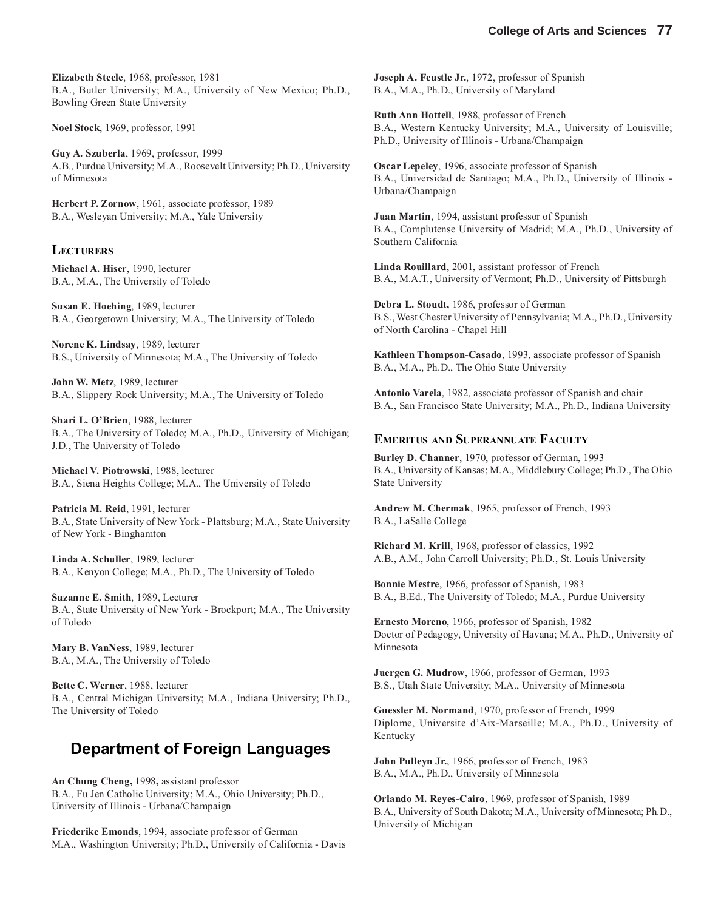**Elizabeth Steele**, 1968, professor, 1981 B.A., Butler University; M.A., University of New Mexico; Ph.D., Bowling Green State University

**Noel Stock**, 1969, professor, 1991

**Guy A. Szuberla**, 1969, professor, 1999 A.B., Purdue University; M.A., Roosevelt University; Ph.D., University of Minnesota

**Herbert P. Zornow**, 1961, associate professor, 1989 B.A., Wesleyan University; M.A., Yale University

#### **LECTURERS**

**Michael A. Hiser**, 1990, lecturer B.A., M.A., The University of Toledo

**Susan E. Hoehing**, 1989, lecturer B.A., Georgetown University; M.A., The University of Toledo

**Norene K. Lindsay**, 1989, lecturer B.S., University of Minnesota; M.A., The University of Toledo

**John W. Metz**, 1989, lecturer B.A., Slippery Rock University; M.A., The University of Toledo

**Shari L. O'Brien**, 1988, lecturer B.A., The University of Toledo; M.A., Ph.D., University of Michigan; J.D., The University of Toledo

**Michael V. Piotrowski**, 1988, lecturer B.A., Siena Heights College; M.A., The University of Toledo

**Patricia M. Reid**, 1991, lecturer B.A., State University of New York - Plattsburg; M.A., State University of New York - Binghamton

**Linda A. Schuller**, 1989, lecturer B.A., Kenyon College; M.A., Ph.D., The University of Toledo

**Suzanne E. Smith**, 1989, Lecturer B.A., State University of New York - Brockport; M.A., The University of Toledo

**Mary B. VanNess**, 1989, lecturer B.A., M.A., The University of Toledo

**Bette C. Werner**, 1988, lecturer B.A., Central Michigan University; M.A., Indiana University; Ph.D., The University of Toledo

### **Department of Foreign Languages**

**An Chung Cheng,** 1998**,** assistant professor B.A., Fu Jen Catholic University; M.A., Ohio University; Ph.D., University of Illinois - Urbana/Champaign

**Friederike Emonds**, 1994, associate professor of German M.A., Washington University; Ph.D., University of California - Davis **Joseph A. Feustle Jr.**, 1972, professor of Spanish B.A., M.A., Ph.D., University of Maryland

**Ruth Ann Hottell**, 1988, professor of French B.A., Western Kentucky University; M.A., University of Louisville; Ph.D., University of Illinois - Urbana/Champaign

**Oscar Lepeley**, 1996, associate professor of Spanish B.A., Universidad de Santiago; M.A., Ph.D., University of Illinois - Urbana/Champaign

**Juan Martin**, 1994, assistant professor of Spanish B.A., Complutense University of Madrid; M.A., Ph.D., University of Southern California

**Linda Rouillard**, 2001, assistant professor of French B.A., M.A.T., University of Vermont; Ph.D., University of Pittsburgh

**Debra L. Stoudt,** 1986, professor of German B.S., West Chester University of Pennsylvania; M.A., Ph.D., University of North Carolina - Chapel Hill

**Kathleen Thompson-Casado**, 1993, associate professor of Spanish B.A., M.A., Ph.D., The Ohio State University

**Antonio Varela**, 1982, associate professor of Spanish and chair B.A., San Francisco State University; M.A., Ph.D., Indiana University

#### **EMERITUS AND SUPERANNUATE FACULTY**

**Burley D. Channer**, 1970, professor of German, 1993 B.A., University of Kansas; M.A., Middlebury College; Ph.D., The Ohio State University

**Andrew M. Chermak**, 1965, professor of French, 1993 B.A., LaSalle College

**Richard M. Krill**, 1968, professor of classics, 1992 A.B., A.M., John Carroll University; Ph.D., St. Louis University

**Bonnie Mestre**, 1966, professor of Spanish, 1983 B.A., B.Ed., The University of Toledo; M.A., Purdue University

**Ernesto Moreno**, 1966, professor of Spanish, 1982 Doctor of Pedagogy, University of Havana; M.A., Ph.D., University of Minnesota

**Juergen G. Mudrow**, 1966, professor of German, 1993 B.S., Utah State University; M.A., University of Minnesota

**Guessler M. Normand**, 1970, professor of French, 1999 Diplome, Universite d'Aix-Marseille; M.A., Ph.D., University of Kentucky

**John Pulleyn Jr.**, 1966, professor of French, 1983 B.A., M.A., Ph.D., University of Minnesota

**Orlando M. Reyes-Cairo**, 1969, professor of Spanish, 1989 B.A., University of South Dakota; M.A., University of Minnesota; Ph.D., University of Michigan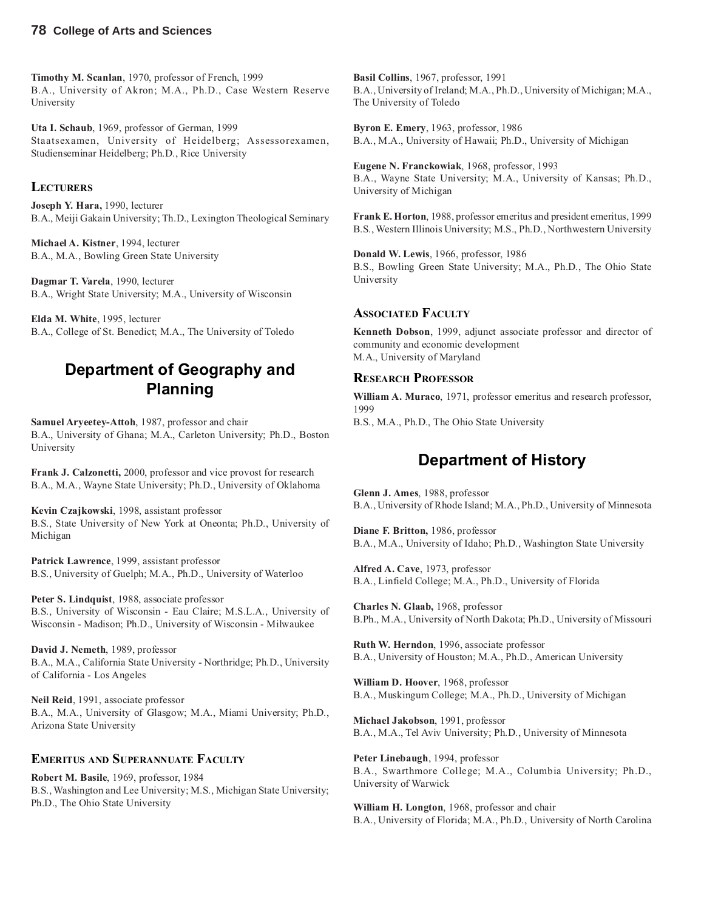**Timothy M. Scanlan**, 1970, professor of French, 1999 B.A., University of Akron; M.A., Ph.D., Case Western Reserve University

**Uta I. Schaub**, 1969, professor of German, 1999 Staatsexamen, University of Heidelberg; Assessorexamen, Studienseminar Heidelberg; Ph.D., Rice University

#### **LECTURERS**

**Joseph Y. Hara,** 1990, lecturer B.A., Meiji Gakain University; Th.D., Lexington Theological Seminary

**Michael A. Kistner**, 1994, lecturer B.A., M.A., Bowling Green State University

**Dagmar T. Varela**, 1990, lecturer B.A., Wright State University; M.A., University of Wisconsin

**Elda M. White**, 1995, lecturer B.A., College of St. Benedict; M.A., The University of Toledo

## **Department of Geography and Planning**

**Samuel Aryeetey-Attoh**, 1987, professor and chair B.A., University of Ghana; M.A., Carleton University; Ph.D., Boston University

**Frank J. Calzonetti,** 2000, professor and vice provost for research B.A., M.A., Wayne State University; Ph.D., University of Oklahoma

**Kevin Czajkowski**, 1998, assistant professor B.S., State University of New York at Oneonta; Ph.D., University of Michigan

**Patrick Lawrence**, 1999, assistant professor B.S., University of Guelph; M.A., Ph.D., University of Waterloo

**Peter S. Lindquist**, 1988, associate professor B.S., University of Wisconsin - Eau Claire; M.S.L.A., University of Wisconsin - Madison; Ph.D., University of Wisconsin - Milwaukee

**David J. Nemeth**, 1989, professor B.A., M.A., California State University - Northridge; Ph.D., University of California - Los Angeles

**Neil Reid**, 1991, associate professor B.A., M.A., University of Glasgow; M.A., Miami University; Ph.D., Arizona State University

#### **EMERITUS AND SUPERANNUATE FACULTY**

**Robert M. Basile**, 1969, professor, 1984 B.S., Washington and Lee University; M.S., Michigan State University; Ph.D., The Ohio State University

**Basil Collins**, 1967, professor, 1991 B.A., University of Ireland; M.A., Ph.D., University of Michigan; M.A., The University of Toledo

**Byron E. Emery**, 1963, professor, 1986 B.A., M.A., University of Hawaii; Ph.D., University of Michigan

**Eugene N. Franckowiak**, 1968, professor, 1993 B.A., Wayne State University; M.A., University of Kansas; Ph.D., University of Michigan

**Frank E. Horton**, 1988, professor emeritus and president emeritus, 1999 B.S., Western Illinois University; M.S., Ph.D., Northwestern University

**Donald W. Lewis**, 1966, professor, 1986 B.S., Bowling Green State University; M.A., Ph.D., The Ohio State University

#### **ASSOCIATED FACULTY**

**Kenneth Dobson**, 1999, adjunct associate professor and director of community and economic development M.A., University of Maryland

#### **RESEARCH PROFESSOR**

**William A. Muraco**, 1971, professor emeritus and research professor, 1999 B.S., M.A., Ph.D., The Ohio State University

#### **Department of History**

**Glenn J. Ames**, 1988, professor B.A., University of Rhode Island; M.A., Ph.D., University of Minnesota

**Diane F. Britton,** 1986, professor B.A., M.A., University of Idaho; Ph.D., Washington State University

**Alfred A. Cave**, 1973, professor B.A., Linfield College; M.A., Ph.D., University of Florida

**Charles N. Glaab,** 1968, professor B.Ph., M.A., University of North Dakota; Ph.D., University of Missouri

**Ruth W. Herndon**, 1996, associate professor B.A., University of Houston; M.A., Ph.D., American University

**William D. Hoover**, 1968, professor B.A., Muskingum College; M.A., Ph.D., University of Michigan

**Michael Jakobson**, 1991, professor B.A., M.A., Tel Aviv University; Ph.D., University of Minnesota

**Peter Linebaugh**, 1994, professor B.A., Swarthmore College; M.A., Columbia University; Ph.D., University of Warwick

**William H. Longton**, 1968, professor and chair B.A., University of Florida; M.A., Ph.D., University of North Carolina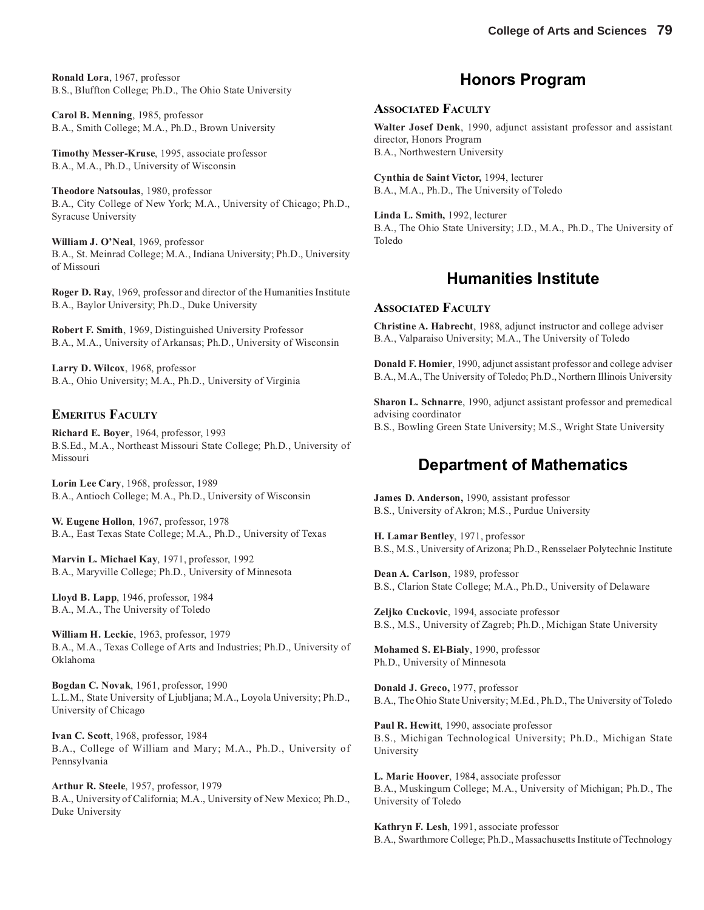**Ronald Lora**, 1967, professor B.S., Bluffton College; Ph.D., The Ohio State University

**Carol B. Menning**, 1985, professor B.A., Smith College; M.A., Ph.D., Brown University

**Timothy Messer-Kruse**, 1995, associate professor B.A., M.A., Ph.D., University of Wisconsin

**Theodore Natsoulas**, 1980, professor B.A., City College of New York; M.A., University of Chicago; Ph.D., Syracuse University

**William J. O'Neal**, 1969, professor B.A., St. Meinrad College; M.A., Indiana University; Ph.D., University of Missouri

**Roger D. Ray**, 1969, professor and director of the Humanities Institute B.A., Baylor University; Ph.D., Duke University

**Robert F. Smith**, 1969, Distinguished University Professor B.A., M.A., University of Arkansas; Ph.D., University of Wisconsin

**Larry D. Wilcox**, 1968, professor B.A., Ohio University; M.A., Ph.D., University of Virginia

#### **EMERITUS FACULTY**

**Richard E. Boyer**, 1964, professor, 1993 B.S.Ed., M.A., Northeast Missouri State College; Ph.D., University of Missouri

**Lorin Lee Cary**, 1968, professor, 1989 B.A., Antioch College; M.A., Ph.D., University of Wisconsin

**W. Eugene Hollon**, 1967, professor, 1978 B.A., East Texas State College; M.A., Ph.D., University of Texas

**Marvin L. Michael Kay**, 1971, professor, 1992 B.A., Maryville College; Ph.D., University of Minnesota

**Lloyd B. Lapp**, 1946, professor, 1984 B.A., M.A., The University of Toledo

**William H. Leckie**, 1963, professor, 1979 B.A., M.A., Texas College of Arts and Industries; Ph.D., University of Oklahoma

**Bogdan C. Novak**, 1961, professor, 1990 L.L.M., State University of Ljubljana; M.A., Loyola University; Ph.D., University of Chicago

**Ivan C. Scott**, 1968, professor, 1984 B.A., College of William and Mary; M.A., Ph.D., University of Pennsylvania

**Arthur R. Steele**, 1957, professor, 1979 B.A., University of California; M.A., University of New Mexico; Ph.D., Duke University

### **Honors Program**

#### **ASSOCIATED FACULTY**

**Walter Josef Denk**, 1990, adjunct assistant professor and assistant director, Honors Program B.A., Northwestern University

**Cynthia de Saint Victor,** 1994, lecturer B.A., M.A., Ph.D., The University of Toledo

**Linda L. Smith,** 1992, lecturer B.A., The Ohio State University; J.D., M.A., Ph.D., The University of Toledo

#### **Humanities Institute**

#### **ASSOCIATED FACULTY**

**Christine A. Habrecht**, 1988, adjunct instructor and college adviser B.A., Valparaiso University; M.A., The University of Toledo

**Donald F. Homier**, 1990, adjunct assistant professor and college adviser B.A., M.A., The University of Toledo; Ph.D., Northern Illinois University

**Sharon L. Schnarre**, 1990, adjunct assistant professor and premedical advising coordinator B.S., Bowling Green State University; M.S., Wright State University

#### **Department of Mathematics**

**James D. Anderson,** 1990, assistant professor B.S., University of Akron; M.S., Purdue University

**H. Lamar Bentley**, 1971, professor B.S., M.S., University of Arizona; Ph.D., Rensselaer Polytechnic Institute

**Dean A. Carlson**, 1989, professor B.S., Clarion State College; M.A., Ph.D., University of Delaware

**Zeljko Cuckovic**, 1994, associate professor B.S., M.S., University of Zagreb; Ph.D., Michigan State University

**Mohamed S. El-Bialy**, 1990, professor Ph.D., University of Minnesota

**Donald J. Greco,** 1977, professor B.A., The Ohio State University; M.Ed., Ph.D., The University of Toledo

**Paul R. Hewitt**, 1990, associate professor B.S., Michigan Technological University; Ph.D., Michigan State University

**L. Marie Hoover**, 1984, associate professor B.A., Muskingum College; M.A., University of Michigan; Ph.D., The University of Toledo

**Kathryn F. Lesh**, 1991, associate professor B.A., Swarthmore College; Ph.D., Massachusetts Institute of Technology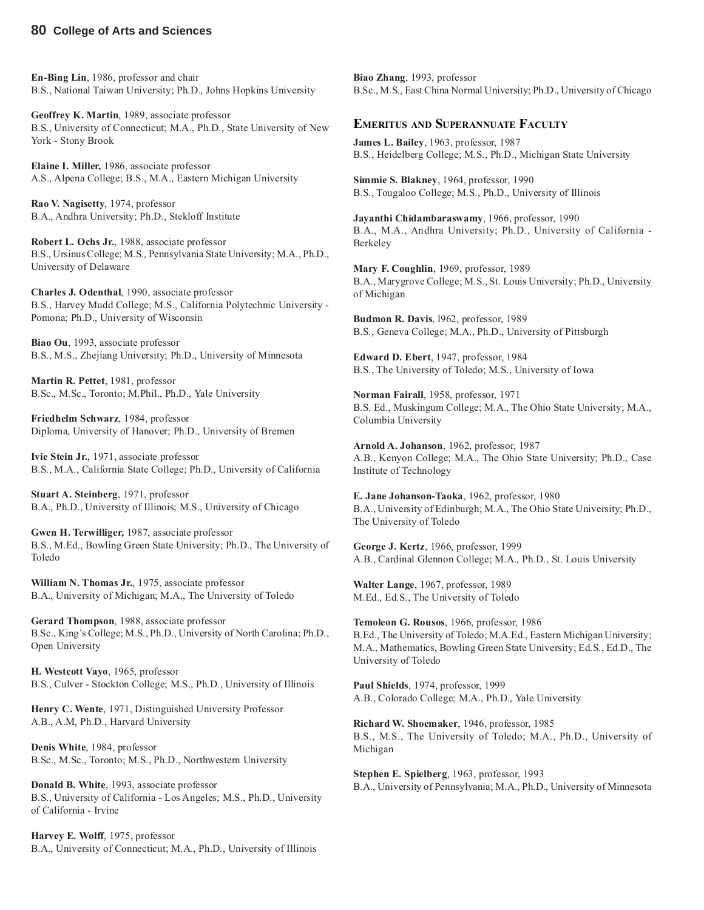**En-Bing Lin**, 1986, professor and chair B.S., National Taiwan University; Ph.D., Johns Hopkins University

**Geoffrey K. Martin**, 1989, associate professor B.S., University of Connecticut; M.A., Ph.D., State University of New York - Stony Brook

**Elaine I. Miller,** 1986, associate professor A.S., Alpena College; B.S., M.A., Eastern Michigan University

**Rao V. Nagisetty**, 1974, professor B.A., Andhra University; Ph.D., Stekloff Institute

**Robert L. Ochs Jr.**, 1988, associate professor B.S., Ursinus College; M.S., Pennsylvania State University; M.A., Ph.D., University of Delaware

**Charles J. Odenthal**, 1990, associate professor B.S., Harvey Mudd College; M.S., California Polytechnic University - Pomona; Ph.D., University of Wisconsin

**Biao Ou**, 1993, associate professor B.S., M.S., Zhejiang University; Ph.D., University of Minnesota

**Martin R. Pettet**, 1981, professor B.Sc., M.Sc., Toronto; M.Phil., Ph.D., Yale University

**Friedhelm Schwarz**, 1984, professor Diploma, University of Hanover; Ph.D., University of Bremen

**Ivie Stein Jr.**, 1971, associate professor B.S., M.A., California State College; Ph.D., University of California

**Stuart A. Steinberg**, 1971, professor B.A., Ph.D., University of Illinois; M.S., University of Chicago

**Gwen H. Terwilliger,** 1987, associate professor B.S., M.Ed., Bowling Green State University; Ph.D., The University of Toledo

**William N. Thomas Jr.**, 1975, associate professor B.A., University of Michigan; M.A., The University of Toledo

**Gerard Thompson**, 1988, associate professor B.Sc., King's College; M.S., Ph.D., University of North Carolina; Ph.D., Open University

**H. Westcott Vayo**, 1965, professor B.S., Culver - Stockton College; M.S., Ph.D., University of Illinois

**Henry C. Wente**, 1971, Distinguished University Professor A.B., A.M, Ph.D., Harvard University

**Denis White**, 1984, professor B.Sc., M.Sc., Toronto; M.S., Ph.D., Northwestern University

**Donald B. White**, 1993, associate professor B.S., University of California - Los Angeles; M.S., Ph.D., University of California - Irvine

**Harvey E. Wolff**, 1975, professor B.A., University of Connecticut; M.A., Ph.D., University of Illinois

**Biao Zhang**, 1993, professor B.Sc., M.S., East China Normal University; Ph.D., University of Chicago

#### **EMERITUS AND SUPERANNUATE FACULTY**

**James L. Bailey**, 1963, professor, 1987 B.S., Heidelberg College; M.S., Ph.D., Michigan State University

**Simmie S. Blakney**, 1964, professor, 1990 B.S., Tougaloo College; M.S., Ph.D., University of Illinois

**Jayanthi Chidambaraswamy**, 1966, professor, 1990 B.A., M.A., Andhra University; Ph.D., University of California - Berkeley

**Mary F. Coughlin**, 1969, professor, 1989 B.A., Marygrove College; M.S., St. Louis University; Ph.D., University of Michigan

**Budmon R. Davis**, l962, professor, 1989 B.S., Geneva College; M.A., Ph.D., University of Pittsburgh

**Edward D. Ebert**, 1947, professor, 1984 B.S., The University of Toledo; M.S., University of Iowa

**Norman Fairall**, 1958, professor, 1971 B.S. Ed., Muskingum College; M.A., The Ohio State University; M.A., Columbia University

**Arnold A. Johanson**, 1962, professor, 1987 A.B., Kenyon College; M.A., The Ohio State University; Ph.D., Case Institute of Technology

**E. Jane Johanson-Taoka**, 1962, professor, 1980 B.A., University of Edinburgh; M.A., The Ohio State University; Ph.D., The University of Toledo

**George J. Kertz**, 1966, professor, 1999 A.B., Cardinal Glennon College; M.A., Ph.D., St. Louis University

**Walter Lange**, 1967, professor, 1989 M.Ed., Ed.S., The University of Toledo

**Temoleon G. Rousos**, 1966, professor, 1986 B.Ed., The University of Toledo; M.A.Ed., Eastern Michigan University; M.A., Mathematics, Bowling Green State University; Ed.S., Ed.D., The University of Toledo

**Paul Shields**, 1974, professor, 1999 A.B., Colorado College; M.A., Ph.D., Yale University

**Richard W. Shoemaker**, 1946, professor, 1985 B.S., M.S., The University of Toledo; M.A., Ph.D., University of Michigan

**Stephen E. Spielberg**, 1963, professor, 1993 B.A., University of Pennsylvania; M.A., Ph.D., University of Minnesota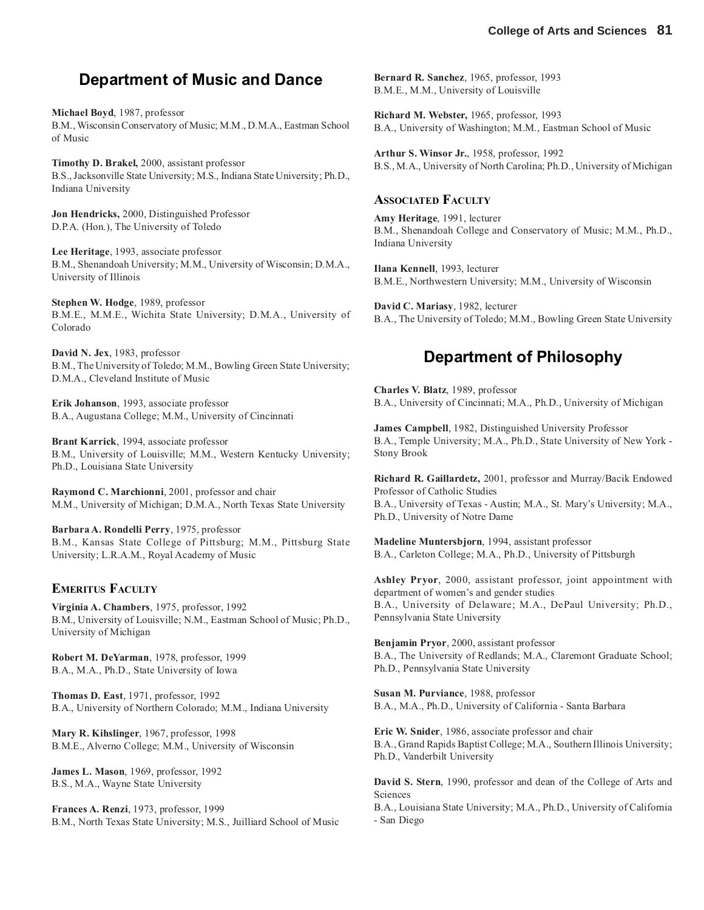## **Department of Music and Dance**

**Michael Boyd**, 1987, professor B.M., Wisconsin Conservatory of Music; M.M., D.M.A., Eastman School of Music

**Timothy D. Brakel,** 2000, assistant professor B.S., Jacksonville State University; M.S., Indiana State University; Ph.D., Indiana University

**Jon Hendricks,** 2000, Distinguished Professor D.P.A. (Hon.), The University of Toledo

**Lee Heritage**, 1993, associate professor B.M., Shenandoah University; M.M., University of Wisconsin; D.M.A., University of Illinois

**Stephen W. Hodge**, 1989, professor B.M.E., M.M.E., Wichita State University; D.M.A., University of Colorado

**David N. Jex**, 1983, professor B.M., The University of Toledo; M.M., Bowling Green State University; D.M.A., Cleveland Institute of Music

**Erik Johanson**, 1993, associate professor B.A., Augustana College; M.M., University of Cincinnati

**Brant Karrick**, 1994, associate professor B.M., University of Louisville; M.M., Western Kentucky University; Ph.D., Louisiana State University

**Raymond C. Marchionni**, 2001, professor and chair M.M., University of Michigan; D.M.A., North Texas State University

**Barbara A. Rondelli Perry**, 1975, professor B.M., Kansas State College of Pittsburg; M.M., Pittsburg State University; L.R.A.M., Royal Academy of Music

#### **EMERITUS FACULTY**

**Virginia A. Chambers**, 1975, professor, 1992 B.M., University of Louisville; N.M., Eastman School of Music; Ph.D., University of Michigan

**Robert M. DeYarman**, 1978, professor, 1999 B.A., M.A., Ph.D., State University of Iowa

**Thomas D. East**, 1971, professor, 1992 B.A., University of Northern Colorado; M.M., Indiana University

**Mary R. Kihslinger**, 1967, professor, 1998 B.M.E., Alverno College; M.M., University of Wisconsin

**James L. Mason**, 1969, professor, 1992 B.S., M.A., Wayne State University

**Frances A. Renzi**, 1973, professor, 1999 B.M., North Texas State University; M.S., Juilliard School of Music **Bernard R. Sanchez**, 1965, professor, 1993 B.M.E., M.M., University of Louisville

**Richard M. Webster,** 1965, professor, 1993 B.A., University of Washington; M.M., Eastman School of Music

**Arthur S. Winsor Jr.**, 1958, professor, 1992 B.S., M.A., University of North Carolina; Ph.D., University of Michigan

#### **ASSOCIATED FACULTY**

**Amy Heritage**, 1991, lecturer B.M., Shenandoah College and Conservatory of Music; M.M., Ph.D., Indiana University

**Ilana Kennell**, 1993, lecturer B.M.E., Northwestern University; M.M., University of Wisconsin

**David C. Mariasy**, 1982, lecturer B.A., The University of Toledo; M.M., Bowling Green State University

## **Department of Philosophy**

**Charles V. Blatz**, 1989, professor B.A., University of Cincinnati; M.A., Ph.D., University of Michigan

**James Campbell**, 1982, Distinguished University Professor B.A., Temple University; M.A., Ph.D., State University of New York - Stony Brook

**Richard R. Gaillardetz,** 2001, professor and Murray/Bacik Endowed Professor of Catholic Studies B.A., University of Texas - Austin; M.A., St. Mary's University; M.A., Ph.D., University of Notre Dame

**Madeline Muntersbjorn**, 1994, assistant professor B.A., Carleton College; M.A., Ph.D., University of Pittsburgh

**Ashley Pryor**, 2000, assistant professor, joint appointment with department of women's and gender studies B.A., University of Delaware; M.A., DePaul University; Ph.D., Pennsylvania State University

**Benjamin Pryor**, 2000, assistant professor B.A., The University of Redlands; M.A., Claremont Graduate School; Ph.D., Pennsylvania State University

**Susan M. Purviance**, 1988, professor B.A., M.A., Ph.D., University of California - Santa Barbara

**Eric W. Snider**, 1986, associate professor and chair B.A., Grand Rapids Baptist College; M.A., Southern Illinois University; Ph.D., Vanderbilt University

**David S. Stern**, 1990, professor and dean of the College of Arts and Sciences

B.A., Louisiana State University; M.A., Ph.D., University of California - San Diego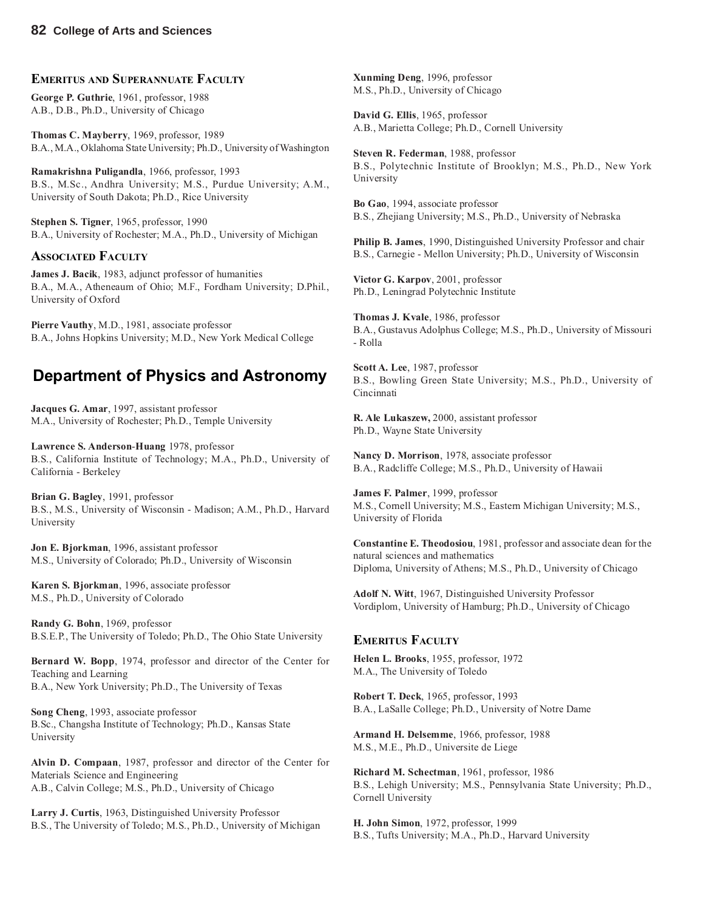#### **EMERITUS AND SUPERANNUATE FACULTY**

**George P. Guthrie**, 1961, professor, 1988 A.B., D.B., Ph.D., University of Chicago

**Thomas C. Mayberry**, 1969, professor, 1989 B.A., M.A., Oklahoma State University; Ph.D., University of Washington

**Ramakrishna Puligandla**, 1966, professor, 1993 B.S., M.Sc., Andhra University; M.S., Purdue University; A.M., University of South Dakota; Ph.D., Rice University

**Stephen S. Tigner**, 1965, professor, 1990 B.A., University of Rochester; M.A., Ph.D., University of Michigan

#### **ASSOCIATED FACULTY**

**James J. Bacik**, 1983, adjunct professor of humanities B.A., M.A., Atheneaum of Ohio; M.F., Fordham University; D.Phil., University of Oxford

**Pierre Vauthy**, M.D., 1981, associate professor B.A., Johns Hopkins University; M.D., New York Medical College

### **Department of Physics and Astronomy**

**Jacques G. Amar**, 1997, assistant professor M.A., University of Rochester; Ph.D., Temple University

**Lawrence S. Anderson**-**Huang** 1978, professor B.S., California Institute of Technology; M.A., Ph.D., University of California - Berkeley

**Brian G. Bagley**, 1991, professor B.S., M.S., University of Wisconsin - Madison; A.M., Ph.D., Harvard University

**Jon E. Bjorkman**, 1996, assistant professor M.S., University of Colorado; Ph.D., University of Wisconsin

**Karen S. Bjorkman**, 1996, associate professor M.S., Ph.D., University of Colorado

**Randy G. Bohn**, 1969, professor B.S.E.P., The University of Toledo; Ph.D., The Ohio State University

**Bernard W. Bopp**, 1974, professor and director of the Center for Teaching and Learning B.A., New York University; Ph.D., The University of Texas

**Song Cheng**, 1993, associate professor B.Sc., Changsha Institute of Technology; Ph.D., Kansas State University

**Alvin D. Compaan**, 1987, professor and director of the Center for Materials Science and Engineering A.B., Calvin College; M.S., Ph.D., University of Chicago

**Larry J. Curtis**, 1963, Distinguished University Professor B.S., The University of Toledo; M.S., Ph.D., University of Michigan

**Xunming Deng**, 1996, professor M.S., Ph.D., University of Chicago

**David G. Ellis**, 1965, professor A.B., Marietta College; Ph.D., Cornell University

**Steven R. Federman**, 1988, professor B.S., Polytechnic Institute of Brooklyn; M.S., Ph.D., New York University

**Bo Gao**, 1994, associate professor B.S., Zhejiang University; M.S., Ph.D., University of Nebraska

**Philip B. James**, 1990, Distinguished University Professor and chair B.S., Carnegie - Mellon University; Ph.D., University of Wisconsin

**Victor G. Karpov**, 2001, professor Ph.D., Leningrad Polytechnic Institute

**Thomas J. Kvale**, 1986, professor B.A., Gustavus Adolphus College; M.S., Ph.D., University of Missouri - Rolla

**Scott A. Lee**, 1987, professor B.S., Bowling Green State University; M.S., Ph.D., University of Cincinnati

**R. Ale Lukaszew,** 2000, assistant professor Ph.D., Wayne State University

**Nancy D. Morrison**, 1978, associate professor B.A., Radcliffe College; M.S., Ph.D., University of Hawaii

**James F. Palmer**, 1999, professor M.S., Cornell University; M.S., Eastern Michigan University; M.S., University of Florida

**Constantine E. Theodosiou**, 1981, professor and associate dean for the natural sciences and mathematics Diploma, University of Athens; M.S., Ph.D., University of Chicago

**Adolf N. Witt**, 1967, Distinguished University Professor Vordiplom, University of Hamburg; Ph.D., University of Chicago

#### **EMERITUS FACULTY**

**Helen L. Brooks**, 1955, professor, 1972 M.A., The University of Toledo

**Robert T. Deck**, 1965, professor, 1993 B.A., LaSalle College; Ph.D., University of Notre Dame

**Armand H. Delsemme**, 1966, professor, 1988 M.S., M.E., Ph.D., Universite de Liege

**Richard M. Schectman**, 1961, professor, 1986 B.S., Lehigh University; M.S., Pennsylvania State University; Ph.D., Cornell University

**H. John Simon**, 1972, professor, 1999 B.S., Tufts University; M.A., Ph.D., Harvard University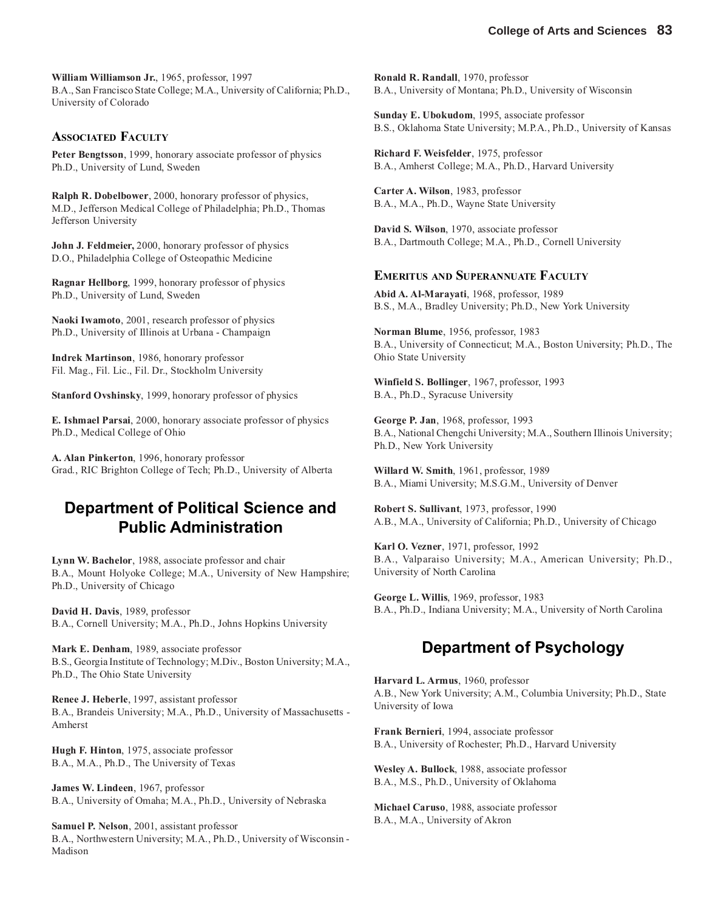**William Williamson Jr.**, 1965, professor, 1997 B.A., San Francisco State College; M.A., University of California; Ph.D., University of Colorado

#### **ASSOCIATED FACULTY**

**Peter Bengtsson**, 1999, honorary associate professor of physics Ph.D., University of Lund, Sweden

**Ralph R. Dobelbower**, 2000, honorary professor of physics, M.D., Jefferson Medical College of Philadelphia; Ph.D., Thomas Jefferson University

**John J. Feldmeier,** 2000, honorary professor of physics D.O., Philadelphia College of Osteopathic Medicine

**Ragnar Hellborg**, 1999, honorary professor of physics Ph.D., University of Lund, Sweden

**Naoki Iwamoto**, 2001, research professor of physics Ph.D., University of Illinois at Urbana - Champaign

**Indrek Martinson**, 1986, honorary professor Fil. Mag., Fil. Lic., Fil. Dr., Stockholm University

**Stanford Ovshinsky**, 1999, honorary professor of physics

**E. Ishmael Parsai**, 2000, honorary associate professor of physics Ph.D., Medical College of Ohio

**A. Alan Pinkerton**, 1996, honorary professor Grad., RIC Brighton College of Tech; Ph.D., University of Alberta

### **Department of Political Science and Public Administration**

**Lynn W. Bachelor**, 1988, associate professor and chair B.A., Mount Holyoke College; M.A., University of New Hampshire; Ph.D., University of Chicago

**David H. Davis**, 1989, professor B.A., Cornell University; M.A., Ph.D., Johns Hopkins University

**Mark E. Denham**, 1989, associate professor B.S., Georgia Institute of Technology; M.Div., Boston University; M.A., Ph.D., The Ohio State University

**Renee J. Heberle**, 1997, assistant professor B.A., Brandeis University; M.A., Ph.D., University of Massachusetts - Amherst

**Hugh F. Hinton**, 1975, associate professor B.A., M.A., Ph.D., The University of Texas

**James W. Lindeen**, 1967, professor B.A., University of Omaha; M.A., Ph.D., University of Nebraska

**Samuel P. Nelson**, 2001, assistant professor B.A., Northwestern University; M.A., Ph.D., University of Wisconsin - Madison

**Ronald R. Randall**, 1970, professor B.A., University of Montana; Ph.D., University of Wisconsin

**Sunday E. Ubokudom**, 1995, associate professor B.S., Oklahoma State University; M.P.A., Ph.D., University of Kansas

**Richard F. Weisfelder**, 1975, professor B.A., Amherst College; M.A., Ph.D., Harvard University

**Carter A. Wilson**, 1983, professor B.A., M.A., Ph.D., Wayne State University

**David S. Wilson**, 1970, associate professor B.A., Dartmouth College; M.A., Ph.D., Cornell University

#### **EMERITUS AND SUPERANNUATE FACULTY**

**Abid A. Al-Marayati**, 1968, professor, 1989 B.S., M.A., Bradley University; Ph.D., New York University

**Norman Blume**, 1956, professor, 1983 B.A., University of Connecticut; M.A., Boston University; Ph.D., The Ohio State University

**Winfield S. Bollinger**, 1967, professor, 1993 B.A., Ph.D., Syracuse University

**George P. Jan**, 1968, professor, 1993 B.A., National Chengchi University; M.A., Southern Illinois University; Ph.D., New York University

**Willard W. Smith**, 1961, professor, 1989 B.A., Miami University; M.S.G.M., University of Denver

**Robert S. Sullivant**, 1973, professor, 1990 A.B., M.A., University of California; Ph.D., University of Chicago

**Karl O. Vezner**, 1971, professor, 1992 B.A., Valparaiso University; M.A., American University; Ph.D., University of North Carolina

**George L. Willis**, 1969, professor, 1983 B.A., Ph.D., Indiana University; M.A., University of North Carolina

### **Department of Psychology**

**Harvard L. Armus**, 1960, professor A.B., New York University; A.M., Columbia University; Ph.D., State University of Iowa

**Frank Bernieri**, 1994, associate professor B.A., University of Rochester; Ph.D., Harvard University

**Wesley A. Bullock**, 1988, associate professor B.A., M.S., Ph.D., University of Oklahoma

**Michael Caruso**, 1988, associate professor B.A., M.A., University of Akron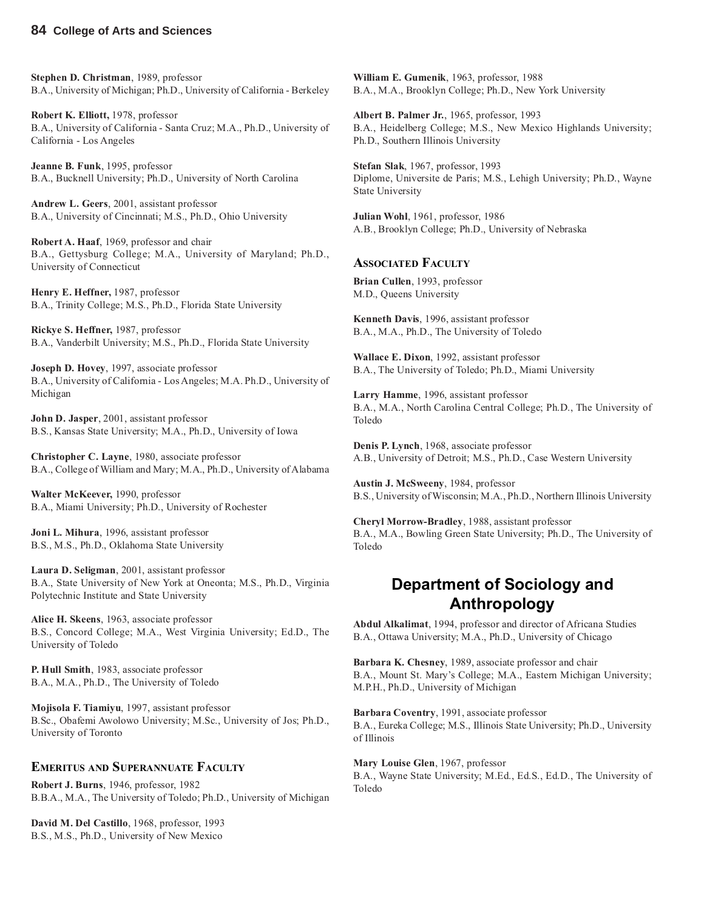**Stephen D. Christman**, 1989, professor B.A., University of Michigan; Ph.D., University of California - Berkeley

**Robert K. Elliott,** 1978, professor B.A., University of California - Santa Cruz; M.A., Ph.D., University of California - Los Angeles

**Jeanne B. Funk**, 1995, professor B.A., Bucknell University; Ph.D., University of North Carolina

**Andrew L. Geers**, 2001, assistant professor B.A., University of Cincinnati; M.S., Ph.D., Ohio University

**Robert A. Haaf**, 1969, professor and chair B.A., Gettysburg College; M.A., University of Maryland; Ph.D., University of Connecticut

**Henry E. Heffner,** 1987, professor B.A., Trinity College; M.S., Ph.D., Florida State University

**Rickye S. Heffner,** 1987, professor B.A., Vanderbilt University; M.S., Ph.D., Florida State University

**Joseph D. Hovey**, 1997, associate professor B.A., University of California - Los Angeles; M.A. Ph.D., University of Michigan

**John D. Jasper**, 2001, assistant professor B.S., Kansas State University; M.A., Ph.D., University of Iowa

**Christopher C. Layne**, 1980, associate professor B.A., College of William and Mary; M.A., Ph.D., University of Alabama

**Walter McKeever,** 1990, professor B.A., Miami University; Ph.D., University of Rochester

**Joni L. Mihura**, 1996, assistant professor B.S., M.S., Ph.D., Oklahoma State University

**Laura D. Seligman**, 2001, assistant professor B.A., State University of New York at Oneonta; M.S., Ph.D., Virginia Polytechnic Institute and State University

**Alice H. Skeens**, 1963, associate professor B.S., Concord College; M.A., West Virginia University; Ed.D., The University of Toledo

**P. Hull Smith**, 1983, associate professor B.A., M.A., Ph.D., The University of Toledo

**Mojisola F. Tiamiyu**, 1997, assistant professor B.Sc., Obafemi Awolowo University; M.Sc., University of Jos; Ph.D., University of Toronto

#### **EMERITUS AND SUPERANNUATE FACULTY**

**Robert J. Burns**, 1946, professor, 1982 B.B.A., M.A., The University of Toledo; Ph.D., University of Michigan

**David M. Del Castillo**, 1968, professor, 1993 B.S., M.S., Ph.D., University of New Mexico

**William E. Gumenik**, 1963, professor, 1988 B.A., M.A., Brooklyn College; Ph.D., New York University

**Albert B. Palmer Jr.**, 1965, professor, 1993 B.A., Heidelberg College; M.S., New Mexico Highlands University; Ph.D., Southern Illinois University

**Stefan Slak**, 1967, professor, 1993 Diplome, Universite de Paris; M.S., Lehigh University; Ph.D., Wayne State University

**Julian Wohl**, 1961, professor, 1986 A.B., Brooklyn College; Ph.D., University of Nebraska

#### **ASSOCIATED FACULTY**

**Brian Cullen**, 1993, professor M.D., Queens University

**Kenneth Davis**, 1996, assistant professor B.A., M.A., Ph.D., The University of Toledo

**Wallace E. Dixon**, 1992, assistant professor B.A., The University of Toledo; Ph.D., Miami University

**Larry Hamme**, 1996, assistant professor B.A., M.A., North Carolina Central College; Ph.D., The University of Toledo

**Denis P. Lynch**, 1968, associate professor A.B., University of Detroit; M.S., Ph.D., Case Western University

**Austin J. McSweeny**, 1984, professor B.S., University of Wisconsin; M.A., Ph.D., Northern Illinois University

**Cheryl Morrow-Bradley**, 1988, assistant professor B.A., M.A., Bowling Green State University; Ph.D., The University of Toledo

#### **Department of Sociology and Anthropology**

**Abdul Alkalimat**, 1994, professor and director of Africana Studies B.A., Ottawa University; M.A., Ph.D., University of Chicago

**Barbara K. Chesney**, 1989, associate professor and chair B.A., Mount St. Mary's College; M.A., Eastern Michigan University; M.P.H., Ph.D., University of Michigan

**Barbara Coventry**, 1991, associate professor B.A., Eureka College; M.S., Illinois State University; Ph.D., University of Illinois

**Mary Louise Glen**, 1967, professor B.A., Wayne State University; M.Ed., Ed.S., Ed.D., The University of Toledo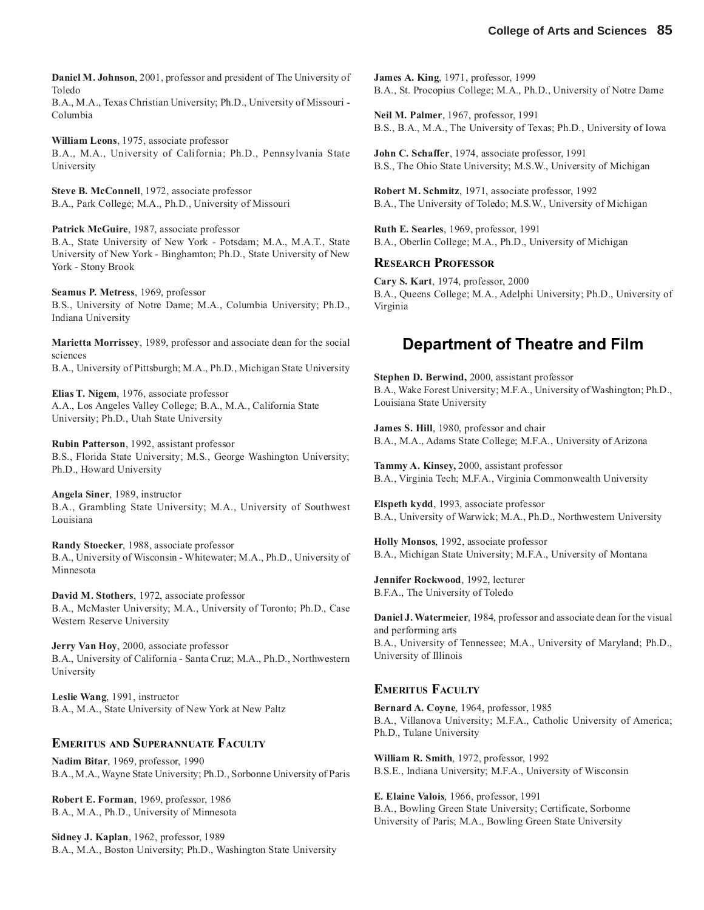**Daniel M. Johnson**, 2001, professor and president of The University of Toledo

B.A., M.A., Texas Christian University; Ph.D., University of Missouri - Columbia

**William Leons**, 1975, associate professor B.A., M.A., University of California; Ph.D., Pennsylvania State University

**Steve B. McConnell**, 1972, associate professor B.A., Park College; M.A., Ph.D., University of Missouri

**Patrick McGuire**, 1987, associate professor B.A., State University of New York - Potsdam; M.A., M.A.T., State University of New York - Binghamton; Ph.D., State University of New York - Stony Brook

**Seamus P. Metress**, 1969, professor B.S., University of Notre Dame; M.A., Columbia University; Ph.D., Indiana University

**Marietta Morrissey**, 1989, professor and associate dean for the social sciences

B.A., University of Pittsburgh; M.A., Ph.D., Michigan State University

**Elias T. Nigem**, 1976, associate professor A.A., Los Angeles Valley College; B.A., M.A., California State University; Ph.D., Utah State University

**Rubin Patterson**, 1992, assistant professor B.S., Florida State University; M.S., George Washington University; Ph.D., Howard University

**Angela Siner**, 1989, instructor B.A., Grambling State University; M.A., University of Southwest Louisiana

**Randy Stoecker**, 1988, associate professor B.A., University of Wisconsin - Whitewater; M.A., Ph.D., University of Minnesota

**David M. Stothers**, 1972, associate professor B.A., McMaster University; M.A., University of Toronto; Ph.D., Case Western Reserve University

**Jerry Van Hoy**, 2000, associate professor B.A., University of California - Santa Cruz; M.A., Ph.D., Northwestern University

**Leslie Wang**, 1991, instructor B.A., M.A., State University of New York at New Paltz

#### **EMERITUS AND SUPERANNUATE FACULTY**

**Nadim Bitar**, 1969, professor, 1990 B.A., M.A., Wayne State University; Ph.D., Sorbonne University of Paris

**Robert E. Forman**, 1969, professor, 1986 B.A., M.A., Ph.D., University of Minnesota

**Sidney J. Kaplan**, 1962, professor, 1989 B.A., M.A., Boston University; Ph.D., Washington State University **James A. King**, 1971, professor, 1999 B.A., St. Procopius College; M.A., Ph.D., University of Notre Dame

**Neil M. Palmer**, 1967, professor, 1991 B.S., B.A., M.A., The University of Texas; Ph.D., University of Iowa

**John C. Schaffer**, 1974, associate professor, 1991 B.S., The Ohio State University; M.S.W., University of Michigan

**Robert M. Schmitz**, 1971, associate professor, 1992 B.A., The University of Toledo; M.S.W., University of Michigan

**Ruth E. Searles**, 1969, professor, 1991 B.A., Oberlin College; M.A., Ph.D., University of Michigan

#### **RESEARCH PROFESSOR**

**Cary S. Kart**, 1974, professor, 2000 B.A., Queens College; M.A., Adelphi University; Ph.D., University of Virginia

#### **Department of Theatre and Film**

**Stephen D. Berwind,** 2000, assistant professor B.A., Wake Forest University; M.F.A., University of Washington; Ph.D., Louisiana State University

**James S. Hill**, 1980, professor and chair B.A., M.A., Adams State College; M.F.A., University of Arizona

**Tammy A. Kinsey,** 2000, assistant professor B.A., Virginia Tech; M.F.A., Virginia Commonwealth University

**Elspeth kydd**, 1993, associate professor B.A., University of Warwick; M.A., Ph.D., Northwestern University

**Holly Monsos**, 1992, associate professor B.A., Michigan State University; M.F.A., University of Montana

**Jennifer Rockwood**, 1992, lecturer B.F.A., The University of Toledo

**Daniel J. Watermeier**, 1984, professor and associate dean for the visual and performing arts B.A., University of Tennessee; M.A., University of Maryland; Ph.D., University of Illinois

#### **EMERITUS FACULTY**

**Bernard A. Coyne**, 1964, professor, 1985 B.A., Villanova University; M.F.A., Catholic University of America; Ph.D., Tulane University

**William R. Smith**, 1972, professor, 1992 B.S.E., Indiana University; M.F.A., University of Wisconsin

**E. Elaine Valois**, 1966, professor, 1991 B.A., Bowling Green State University; Certificate, Sorbonne University of Paris; M.A., Bowling Green State University